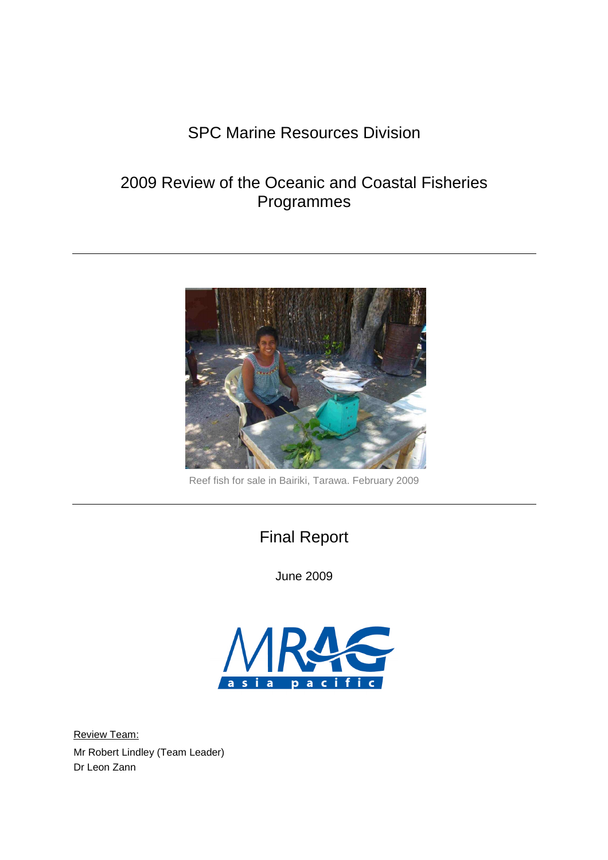# SPC Marine Resources Division

# 2009 Review of the Oceanic and Coastal Fisheries Programmes



Reef fish for sale in Bairiki, Tarawa. February 2009

# Final Report

June 2009



Review Team: Mr Robert Lindley (Team Leader) Dr Leon Zann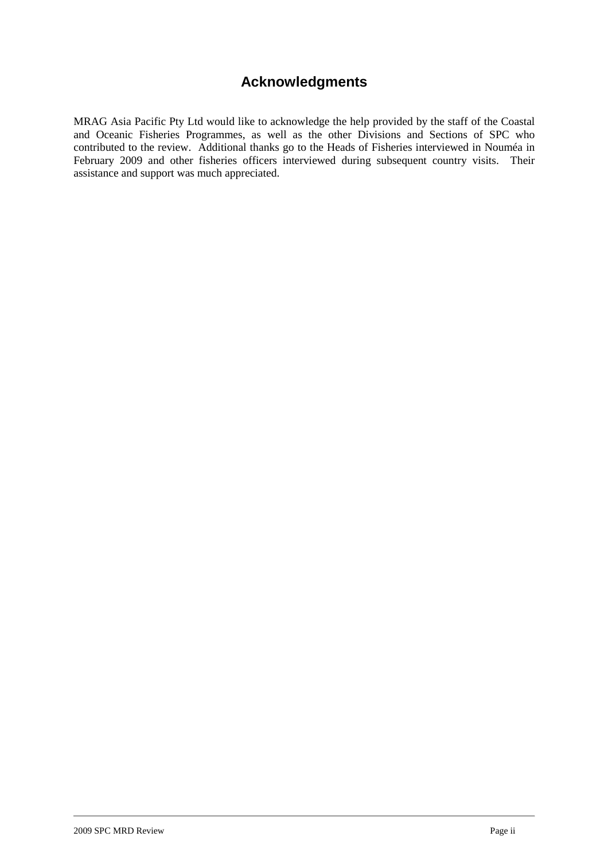## **Acknowledgments**

MRAG Asia Pacific Pty Ltd would like to acknowledge the help provided by the staff of the Coastal and Oceanic Fisheries Programmes, as well as the other Divisions and Sections of SPC who contributed to the review. Additional thanks go to the Heads of Fisheries interviewed in Nouméa in February 2009 and other fisheries officers interviewed during subsequent country visits. Their assistance and support was much appreciated.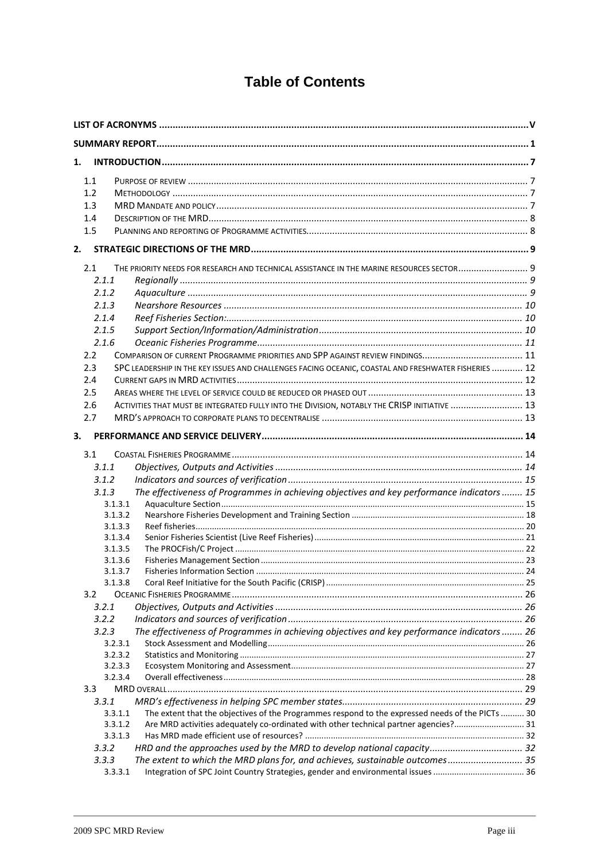## **Table of Contents**

| 1.    |                                                                                                             |  |  |  |
|-------|-------------------------------------------------------------------------------------------------------------|--|--|--|
| 1.1   |                                                                                                             |  |  |  |
| 1.2   |                                                                                                             |  |  |  |
| 1.3   |                                                                                                             |  |  |  |
|       |                                                                                                             |  |  |  |
| 1.4   |                                                                                                             |  |  |  |
| 1.5   |                                                                                                             |  |  |  |
| 2.    |                                                                                                             |  |  |  |
| 2.1   | THE PRIORITY NEEDS FOR RESEARCH AND TECHNICAL ASSISTANCE IN THE MARINE RESOURCES SECTOR 9                   |  |  |  |
| 2.1.1 |                                                                                                             |  |  |  |
| 2.1.2 |                                                                                                             |  |  |  |
| 2.1.3 |                                                                                                             |  |  |  |
| 2.1.4 |                                                                                                             |  |  |  |
| 2.1.5 |                                                                                                             |  |  |  |
| 2.1.6 |                                                                                                             |  |  |  |
| 2.2   | COMPARISON OF CURRENT PROGRAMME PRIORITIES AND SPP AGAINST REVIEW FINDINGS 11                               |  |  |  |
| 2.3   | SPC LEADERSHIP IN THE KEY ISSUES AND CHALLENGES FACING OCEANIC, COASTAL AND FRESHWATER FISHERIES  12        |  |  |  |
| 2.4   |                                                                                                             |  |  |  |
| 2.5   |                                                                                                             |  |  |  |
| 2.6   | ACTIVITIES THAT MUST BE INTEGRATED FULLY INTO THE DIVISION, NOTABLY THE CRISP INITIATIVE  13                |  |  |  |
| 2.7   |                                                                                                             |  |  |  |
| 3.    |                                                                                                             |  |  |  |
|       |                                                                                                             |  |  |  |
| 3.1   |                                                                                                             |  |  |  |
| 3.1.1 |                                                                                                             |  |  |  |
| 3.1.2 |                                                                                                             |  |  |  |
| 3.1.3 | The effectiveness of Programmes in achieving objectives and key performance indicators  15                  |  |  |  |
|       | 3.1.3.1                                                                                                     |  |  |  |
|       | 3.1.3.2                                                                                                     |  |  |  |
|       | 3.1.3.3                                                                                                     |  |  |  |
|       | 3.1.3.4                                                                                                     |  |  |  |
|       | 3.1.3.5                                                                                                     |  |  |  |
|       | 3.1.3.6<br>3.1.3.7                                                                                          |  |  |  |
|       | 3.1.3.8                                                                                                     |  |  |  |
| 3.2   |                                                                                                             |  |  |  |
| 3.2.1 |                                                                                                             |  |  |  |
| 3.2.2 |                                                                                                             |  |  |  |
| 3.2.3 | The effectiveness of Programmes in achieving objectives and key performance indicators  26                  |  |  |  |
|       | 3.2.3.1                                                                                                     |  |  |  |
|       | 3.2.3.2                                                                                                     |  |  |  |
|       | 3.2.3.3                                                                                                     |  |  |  |
|       | 3.2.3.4                                                                                                     |  |  |  |
| 3.3   |                                                                                                             |  |  |  |
| 3.3.1 |                                                                                                             |  |  |  |
|       | The extent that the objectives of the Programmes respond to the expressed needs of the PICTs  30<br>3.3.1.1 |  |  |  |
|       | Are MRD activities adequately co-ordinated with other technical partner agencies? 31<br>3.3.1.2             |  |  |  |
|       | 3.3.1.3                                                                                                     |  |  |  |
| 3.3.2 | HRD and the approaches used by the MRD to develop national capacity 32                                      |  |  |  |
| 3.3.3 | The extent to which the MRD plans for, and achieves, sustainable outcomes 35                                |  |  |  |
|       | 3.3.3.1                                                                                                     |  |  |  |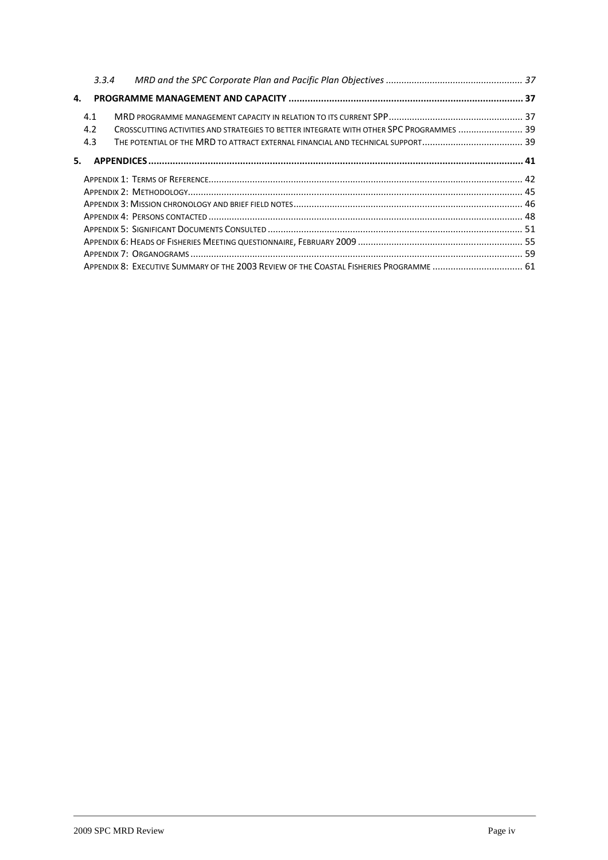|    | 3.3.4 |                                                                                          |  |
|----|-------|------------------------------------------------------------------------------------------|--|
| 4. |       |                                                                                          |  |
|    | 4.1   |                                                                                          |  |
|    | 4.2   | CROSSCUTTING ACTIVITIES AND STRATEGIES TO BETTER INTEGRATE WITH OTHER SPC PROGRAMMES  39 |  |
|    | 4.3   |                                                                                          |  |
| 5. |       |                                                                                          |  |
|    |       |                                                                                          |  |
|    |       |                                                                                          |  |
|    |       |                                                                                          |  |
|    |       |                                                                                          |  |
|    |       |                                                                                          |  |
|    |       |                                                                                          |  |
|    |       |                                                                                          |  |
|    |       | APPENDIX 8: EXECUTIVE SUMMARY OF THE 2003 REVIEW OF THE COASTAL FISHERIES PROGRAMME  61  |  |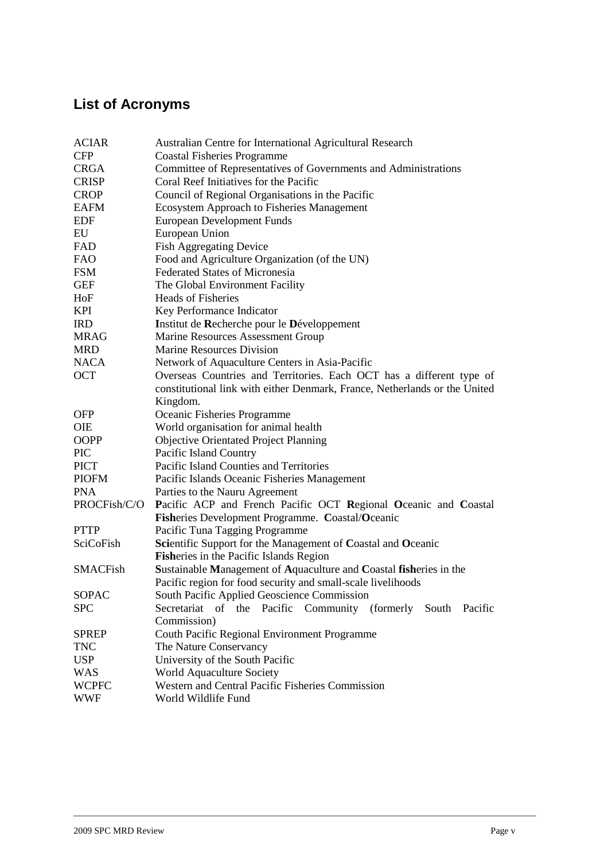# **List of Acronyms**

| <b>ACIAR</b>    | Australian Centre for International Agricultural Research                  |  |  |  |  |  |  |
|-----------------|----------------------------------------------------------------------------|--|--|--|--|--|--|
| <b>CFP</b>      | <b>Coastal Fisheries Programme</b>                                         |  |  |  |  |  |  |
| <b>CRGA</b>     | Committee of Representatives of Governments and Administrations            |  |  |  |  |  |  |
| <b>CRISP</b>    | Coral Reef Initiatives for the Pacific                                     |  |  |  |  |  |  |
| <b>CROP</b>     | Council of Regional Organisations in the Pacific                           |  |  |  |  |  |  |
| <b>EAFM</b>     | <b>Ecosystem Approach to Fisheries Management</b>                          |  |  |  |  |  |  |
| <b>EDF</b>      | <b>European Development Funds</b>                                          |  |  |  |  |  |  |
| EU              | European Union                                                             |  |  |  |  |  |  |
| FAD             | <b>Fish Aggregating Device</b>                                             |  |  |  |  |  |  |
| <b>FAO</b>      | Food and Agriculture Organization (of the UN)                              |  |  |  |  |  |  |
| <b>FSM</b>      | <b>Federated States of Micronesia</b>                                      |  |  |  |  |  |  |
| <b>GEF</b>      | The Global Environment Facility                                            |  |  |  |  |  |  |
| HoF             | <b>Heads of Fisheries</b>                                                  |  |  |  |  |  |  |
| <b>KPI</b>      | Key Performance Indicator                                                  |  |  |  |  |  |  |
| <b>IRD</b>      | Institut de Recherche pour le Développement                                |  |  |  |  |  |  |
| <b>MRAG</b>     | Marine Resources Assessment Group                                          |  |  |  |  |  |  |
| <b>MRD</b>      | <b>Marine Resources Division</b>                                           |  |  |  |  |  |  |
| <b>NACA</b>     | Network of Aquaculture Centers in Asia-Pacific                             |  |  |  |  |  |  |
| <b>OCT</b>      | Overseas Countries and Territories. Each OCT has a different type of       |  |  |  |  |  |  |
|                 | constitutional link with either Denmark, France, Netherlands or the United |  |  |  |  |  |  |
|                 | Kingdom.                                                                   |  |  |  |  |  |  |
| <b>OFP</b>      | Oceanic Fisheries Programme                                                |  |  |  |  |  |  |
| <b>OIE</b>      | World organisation for animal health                                       |  |  |  |  |  |  |
| OOPP            | <b>Objective Orientated Project Planning</b>                               |  |  |  |  |  |  |
| <b>PIC</b>      | Pacific Island Country                                                     |  |  |  |  |  |  |
| <b>PICT</b>     | Pacific Island Counties and Territories                                    |  |  |  |  |  |  |
| <b>PIOFM</b>    | Pacific Islands Oceanic Fisheries Management                               |  |  |  |  |  |  |
| <b>PNA</b>      | Parties to the Nauru Agreement                                             |  |  |  |  |  |  |
| PROCFish/C/O    | Pacific ACP and French Pacific OCT Regional Oceanic and Coastal            |  |  |  |  |  |  |
|                 | Fisheries Development Programme. Coastal/Oceanic                           |  |  |  |  |  |  |
| <b>PTTP</b>     | Pacific Tuna Tagging Programme                                             |  |  |  |  |  |  |
| SciCoFish       | Scientific Support for the Management of Coastal and Oceanic               |  |  |  |  |  |  |
|                 | Fisheries in the Pacific Islands Region                                    |  |  |  |  |  |  |
| <b>SMACFish</b> | Sustainable Management of Aquaculture and Coastal fisheries in the         |  |  |  |  |  |  |
|                 | Pacific region for food security and small-scale livelihoods               |  |  |  |  |  |  |
| SOPAC           | South Pacific Applied Geoscience Commission                                |  |  |  |  |  |  |
| <b>SPC</b>      | Secretariat of the Pacific Community (formerly South Pacific               |  |  |  |  |  |  |
|                 | Commission)                                                                |  |  |  |  |  |  |
| <b>SPREP</b>    | Couth Pacific Regional Environment Programme                               |  |  |  |  |  |  |
| <b>TNC</b>      | The Nature Conservancy                                                     |  |  |  |  |  |  |
| <b>USP</b>      | University of the South Pacific                                            |  |  |  |  |  |  |
| <b>WAS</b>      | World Aquaculture Society                                                  |  |  |  |  |  |  |
| <b>WCPFC</b>    | Western and Central Pacific Fisheries Commission                           |  |  |  |  |  |  |
| <b>WWF</b>      | World Wildlife Fund                                                        |  |  |  |  |  |  |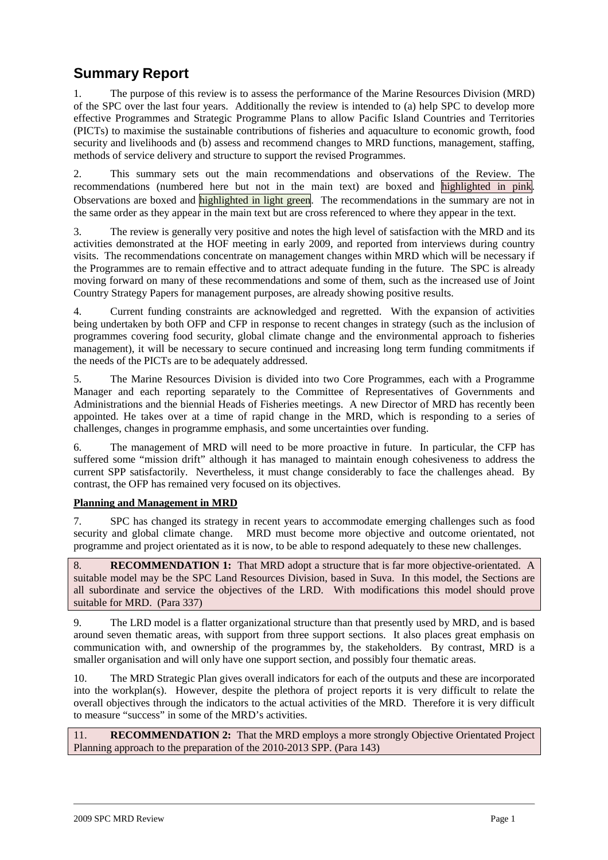## **Summary Report**

1. The purpose of this review is to assess the performance of the Marine Resources Division (MRD) of the SPC over the last four years. Additionally the review is intended to (a) help SPC to develop more effective Programmes and Strategic Programme Plans to allow Pacific Island Countries and Territories (PICTs) to maximise the sustainable contributions of fisheries and aquaculture to economic growth, food security and livelihoods and (b) assess and recommend changes to MRD functions, management, staffing, methods of service delivery and structure to support the revised Programmes.

2. This summary sets out the main recommendations and observations of the Review. The recommendations (numbered here but not in the main text) are boxed and highlighted in pink. Observations are boxed and highlighted in light green. The recommendations in the summary are not in the same order as they appear in the main text but are cross referenced to where they appear in the text.

3. The review is generally very positive and notes the high level of satisfaction with the MRD and its activities demonstrated at the HOF meeting in early 2009, and reported from interviews during country visits. The recommendations concentrate on management changes within MRD which will be necessary if the Programmes are to remain effective and to attract adequate funding in the future. The SPC is already moving forward on many of these recommendations and some of them, such as the increased use of Joint Country Strategy Papers for management purposes, are already showing positive results.

4. Current funding constraints are acknowledged and regretted. With the expansion of activities being undertaken by both OFP and CFP in response to recent changes in strategy (such as the inclusion of programmes covering food security, global climate change and the environmental approach to fisheries management), it will be necessary to secure continued and increasing long term funding commitments if the needs of the PICTs are to be adequately addressed.

5. The Marine Resources Division is divided into two Core Programmes, each with a Programme Manager and each reporting separately to the Committee of Representatives of Governments and Administrations and the biennial Heads of Fisheries meetings. A new Director of MRD has recently been appointed. He takes over at a time of rapid change in the MRD, which is responding to a series of challenges, changes in programme emphasis, and some uncertainties over funding.

6. The management of MRD will need to be more proactive in future. In particular, the CFP has suffered some "mission drift" although it has managed to maintain enough cohesiveness to address the current SPP satisfactorily. Nevertheless, it must change considerably to face the challenges ahead. By contrast, the OFP has remained very focused on its objectives.

### **Planning and Management in MRD**

7. SPC has changed its strategy in recent years to accommodate emerging challenges such as food security and global climate change. MRD must become more objective and outcome orientated, not programme and project orientated as it is now, to be able to respond adequately to these new challenges.

8. **RECOMMENDATION 1:** That MRD adopt a structure that is far more objective-orientated. A suitable model may be the SPC Land Resources Division, based in Suva. In this model, the Sections are all subordinate and service the objectives of the LRD. With modifications this model should prove suitable for MRD. (Para 337)

9. The LRD model is a flatter organizational structure than that presently used by MRD, and is based around seven thematic areas, with support from three support sections. It also places great emphasis on communication with, and ownership of the programmes by, the stakeholders. By contrast, MRD is a smaller organisation and will only have one support section, and possibly four thematic areas.

10. The MRD Strategic Plan gives overall indicators for each of the outputs and these are incorporated into the workplan(s). However, despite the plethora of project reports it is very difficult to relate the overall objectives through the indicators to the actual activities of the MRD. Therefore it is very difficult to measure "success" in some of the MRD's activities.

11. **RECOMMENDATION 2:** That the MRD employs a more strongly Objective Orientated Project Planning approach to the preparation of the 2010-2013 SPP. (Para 143)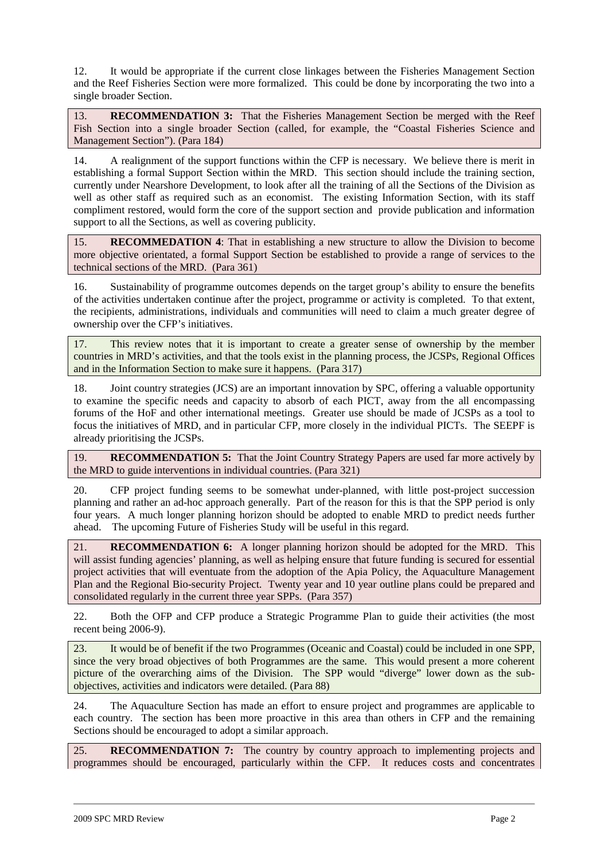12. It would be appropriate if the current close linkages between the Fisheries Management Section and the Reef Fisheries Section were more formalized. This could be done by incorporating the two into a single broader Section.

13. **RECOMMENDATION 3:** That the Fisheries Management Section be merged with the Reef Fish Section into a single broader Section (called, for example, the "Coastal Fisheries Science and Management Section"). (Para 184)

14. A realignment of the support functions within the CFP is necessary. We believe there is merit in establishing a formal Support Section within the MRD. This section should include the training section, currently under Nearshore Development, to look after all the training of all the Sections of the Division as well as other staff as required such as an economist. The existing Information Section, with its staff compliment restored, would form the core of the support section and provide publication and information support to all the Sections, as well as covering publicity.

15. **RECOMMEDATION 4**: That in establishing a new structure to allow the Division to become more objective orientated, a formal Support Section be established to provide a range of services to the technical sections of the MRD. (Para 361)

16. Sustainability of programme outcomes depends on the target group's ability to ensure the benefits of the activities undertaken continue after the project, programme or activity is completed. To that extent, the recipients, administrations, individuals and communities will need to claim a much greater degree of ownership over the CFP's initiatives.

17. This review notes that it is important to create a greater sense of ownership by the member countries in MRD's activities, and that the tools exist in the planning process, the JCSPs, Regional Offices and in the Information Section to make sure it happens. (Para 317)

18. Joint country strategies (JCS) are an important innovation by SPC, offering a valuable opportunity to examine the specific needs and capacity to absorb of each PICT, away from the all encompassing forums of the HoF and other international meetings. Greater use should be made of JCSPs as a tool to focus the initiatives of MRD, and in particular CFP, more closely in the individual PICTs. The SEEPF is already prioritising the JCSPs.

19. **RECOMMENDATION 5:** That the Joint Country Strategy Papers are used far more actively by the MRD to guide interventions in individual countries. (Para 321)

20. CFP project funding seems to be somewhat under-planned, with little post-project succession planning and rather an ad-hoc approach generally. Part of the reason for this is that the SPP period is only four years. A much longer planning horizon should be adopted to enable MRD to predict needs further ahead. The upcoming Future of Fisheries Study will be useful in this regard.

21. **RECOMMENDATION 6:** A longer planning horizon should be adopted for the MRD. This will assist funding agencies' planning, as well as helping ensure that future funding is secured for essential project activities that will eventuate from the adoption of the Apia Policy, the Aquaculture Management Plan and the Regional Bio-security Project. Twenty year and 10 year outline plans could be prepared and consolidated regularly in the current three year SPPs. (Para 357)

22. Both the OFP and CFP produce a Strategic Programme Plan to guide their activities (the most recent being 2006-9).

23. It would be of benefit if the two Programmes (Oceanic and Coastal) could be included in one SPP, since the very broad objectives of both Programmes are the same. This would present a more coherent picture of the overarching aims of the Division. The SPP would "diverge" lower down as the subobjectives, activities and indicators were detailed. (Para 88)

24. The Aquaculture Section has made an effort to ensure project and programmes are applicable to each country. The section has been more proactive in this area than others in CFP and the remaining Sections should be encouraged to adopt a similar approach.

25. **RECOMMENDATION 7:** The country by country approach to implementing projects and programmes should be encouraged, particularly within the CFP. It reduces costs and concentrates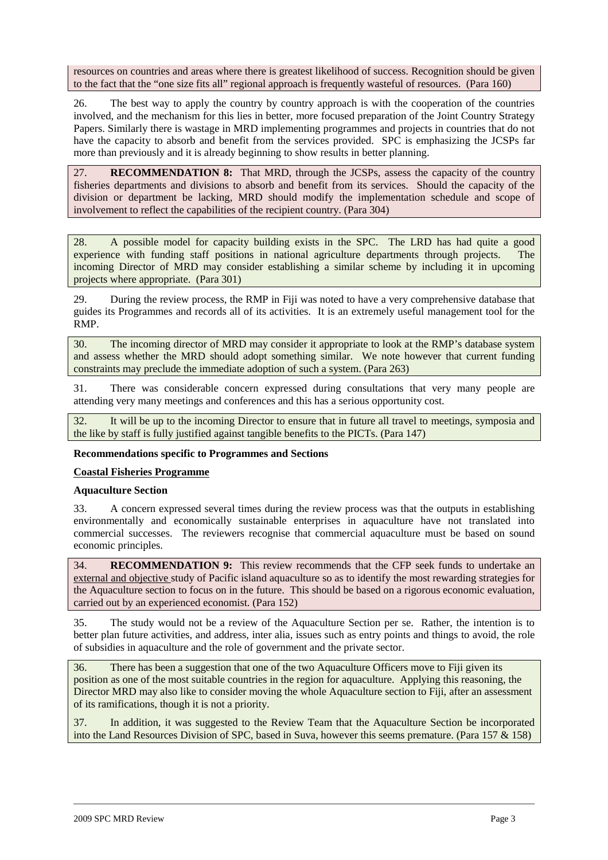resources on countries and areas where there is greatest likelihood of success. Recognition should be given to the fact that the "one size fits all" regional approach is frequently wasteful of resources. (Para 160)

26. The best way to apply the country by country approach is with the cooperation of the countries involved, and the mechanism for this lies in better, more focused preparation of the Joint Country Strategy Papers. Similarly there is wastage in MRD implementing programmes and projects in countries that do not have the capacity to absorb and benefit from the services provided. SPC is emphasizing the JCSPs far more than previously and it is already beginning to show results in better planning.

27. **RECOMMENDATION 8:** That MRD, through the JCSPs, assess the capacity of the country fisheries departments and divisions to absorb and benefit from its services. Should the capacity of the division or department be lacking, MRD should modify the implementation schedule and scope of involvement to reflect the capabilities of the recipient country. (Para 304)

28. A possible model for capacity building exists in the SPC. The LRD has had quite a good experience with funding staff positions in national agriculture departments through projects. The incoming Director of MRD may consider establishing a similar scheme by including it in upcoming projects where appropriate. (Para 301)

29. During the review process, the RMP in Fiji was noted to have a very comprehensive database that guides its Programmes and records all of its activities. It is an extremely useful management tool for the RMP.

30. The incoming director of MRD may consider it appropriate to look at the RMP's database system and assess whether the MRD should adopt something similar. We note however that current funding constraints may preclude the immediate adoption of such a system. (Para 263)

31. There was considerable concern expressed during consultations that very many people are attending very many meetings and conferences and this has a serious opportunity cost.

32. It will be up to the incoming Director to ensure that in future all travel to meetings, symposia and the like by staff is fully justified against tangible benefits to the PICTs. (Para 147)

#### **Recommendations specific to Programmes and Sections**

#### **Coastal Fisheries Programme**

#### **Aquaculture Section**

33. A concern expressed several times during the review process was that the outputs in establishing environmentally and economically sustainable enterprises in aquaculture have not translated into commercial successes. The reviewers recognise that commercial aquaculture must be based on sound economic principles.

34. **RECOMMENDATION 9:** This review recommends that the CFP seek funds to undertake an external and objective study of Pacific island aquaculture so as to identify the most rewarding strategies for the Aquaculture section to focus on in the future. This should be based on a rigorous economic evaluation, carried out by an experienced economist. (Para 152)

35. The study would not be a review of the Aquaculture Section per se. Rather, the intention is to better plan future activities, and address, inter alia, issues such as entry points and things to avoid, the role of subsidies in aquaculture and the role of government and the private sector.

36. There has been a suggestion that one of the two Aquaculture Officers move to Fiji given its position as one of the most suitable countries in the region for aquaculture. Applying this reasoning, the Director MRD may also like to consider moving the whole Aquaculture section to Fiji, after an assessment of its ramifications, though it is not a priority.

37. In addition, it was suggested to the Review Team that the Aquaculture Section be incorporated into the Land Resources Division of SPC, based in Suva, however this seems premature. (Para 157 & 158)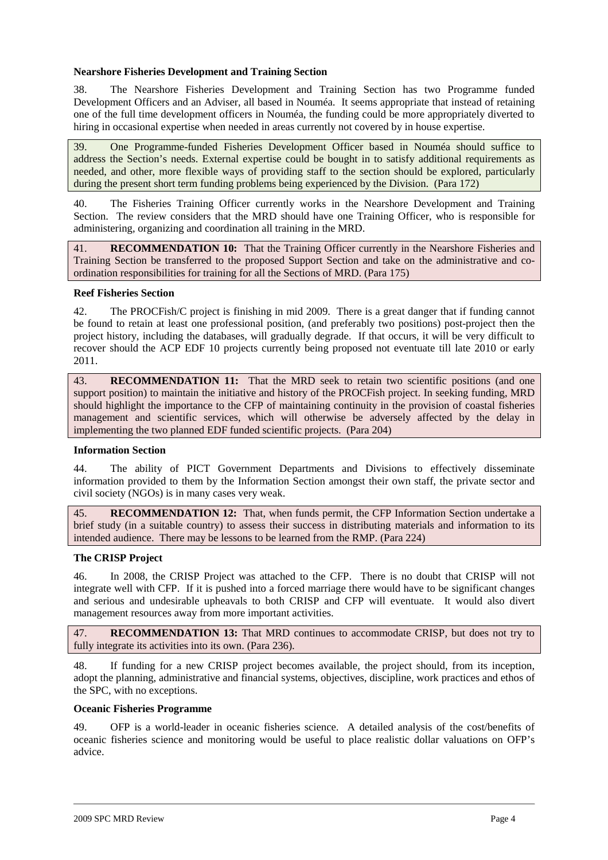#### **Nearshore Fisheries Development and Training Section**

38. The Nearshore Fisheries Development and Training Section has two Programme funded Development Officers and an Adviser, all based in Nouméa. It seems appropriate that instead of retaining one of the full time development officers in Nouméa, the funding could be more appropriately diverted to hiring in occasional expertise when needed in areas currently not covered by in house expertise.

39. One Programme-funded Fisheries Development Officer based in Nouméa should suffice to address the Section's needs. External expertise could be bought in to satisfy additional requirements as needed, and other, more flexible ways of providing staff to the section should be explored, particularly during the present short term funding problems being experienced by the Division. (Para 172)

40. The Fisheries Training Officer currently works in the Nearshore Development and Training Section. The review considers that the MRD should have one Training Officer, who is responsible for administering, organizing and coordination all training in the MRD.

41. **RECOMMENDATION 10:** That the Training Officer currently in the Nearshore Fisheries and Training Section be transferred to the proposed Support Section and take on the administrative and coordination responsibilities for training for all the Sections of MRD. (Para 175)

#### **Reef Fisheries Section**

42. The PROCFish/C project is finishing in mid 2009. There is a great danger that if funding cannot be found to retain at least one professional position, (and preferably two positions) post-project then the project history, including the databases, will gradually degrade. If that occurs, it will be very difficult to recover should the ACP EDF 10 projects currently being proposed not eventuate till late 2010 or early 2011.

43. **RECOMMENDATION 11:** That the MRD seek to retain two scientific positions (and one support position) to maintain the initiative and history of the PROCFish project. In seeking funding, MRD should highlight the importance to the CFP of maintaining continuity in the provision of coastal fisheries management and scientific services, which will otherwise be adversely affected by the delay in implementing the two planned EDF funded scientific projects. (Para 204)

#### **Information Section**

44. The ability of PICT Government Departments and Divisions to effectively disseminate information provided to them by the Information Section amongst their own staff, the private sector and civil society (NGOs) is in many cases very weak.

45. **RECOMMENDATION 12:** That, when funds permit, the CFP Information Section undertake a brief study (in a suitable country) to assess their success in distributing materials and information to its intended audience. There may be lessons to be learned from the RMP. (Para 224)

#### **The CRISP Project**

46. In 2008, the CRISP Project was attached to the CFP. There is no doubt that CRISP will not integrate well with CFP. If it is pushed into a forced marriage there would have to be significant changes and serious and undesirable upheavals to both CRISP and CFP will eventuate. It would also divert management resources away from more important activities.

47. **RECOMMENDATION 13:** That MRD continues to accommodate CRISP, but does not try to fully integrate its activities into its own. (Para 236).

48. If funding for a new CRISP project becomes available, the project should, from its inception, adopt the planning, administrative and financial systems, objectives, discipline, work practices and ethos of the SPC, with no exceptions.

#### **Oceanic Fisheries Programme**

49. OFP is a world-leader in oceanic fisheries science. A detailed analysis of the cost/benefits of oceanic fisheries science and monitoring would be useful to place realistic dollar valuations on OFP's advice.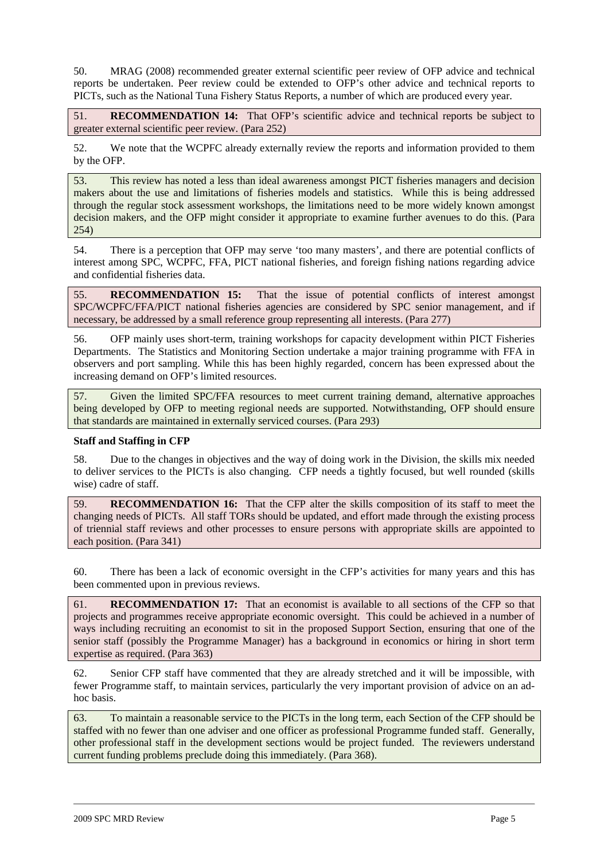50. MRAG (2008) recommended greater external scientific peer review of OFP advice and technical reports be undertaken. Peer review could be extended to OFP's other advice and technical reports to PICTs, such as the National Tuna Fishery Status Reports, a number of which are produced every year.

51. **RECOMMENDATION 14:** That OFP's scientific advice and technical reports be subject to greater external scientific peer review. (Para 252)

52. We note that the WCPFC already externally review the reports and information provided to them by the OFP.

53. This review has noted a less than ideal awareness amongst PICT fisheries managers and decision makers about the use and limitations of fisheries models and statistics. While this is being addressed through the regular stock assessment workshops, the limitations need to be more widely known amongst decision makers, and the OFP might consider it appropriate to examine further avenues to do this. (Para 254)

54. There is a perception that OFP may serve 'too many masters', and there are potential conflicts of interest among SPC, WCPFC, FFA, PICT national fisheries, and foreign fishing nations regarding advice and confidential fisheries data.

55. **RECOMMENDATION 15:** That the issue of potential conflicts of interest amongst SPC/WCPFC/FFA/PICT national fisheries agencies are considered by SPC senior management, and if necessary, be addressed by a small reference group representing all interests. (Para 277)

56. OFP mainly uses short-term, training workshops for capacity development within PICT Fisheries Departments. The Statistics and Monitoring Section undertake a major training programme with FFA in observers and port sampling. While this has been highly regarded, concern has been expressed about the increasing demand on OFP's limited resources.

57. Given the limited SPC/FFA resources to meet current training demand, alternative approaches being developed by OFP to meeting regional needs are supported. Notwithstanding, OFP should ensure that standards are maintained in externally serviced courses. (Para 293)

#### **Staff and Staffing in CFP**

58. Due to the changes in objectives and the way of doing work in the Division, the skills mix needed to deliver services to the PICTs is also changing. CFP needs a tightly focused, but well rounded (skills wise) cadre of staff.

59. **RECOMMENDATION 16:** That the CFP alter the skills composition of its staff to meet the changing needs of PICTs. All staff TORs should be updated, and effort made through the existing process of triennial staff reviews and other processes to ensure persons with appropriate skills are appointed to each position. (Para 341)

60. There has been a lack of economic oversight in the CFP's activities for many years and this has been commented upon in previous reviews.

61. **RECOMMENDATION 17:** That an economist is available to all sections of the CFP so that projects and programmes receive appropriate economic oversight. This could be achieved in a number of ways including recruiting an economist to sit in the proposed Support Section, ensuring that one of the senior staff (possibly the Programme Manager) has a background in economics or hiring in short term expertise as required. (Para 363)

62. Senior CFP staff have commented that they are already stretched and it will be impossible, with fewer Programme staff, to maintain services, particularly the very important provision of advice on an adhoc basis.

63. To maintain a reasonable service to the PICTs in the long term, each Section of the CFP should be staffed with no fewer than one adviser and one officer as professional Programme funded staff. Generally, other professional staff in the development sections would be project funded. The reviewers understand current funding problems preclude doing this immediately. (Para 368).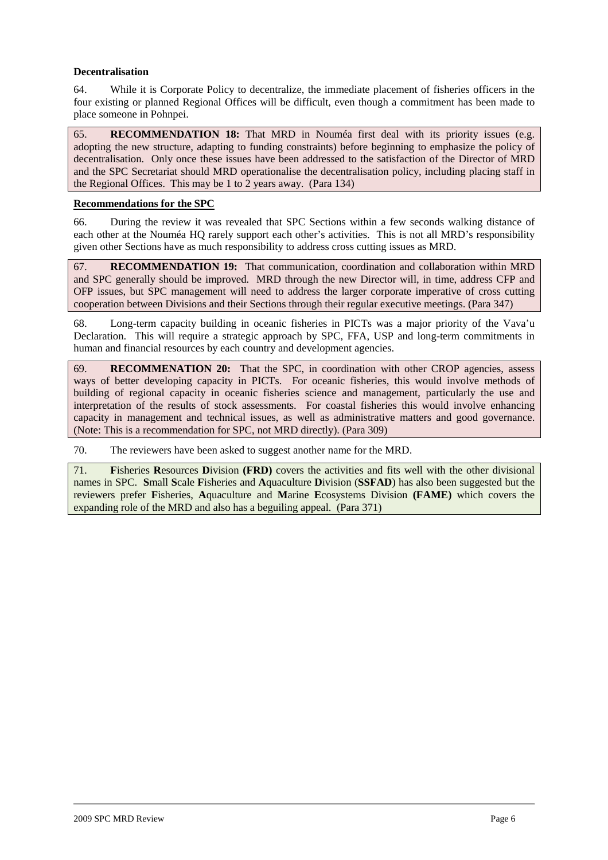#### **Decentralisation**

64. While it is Corporate Policy to decentralize, the immediate placement of fisheries officers in the four existing or planned Regional Offices will be difficult, even though a commitment has been made to place someone in Pohnpei.

65. **RECOMMENDATION 18:** That MRD in Nouméa first deal with its priority issues (e.g. adopting the new structure, adapting to funding constraints) before beginning to emphasize the policy of decentralisation. Only once these issues have been addressed to the satisfaction of the Director of MRD and the SPC Secretariat should MRD operationalise the decentralisation policy, including placing staff in the Regional Offices. This may be 1 to 2 years away. (Para 134)

#### **Recommendations for the SPC**

66. During the review it was revealed that SPC Sections within a few seconds walking distance of each other at the Nouméa HQ rarely support each other's activities. This is not all MRD's responsibility given other Sections have as much responsibility to address cross cutting issues as MRD.

67. **RECOMMENDATION 19:** That communication, coordination and collaboration within MRD and SPC generally should be improved. MRD through the new Director will, in time, address CFP and OFP issues, but SPC management will need to address the larger corporate imperative of cross cutting cooperation between Divisions and their Sections through their regular executive meetings. (Para 347)

68. Long-term capacity building in oceanic fisheries in PICTs was a major priority of the Vava'u Declaration. This will require a strategic approach by SPC, FFA, USP and long-term commitments in human and financial resources by each country and development agencies.

69. **RECOMMENATION 20:** That the SPC, in coordination with other CROP agencies, assess ways of better developing capacity in PICTs. For oceanic fisheries, this would involve methods of building of regional capacity in oceanic fisheries science and management, particularly the use and interpretation of the results of stock assessments. For coastal fisheries this would involve enhancing capacity in management and technical issues, as well as administrative matters and good governance. (Note: This is a recommendation for SPC, not MRD directly). (Para 309)

70. The reviewers have been asked to suggest another name for the MRD.

71. **F**isheries **R**esources **D**ivision **(FRD)** covers the activities and fits well with the other divisional names in SPC. **S**mall **S**cale **F**isheries and **A**quaculture **D**ivision (**SSFAD**) has also been suggested but the reviewers prefer **F**isheries, **A**quaculture and **M**arine **E**cosystems Division **(FAME)** which covers the expanding role of the MRD and also has a beguiling appeal. (Para 371)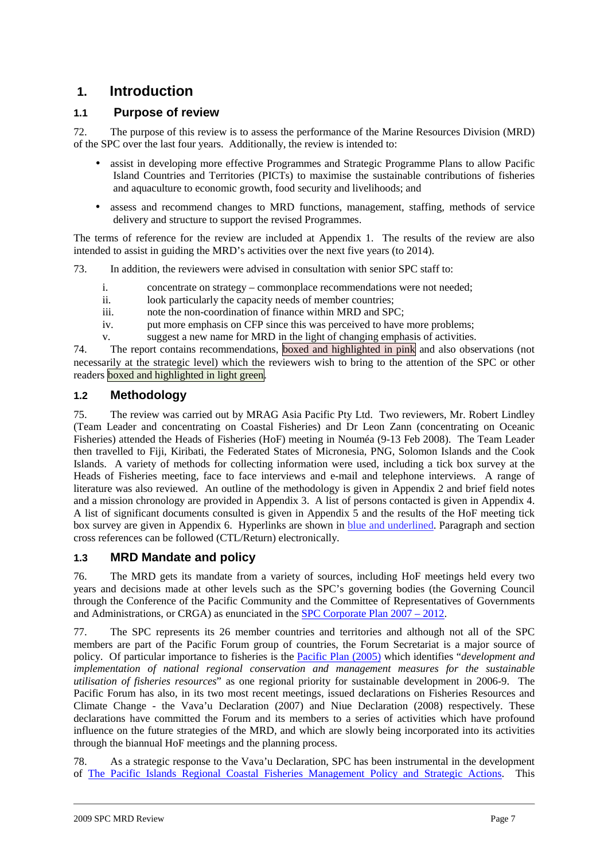## **1. Introduction**

## **1.1 Purpose of review**

72. The purpose of this review is to assess the performance of the Marine Resources Division (MRD) of the SPC over the last four years. Additionally, the review is intended to:

- assist in developing more effective Programmes and Strategic Programme Plans to allow Pacific Island Countries and Territories (PICTs) to maximise the sustainable contributions of fisheries and aquaculture to economic growth, food security and livelihoods; and
- assess and recommend changes to MRD functions, management, staffing, methods of service delivery and structure to support the revised Programmes.

The terms of reference for the review are included at Appendix 1. The results of the review are also intended to assist in guiding the MRD's activities over the next five years (to 2014).

73. In addition, the reviewers were advised in consultation with senior SPC staff to:

- i. concentrate on strategy commonplace recommendations were not needed;
- ii. look particularly the capacity needs of member countries;
- iii. note the non-coordination of finance within MRD and SPC;
- iv. put more emphasis on CFP since this was perceived to have more problems;
- v. suggest a new name for MRD in the light of changing emphasis of activities.

74. The report contains recommendations, boxed and highlighted in pink and also observations (not necessarily at the strategic level) which the reviewers wish to bring to the attention of the SPC or other readers boxed and highlighted in light green.

### **1.2 Methodology**

75. The review was carried out by MRAG Asia Pacific Pty Ltd. Two reviewers, Mr. Robert Lindley (Team Leader and concentrating on Coastal Fisheries) and Dr Leon Zann (concentrating on Oceanic Fisheries) attended the Heads of Fisheries (HoF) meeting in Nouméa (9-13 Feb 2008). The Team Leader then travelled to Fiji, Kiribati, the Federated States of Micronesia, PNG, Solomon Islands and the Cook Islands. A variety of methods for collecting information were used, including a tick box survey at the Heads of Fisheries meeting, face to face interviews and e-mail and telephone interviews. A range of literature was also reviewed. An outline of the methodology is given in Appendix 2 and brief field notes and a mission chronology are provided in Appendix 3. A list of persons contacted is given in Appendix 4. A list of significant documents consulted is given in Appendix 5 and the results of the HoF meeting tick box survey are given in Appendix 6. Hyperlinks are shown in blue and underlined. Paragraph and section cross references can be followed (CTL/Return) electronically.

### **1.3 MRD Mandate and policy**

76. The MRD gets its mandate from a variety of sources, including HoF meetings held every two years and decisions made at other levels such as the SPC's governing bodies (the Governing Council through the Conference of the Pacific Community and the Committee of Representatives of Governments and Administrations, or CRGA) as enunciated in the SPC Corporate Plan 2007 – 2012.

77. The SPC represents its 26 member countries and territories and although not all of the SPC members are part of the Pacific Forum group of countries, the Forum Secretariat is a major source of policy. Of particular importance to fisheries is the Pacific Plan (2005) which identifies "*development and implementation of national regional conservation and management measures for the sustainable utilisation of fisheries resources*" as one regional priority for sustainable development in 2006-9. The Pacific Forum has also, in its two most recent meetings, issued declarations on Fisheries Resources and Climate Change - the Vava'u Declaration (2007) and Niue Declaration (2008) respectively. These declarations have committed the Forum and its members to a series of activities which have profound influence on the future strategies of the MRD, and which are slowly being incorporated into its activities through the biannual HoF meetings and the planning process.

78. As a strategic response to the Vava'u Declaration, SPC has been instrumental in the development of The Pacific Islands Regional Coastal Fisheries Management Policy and Strategic Actions. This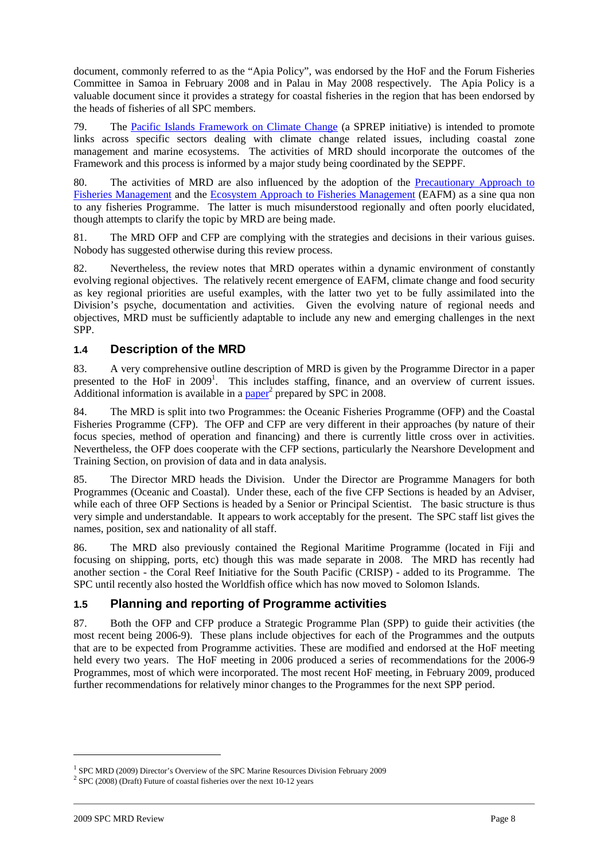document, commonly referred to as the "Apia Policy", was endorsed by the HoF and the Forum Fisheries Committee in Samoa in February 2008 and in Palau in May 2008 respectively. The Apia Policy is a valuable document since it provides a strategy for coastal fisheries in the region that has been endorsed by the heads of fisheries of all SPC members.

79. The Pacific Islands Framework on Climate Change (a SPREP initiative) is intended to promote links across specific sectors dealing with climate change related issues, including coastal zone management and marine ecosystems. The activities of MRD should incorporate the outcomes of the Framework and this process is informed by a major study being coordinated by the SEPPF.

80. The activities of MRD are also influenced by the adoption of the Precautionary Approach to Fisheries Management and the Ecosystem Approach to Fisheries Management (EAFM) as a sine qua non to any fisheries Programme. The latter is much misunderstood regionally and often poorly elucidated, though attempts to clarify the topic by MRD are being made.

81. The MRD OFP and CFP are complying with the strategies and decisions in their various guises. Nobody has suggested otherwise during this review process.

82. Nevertheless, the review notes that MRD operates within a dynamic environment of constantly evolving regional objectives. The relatively recent emergence of EAFM, climate change and food security as key regional priorities are useful examples, with the latter two yet to be fully assimilated into the Division's psyche, documentation and activities. Given the evolving nature of regional needs and objectives, MRD must be sufficiently adaptable to include any new and emerging challenges in the next SPP.

## **1.4 Description of the MRD**

83. A very comprehensive outline description of MRD is given by the Programme Director in a paper presented to the HoF in 2009<sup>1</sup>. This includes staffing, finance, and an overview of current issues. Additional information is available in a  $\overline{\text{paper}}^2$  prepared by SPC in 2008.

84. The MRD is split into two Programmes: the Oceanic Fisheries Programme (OFP) and the Coastal Fisheries Programme (CFP). The OFP and CFP are very different in their approaches (by nature of their focus species, method of operation and financing) and there is currently little cross over in activities. Nevertheless, the OFP does cooperate with the CFP sections, particularly the Nearshore Development and Training Section, on provision of data and in data analysis.

85. The Director MRD heads the Division. Under the Director are Programme Managers for both Programmes (Oceanic and Coastal). Under these, each of the five CFP Sections is headed by an Adviser, while each of three OFP Sections is headed by a Senior or Principal Scientist. The basic structure is thus very simple and understandable. It appears to work acceptably for the present. The SPC staff list gives the names, position, sex and nationality of all staff.

86. The MRD also previously contained the Regional Maritime Programme (located in Fiji and focusing on shipping, ports, etc) though this was made separate in 2008. The MRD has recently had another section - the Coral Reef Initiative for the South Pacific (CRISP) - added to its Programme. The SPC until recently also hosted the Worldfish office which has now moved to Solomon Islands.

### **1.5 Planning and reporting of Programme activities**

87. Both the OFP and CFP produce a Strategic Programme Plan (SPP) to guide their activities (the most recent being 2006-9). These plans include objectives for each of the Programmes and the outputs that are to be expected from Programme activities. These are modified and endorsed at the HoF meeting held every two years. The HoF meeting in 2006 produced a series of recommendations for the 2006-9 Programmes, most of which were incorporated. The most recent HoF meeting, in February 2009, produced further recommendations for relatively minor changes to the Programmes for the next SPP period.

<sup>&</sup>lt;sup>1</sup> SPC MRD (2009) Director's Overview of the SPC Marine Resources Division February 2009

 $2^{2}$  SPC (2008) (Draft) Future of coastal fisheries over the next 10-12 years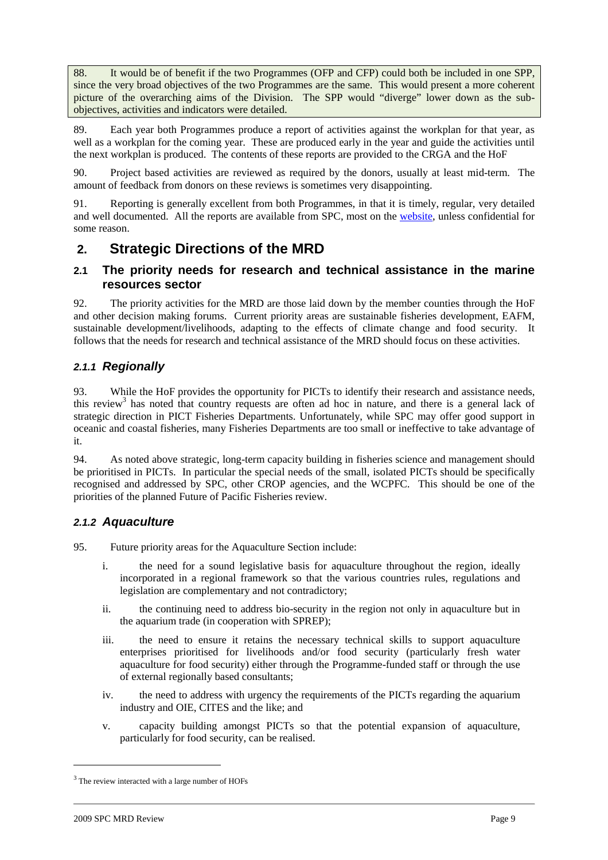88. It would be of benefit if the two Programmes (OFP and CFP) could both be included in one SPP, since the very broad objectives of the two Programmes are the same. This would present a more coherent picture of the overarching aims of the Division. The SPP would "diverge" lower down as the subobjectives, activities and indicators were detailed.

89. Each year both Programmes produce a report of activities against the workplan for that year, as well as a workplan for the coming year. These are produced early in the year and guide the activities until the next workplan is produced. The contents of these reports are provided to the CRGA and the HoF

90. Project based activities are reviewed as required by the donors, usually at least mid-term. The amount of feedback from donors on these reviews is sometimes very disappointing.

91. Reporting is generally excellent from both Programmes, in that it is timely, regular, very detailed and well documented. All the reports are available from SPC, most on the website, unless confidential for some reason.

## **2. Strategic Directions of the MRD**

## **2.1 The priority needs for research and technical assistance in the marine resources sector**

92. The priority activities for the MRD are those laid down by the member counties through the HoF and other decision making forums. Current priority areas are sustainable fisheries development, EAFM, sustainable development/livelihoods, adapting to the effects of climate change and food security. It follows that the needs for research and technical assistance of the MRD should focus on these activities.

## **2.1.1 Regionally**

93. While the HoF provides the opportunity for PICTs to identify their research and assistance needs, this review<sup>3</sup> has noted that country requests are often ad hoc in nature, and there is a general lack of strategic direction in PICT Fisheries Departments. Unfortunately, while SPC may offer good support in oceanic and coastal fisheries, many Fisheries Departments are too small or ineffective to take advantage of it.

94. As noted above strategic, long-term capacity building in fisheries science and management should be prioritised in PICTs. In particular the special needs of the small, isolated PICTs should be specifically recognised and addressed by SPC, other CROP agencies, and the WCPFC. This should be one of the priorities of the planned Future of Pacific Fisheries review.

## **2.1.2 Aquaculture**

- 95. Future priority areas for the Aquaculture Section include:
	- i. the need for a sound legislative basis for aquaculture throughout the region, ideally incorporated in a regional framework so that the various countries rules, regulations and legislation are complementary and not contradictory;
	- ii. the continuing need to address bio-security in the region not only in aquaculture but in the aquarium trade (in cooperation with SPREP);
	- iii. the need to ensure it retains the necessary technical skills to support aquaculture enterprises prioritised for livelihoods and/or food security (particularly fresh water aquaculture for food security) either through the Programme-funded staff or through the use of external regionally based consultants;
	- iv. the need to address with urgency the requirements of the PICTs regarding the aquarium industry and OIE, CITES and the like; and
	- v. capacity building amongst PICTs so that the potential expansion of aquaculture, particularly for food security, can be realised.

 $3$  The review interacted with a large number of HOFs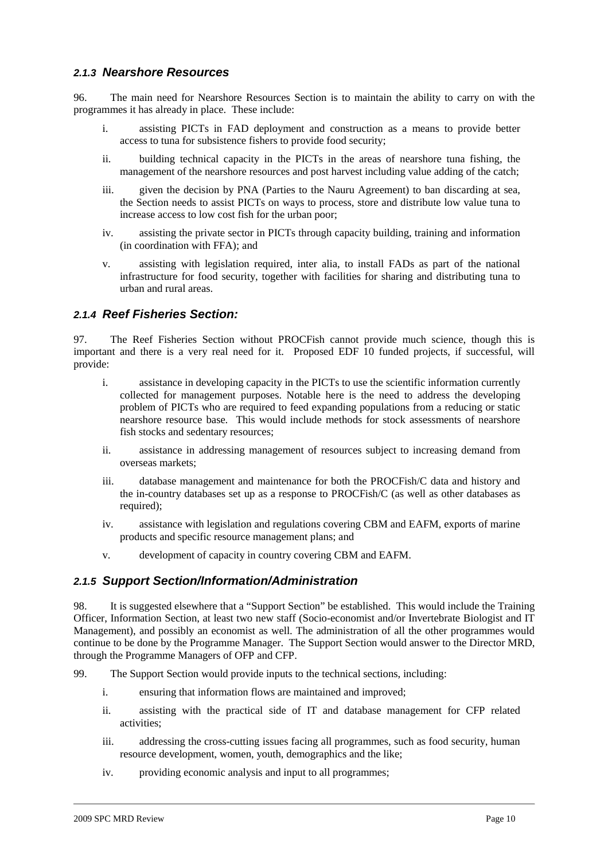### **2.1.3 Nearshore Resources**

96. The main need for Nearshore Resources Section is to maintain the ability to carry on with the programmes it has already in place. These include:

- i. assisting PICTs in FAD deployment and construction as a means to provide better access to tuna for subsistence fishers to provide food security;
- ii. building technical capacity in the PICTs in the areas of nearshore tuna fishing, the management of the nearshore resources and post harvest including value adding of the catch;
- iii. given the decision by PNA (Parties to the Nauru Agreement) to ban discarding at sea, the Section needs to assist PICTs on ways to process, store and distribute low value tuna to increase access to low cost fish for the urban poor;
- iv. assisting the private sector in PICTs through capacity building, training and information (in coordination with FFA); and
- v. assisting with legislation required, inter alia, to install FADs as part of the national infrastructure for food security, together with facilities for sharing and distributing tuna to urban and rural areas.

## **2.1.4 Reef Fisheries Section:**

97. The Reef Fisheries Section without PROCFish cannot provide much science, though this is important and there is a very real need for it. Proposed EDF 10 funded projects, if successful, will provide:

- i. assistance in developing capacity in the PICTs to use the scientific information currently collected for management purposes. Notable here is the need to address the developing problem of PICTs who are required to feed expanding populations from a reducing or static nearshore resource base. This would include methods for stock assessments of nearshore fish stocks and sedentary resources;
- ii. assistance in addressing management of resources subject to increasing demand from overseas markets;
- iii. database management and maintenance for both the PROCFish/C data and history and the in-country databases set up as a response to PROCFish/C (as well as other databases as required);
- iv. assistance with legislation and regulations covering CBM and EAFM, exports of marine products and specific resource management plans; and
- v. development of capacity in country covering CBM and EAFM.

### **2.1.5 Support Section/Information/Administration**

98. It is suggested elsewhere that a "Support Section" be established. This would include the Training Officer, Information Section, at least two new staff (Socio-economist and/or Invertebrate Biologist and IT Management), and possibly an economist as well. The administration of all the other programmes would continue to be done by the Programme Manager. The Support Section would answer to the Director MRD, through the Programme Managers of OFP and CFP.

- 99. The Support Section would provide inputs to the technical sections, including:
	- i. ensuring that information flows are maintained and improved;
	- ii. assisting with the practical side of IT and database management for CFP related activities;
	- iii. addressing the cross-cutting issues facing all programmes, such as food security, human resource development, women, youth, demographics and the like;
	- iv. providing economic analysis and input to all programmes;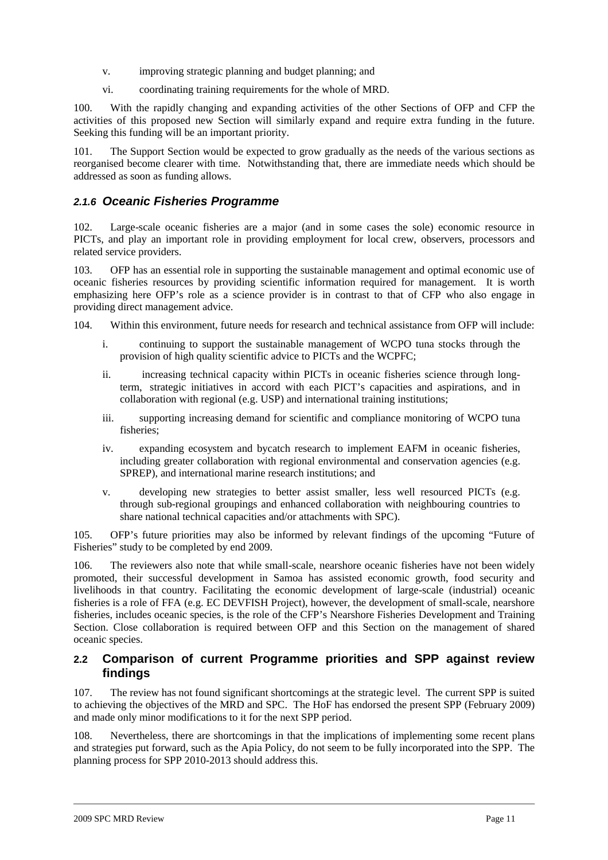- v. improving strategic planning and budget planning; and
- vi. coordinating training requirements for the whole of MRD.

100. With the rapidly changing and expanding activities of the other Sections of OFP and CFP the activities of this proposed new Section will similarly expand and require extra funding in the future. Seeking this funding will be an important priority.

101. The Support Section would be expected to grow gradually as the needs of the various sections as reorganised become clearer with time. Notwithstanding that, there are immediate needs which should be addressed as soon as funding allows.

## **2.1.6 Oceanic Fisheries Programme**

102. Large-scale oceanic fisheries are a major (and in some cases the sole) economic resource in PICTs, and play an important role in providing employment for local crew, observers, processors and related service providers.

103. OFP has an essential role in supporting the sustainable management and optimal economic use of oceanic fisheries resources by providing scientific information required for management. It is worth emphasizing here OFP's role as a science provider is in contrast to that of CFP who also engage in providing direct management advice.

104. Within this environment, future needs for research and technical assistance from OFP will include:

- i. continuing to support the sustainable management of WCPO tuna stocks through the provision of high quality scientific advice to PICTs and the WCPFC;
- ii. increasing technical capacity within PICTs in oceanic fisheries science through longterm, strategic initiatives in accord with each PICT's capacities and aspirations, and in collaboration with regional (e.g. USP) and international training institutions;
- iii. supporting increasing demand for scientific and compliance monitoring of WCPO tuna fisheries;
- iv. expanding ecosystem and bycatch research to implement EAFM in oceanic fisheries, including greater collaboration with regional environmental and conservation agencies (e.g. SPREP), and international marine research institutions; and
- v. developing new strategies to better assist smaller, less well resourced PICTs (e.g. through sub-regional groupings and enhanced collaboration with neighbouring countries to share national technical capacities and/or attachments with SPC).

105. OFP's future priorities may also be informed by relevant findings of the upcoming "Future of Fisheries" study to be completed by end 2009.

106. The reviewers also note that while small-scale, nearshore oceanic fisheries have not been widely promoted, their successful development in Samoa has assisted economic growth, food security and livelihoods in that country. Facilitating the economic development of large-scale (industrial) oceanic fisheries is a role of FFA (e.g. EC DEVFISH Project), however, the development of small-scale, nearshore fisheries, includes oceanic species, is the role of the CFP's Nearshore Fisheries Development and Training Section. Close collaboration is required between OFP and this Section on the management of shared oceanic species.

## **2.2 Comparison of current Programme priorities and SPP against review findings**

107. The review has not found significant shortcomings at the strategic level. The current SPP is suited to achieving the objectives of the MRD and SPC. The HoF has endorsed the present SPP (February 2009) and made only minor modifications to it for the next SPP period.

108. Nevertheless, there are shortcomings in that the implications of implementing some recent plans and strategies put forward, such as the Apia Policy, do not seem to be fully incorporated into the SPP. The planning process for SPP 2010-2013 should address this.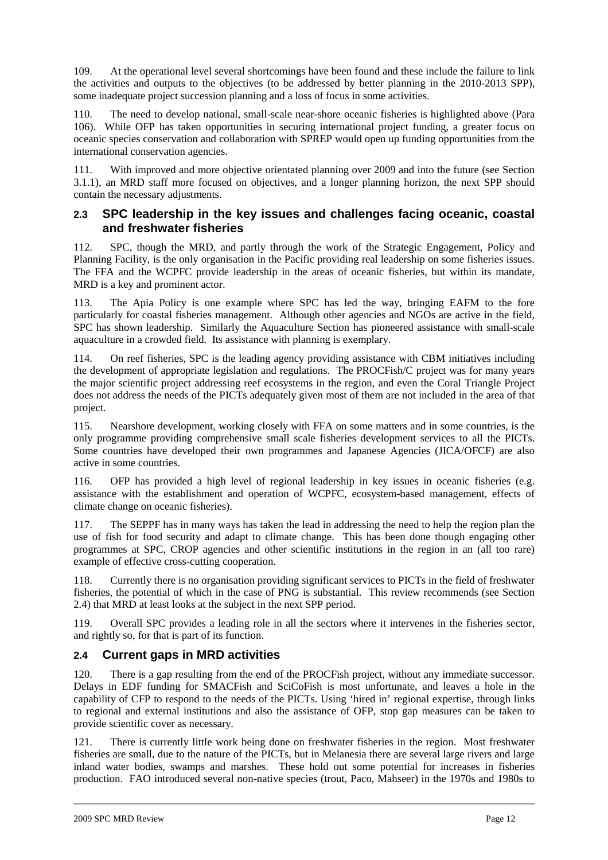109. At the operational level several shortcomings have been found and these include the failure to link the activities and outputs to the objectives (to be addressed by better planning in the 2010-2013 SPP), some inadequate project succession planning and a loss of focus in some activities.

110. The need to develop national, small-scale near-shore oceanic fisheries is highlighted above (Para 106). While OFP has taken opportunities in securing international project funding, a greater focus on oceanic species conservation and collaboration with SPREP would open up funding opportunities from the international conservation agencies.

111. With improved and more objective orientated planning over 2009 and into the future (see Section 3.1.1), an MRD staff more focused on objectives, and a longer planning horizon, the next SPP should contain the necessary adjustments.

#### **2.3 SPC leadership in the key issues and challenges facing oceanic, coastal and freshwater fisheries**

112. SPC, though the MRD, and partly through the work of the Strategic Engagement, Policy and Planning Facility, is the only organisation in the Pacific providing real leadership on some fisheries issues. The FFA and the WCPFC provide leadership in the areas of oceanic fisheries, but within its mandate, MRD is a key and prominent actor.

113. The Apia Policy is one example where SPC has led the way, bringing EAFM to the fore particularly for coastal fisheries management. Although other agencies and NGOs are active in the field, SPC has shown leadership. Similarly the Aquaculture Section has pioneered assistance with small-scale aquaculture in a crowded field. Its assistance with planning is exemplary.

114. On reef fisheries, SPC is the leading agency providing assistance with CBM initiatives including the development of appropriate legislation and regulations. The PROCFish/C project was for many years the major scientific project addressing reef ecosystems in the region, and even the Coral Triangle Project does not address the needs of the PICTs adequately given most of them are not included in the area of that project.

115. Nearshore development, working closely with FFA on some matters and in some countries, is the only programme providing comprehensive small scale fisheries development services to all the PICTs. Some countries have developed their own programmes and Japanese Agencies (JICA/OFCF) are also active in some countries.

116. OFP has provided a high level of regional leadership in key issues in oceanic fisheries (e.g. assistance with the establishment and operation of WCPFC, ecosystem-based management, effects of climate change on oceanic fisheries).

117. The SEPPF has in many ways has taken the lead in addressing the need to help the region plan the use of fish for food security and adapt to climate change. This has been done though engaging other programmes at SPC, CROP agencies and other scientific institutions in the region in an (all too rare) example of effective cross-cutting cooperation.

118. Currently there is no organisation providing significant services to PICTs in the field of freshwater fisheries, the potential of which in the case of PNG is substantial. This review recommends (see Section 2.4) that MRD at least looks at the subject in the next SPP period.

119. Overall SPC provides a leading role in all the sectors where it intervenes in the fisheries sector, and rightly so, for that is part of its function.

## **2.4 Current gaps in MRD activities**

120. There is a gap resulting from the end of the PROCFish project, without any immediate successor. Delays in EDF funding for SMACFish and SciCoFish is most unfortunate, and leaves a hole in the capability of CFP to respond to the needs of the PICTs. Using 'hired in' regional expertise, through links to regional and external institutions and also the assistance of OFP, stop gap measures can be taken to provide scientific cover as necessary.

121. There is currently little work being done on freshwater fisheries in the region. Most freshwater fisheries are small, due to the nature of the PICTs, but in Melanesia there are several large rivers and large inland water bodies, swamps and marshes. These hold out some potential for increases in fisheries production. FAO introduced several non-native species (trout, Paco, Mahseer) in the 1970s and 1980s to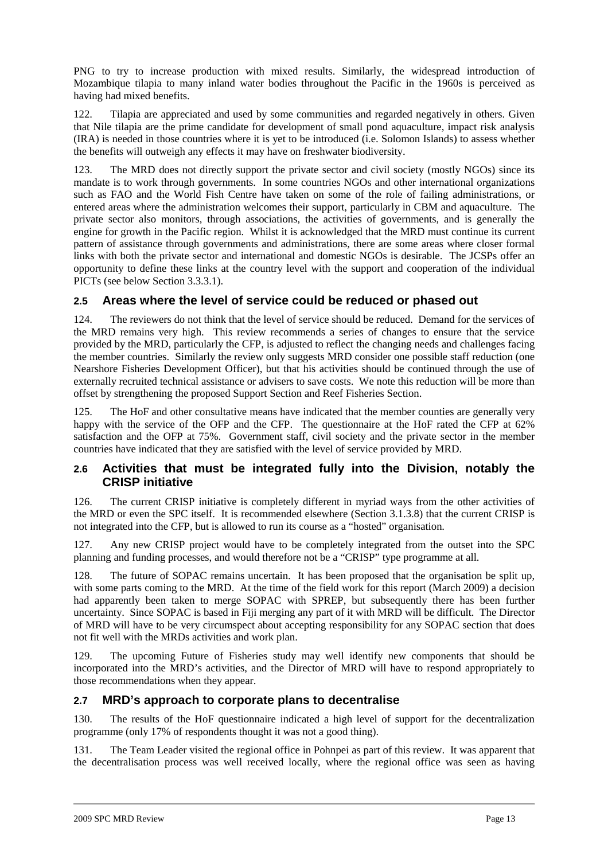PNG to try to increase production with mixed results. Similarly, the widespread introduction of Mozambique tilapia to many inland water bodies throughout the Pacific in the 1960s is perceived as having had mixed benefits.

122. Tilapia are appreciated and used by some communities and regarded negatively in others. Given that Nile tilapia are the prime candidate for development of small pond aquaculture, impact risk analysis (IRA) is needed in those countries where it is yet to be introduced (i.e. Solomon Islands) to assess whether the benefits will outweigh any effects it may have on freshwater biodiversity.

123. The MRD does not directly support the private sector and civil society (mostly NGOs) since its mandate is to work through governments. In some countries NGOs and other international organizations such as FAO and the World Fish Centre have taken on some of the role of failing administrations, or entered areas where the administration welcomes their support, particularly in CBM and aquaculture. The private sector also monitors, through associations, the activities of governments, and is generally the engine for growth in the Pacific region. Whilst it is acknowledged that the MRD must continue its current pattern of assistance through governments and administrations, there are some areas where closer formal links with both the private sector and international and domestic NGOs is desirable. The JCSPs offer an opportunity to define these links at the country level with the support and cooperation of the individual PICTs (see below Section 3.3.3.1).

## **2.5 Areas where the level of service could be reduced or phased out**

124. The reviewers do not think that the level of service should be reduced. Demand for the services of the MRD remains very high. This review recommends a series of changes to ensure that the service provided by the MRD, particularly the CFP, is adjusted to reflect the changing needs and challenges facing the member countries. Similarly the review only suggests MRD consider one possible staff reduction (one Nearshore Fisheries Development Officer), but that his activities should be continued through the use of externally recruited technical assistance or advisers to save costs. We note this reduction will be more than offset by strengthening the proposed Support Section and Reef Fisheries Section.

125. The HoF and other consultative means have indicated that the member counties are generally very happy with the service of the OFP and the CFP. The questionnaire at the HoF rated the CFP at 62% satisfaction and the OFP at 75%. Government staff, civil society and the private sector in the member countries have indicated that they are satisfied with the level of service provided by MRD.

## **2.6 Activities that must be integrated fully into the Division, notably the CRISP initiative**

126. The current CRISP initiative is completely different in myriad ways from the other activities of the MRD or even the SPC itself. It is recommended elsewhere (Section 3.1.3.8) that the current CRISP is not integrated into the CFP, but is allowed to run its course as a "hosted" organisation.

127. Any new CRISP project would have to be completely integrated from the outset into the SPC planning and funding processes, and would therefore not be a "CRISP" type programme at all.

128. The future of SOPAC remains uncertain. It has been proposed that the organisation be split up, with some parts coming to the MRD. At the time of the field work for this report (March 2009) a decision had apparently been taken to merge SOPAC with SPREP, but subsequently there has been further uncertainty. Since SOPAC is based in Fiji merging any part of it with MRD will be difficult. The Director of MRD will have to be very circumspect about accepting responsibility for any SOPAC section that does not fit well with the MRDs activities and work plan.

129. The upcoming Future of Fisheries study may well identify new components that should be incorporated into the MRD's activities, and the Director of MRD will have to respond appropriately to those recommendations when they appear.

## **2.7 MRD's approach to corporate plans to decentralise**

130. The results of the HoF questionnaire indicated a high level of support for the decentralization programme (only 17% of respondents thought it was not a good thing).

131. The Team Leader visited the regional office in Pohnpei as part of this review. It was apparent that the decentralisation process was well received locally, where the regional office was seen as having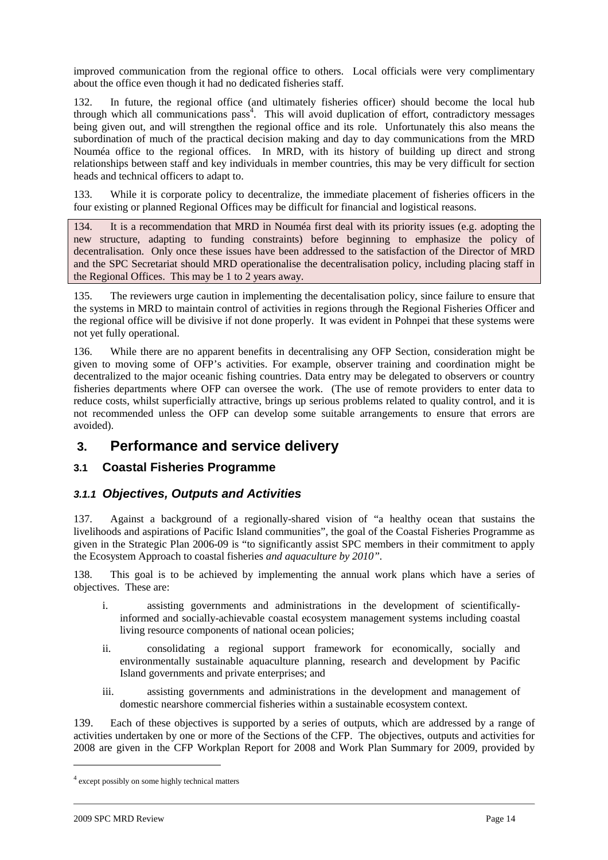improved communication from the regional office to others. Local officials were very complimentary about the office even though it had no dedicated fisheries staff.

132. In future, the regional office (and ultimately fisheries officer) should become the local hub through which all communications  $pass<sup>4</sup>$ . This will avoid duplication of effort, contradictory messages being given out, and will strengthen the regional office and its role. Unfortunately this also means the subordination of much of the practical decision making and day to day communications from the MRD Nouméa office to the regional offices. In MRD, with its history of building up direct and strong relationships between staff and key individuals in member countries, this may be very difficult for section heads and technical officers to adapt to.

133. While it is corporate policy to decentralize, the immediate placement of fisheries officers in the four existing or planned Regional Offices may be difficult for financial and logistical reasons.

134. It is a recommendation that MRD in Nouméa first deal with its priority issues (e.g. adopting the new structure, adapting to funding constraints) before beginning to emphasize the policy of decentralisation. Only once these issues have been addressed to the satisfaction of the Director of MRD and the SPC Secretariat should MRD operationalise the decentralisation policy, including placing staff in the Regional Offices. This may be 1 to 2 years away.

135. The reviewers urge caution in implementing the decentalisation policy, since failure to ensure that the systems in MRD to maintain control of activities in regions through the Regional Fisheries Officer and the regional office will be divisive if not done properly. It was evident in Pohnpei that these systems were not yet fully operational.

136. While there are no apparent benefits in decentralising any OFP Section, consideration might be given to moving some of OFP's activities. For example, observer training and coordination might be decentralized to the major oceanic fishing countries. Data entry may be delegated to observers or country fisheries departments where OFP can oversee the work. (The use of remote providers to enter data to reduce costs, whilst superficially attractive, brings up serious problems related to quality control, and it is not recommended unless the OFP can develop some suitable arrangements to ensure that errors are avoided).

## **3. Performance and service delivery**

## **3.1 Coastal Fisheries Programme**

## **3.1.1 Objectives, Outputs and Activities**

137. Against a background of a regionally-shared vision of "a healthy ocean that sustains the livelihoods and aspirations of Pacific Island communities", the goal of the Coastal Fisheries Programme as given in the Strategic Plan 2006-09 is "to significantly assist SPC members in their commitment to apply the Ecosystem Approach to coastal fisheries *and aquaculture by 2010".*

138. This goal is to be achieved by implementing the annual work plans which have a series of objectives. These are:

- i. assisting governments and administrations in the development of scientificallyinformed and socially-achievable coastal ecosystem management systems including coastal living resource components of national ocean policies;
- ii. consolidating a regional support framework for economically, socially and environmentally sustainable aquaculture planning, research and development by Pacific Island governments and private enterprises; and
- iii. assisting governments and administrations in the development and management of domestic nearshore commercial fisheries within a sustainable ecosystem context.

139. Each of these objectives is supported by a series of outputs, which are addressed by a range of activities undertaken by one or more of the Sections of the CFP. The objectives, outputs and activities for 2008 are given in the CFP Workplan Report for 2008 and Work Plan Summary for 2009, provided by

<sup>&</sup>lt;sup>4</sup> except possibly on some highly technical matters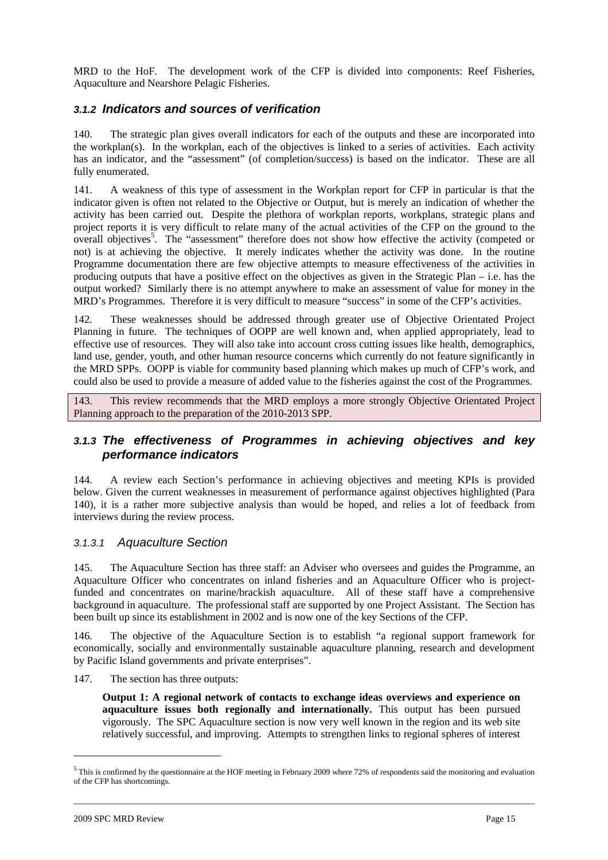MRD to the HoF. The development work of the CFP is divided into components: Reef Fisheries, Aquaculture and Nearshore Pelagic Fisheries.

### **3.1.2 Indicators and sources of verification**

140. The strategic plan gives overall indicators for each of the outputs and these are incorporated into the workplan(s). In the workplan, each of the objectives is linked to a series of activities. Each activity has an indicator, and the "assessment" (of completion/success) is based on the indicator. These are all fully enumerated.

141. A weakness of this type of assessment in the Workplan report for CFP in particular is that the indicator given is often not related to the Objective or Output, but is merely an indication of whether the activity has been carried out. Despite the plethora of workplan reports, workplans, strategic plans and project reports it is very difficult to relate many of the actual activities of the CFP on the ground to the overall objectives<sup>5</sup>. The "assessment" therefore does not show how effective the activity (competed or not) is at achieving the objective. It merely indicates whether the activity was done. In the routine Programme documentation there are few objective attempts to measure effectiveness of the activities in producing outputs that have a positive effect on the objectives as given in the Strategic Plan – i.e. has the output worked? Similarly there is no attempt anywhere to make an assessment of value for money in the MRD's Programmes. Therefore it is very difficult to measure "success" in some of the CFP's activities.

142. These weaknesses should be addressed through greater use of Objective Orientated Project Planning in future. The techniques of OOPP are well known and, when applied appropriately, lead to effective use of resources. They will also take into account cross cutting issues like health, demographics, land use, gender, youth, and other human resource concerns which currently do not feature significantly in the MRD SPPs. OOPP is viable for community based planning which makes up much of CFP's work, and could also be used to provide a measure of added value to the fisheries against the cost of the Programmes.

143. This review recommends that the MRD employs a more strongly Objective Orientated Project Planning approach to the preparation of the 2010-2013 SPP.

## **3.1.3 The effectiveness of Programmes in achieving objectives and key performance indicators**

144. A review each Section's performance in achieving objectives and meeting KPIs is provided below. Given the current weaknesses in measurement of performance against objectives highlighted (Para 140), it is a rather more subjective analysis than would be hoped, and relies a lot of feedback from interviews during the review process.

### 3.1.3.1 Aquaculture Section

145. The Aquaculture Section has three staff: an Adviser who oversees and guides the Programme, an Aquaculture Officer who concentrates on inland fisheries and an Aquaculture Officer who is projectfunded and concentrates on marine/brackish aquaculture. All of these staff have a comprehensive background in aquaculture. The professional staff are supported by one Project Assistant. The Section has been built up since its establishment in 2002 and is now one of the key Sections of the CFP.

146. The objective of the Aquaculture Section is to establish "a regional support framework for economically, socially and environmentally sustainable aquaculture planning, research and development by Pacific Island governments and private enterprises".

147. The section has three outputs:

**Output 1: A regional network of contacts to exchange ideas overviews and experience on aquaculture issues both regionally and internationally.** This output has been pursued vigorously. The SPC Aquaculture section is now very well known in the region and its web site relatively successful, and improving.Attempts to strengthen links to regional spheres of interest

 $<sup>5</sup>$  This is confirmed by the questionnaire at the HOF meeting in February 2009 where 72% of respondents said the monitoring and evaluation</sup> of the CFP has shortcomings.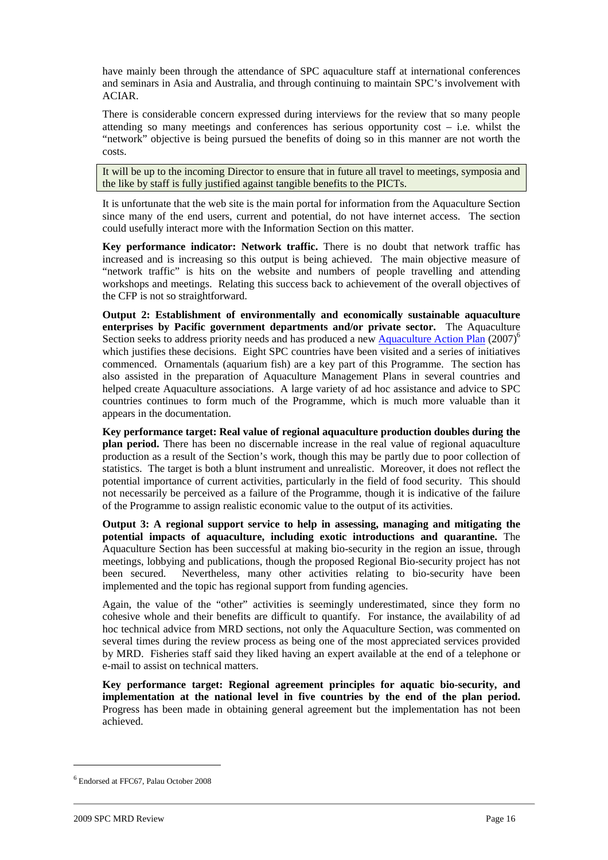have mainly been through the attendance of SPC aquaculture staff at international conferences and seminars in Asia and Australia, and through continuing to maintain SPC's involvement with ACIAR.

There is considerable concern expressed during interviews for the review that so many people attending so many meetings and conferences has serious opportunity cost  $-$  i.e. whilst the "network" objective is being pursued the benefits of doing so in this manner are not worth the costs.

It will be up to the incoming Director to ensure that in future all travel to meetings, symposia and the like by staff is fully justified against tangible benefits to the PICTs.

It is unfortunate that the web site is the main portal for information from the Aquaculture Section since many of the end users, current and potential, do not have internet access. The section could usefully interact more with the Information Section on this matter.

**Key performance indicator: Network traffic.** There is no doubt that network traffic has increased and is increasing so this output is being achieved. The main objective measure of "network traffic" is hits on the website and numbers of people travelling and attending workshops and meetings. Relating this success back to achievement of the overall objectives of the CFP is not so straightforward.

**Output 2: Establishment of environmentally and economically sustainable aquaculture enterprises by Pacific government departments and/or private sector.** The Aquaculture Section seeks to address priority needs and has produced a new Aquaculture Action Plan (2007)<sup>6</sup> which justifies these decisions. Eight SPC countries have been visited and a series of initiatives commenced. Ornamentals (aquarium fish) are a key part of this Programme. The section has also assisted in the preparation of Aquaculture Management Plans in several countries and helped create Aquaculture associations. A large variety of ad hoc assistance and advice to SPC countries continues to form much of the Programme, which is much more valuable than it appears in the documentation.

**Key performance target: Real value of regional aquaculture production doubles during the plan period.** There has been no discernable increase in the real value of regional aquaculture production as a result of the Section's work, though this may be partly due to poor collection of statistics. The target is both a blunt instrument and unrealistic. Moreover, it does not reflect the potential importance of current activities, particularly in the field of food security. This should not necessarily be perceived as a failure of the Programme, though it is indicative of the failure of the Programme to assign realistic economic value to the output of its activities.

**Output 3: A regional support service to help in assessing, managing and mitigating the potential impacts of aquaculture, including exotic introductions and quarantine.** The Aquaculture Section has been successful at making bio-security in the region an issue, through meetings, lobbying and publications, though the proposed Regional Bio-security project has not been secured. Nevertheless, many other activities relating to bio-security have been implemented and the topic has regional support from funding agencies.

Again, the value of the "other" activities is seemingly underestimated, since they form no cohesive whole and their benefits are difficult to quantify. For instance, the availability of ad hoc technical advice from MRD sections, not only the Aquaculture Section, was commented on several times during the review process as being one of the most appreciated services provided by MRD. Fisheries staff said they liked having an expert available at the end of a telephone or e-mail to assist on technical matters.

**Key performance target: Regional agreement principles for aquatic bio-security, and implementation at the national level in five countries by the end of the plan period.**  Progress has been made in obtaining general agreement but the implementation has not been achieved.

<sup>6</sup> Endorsed at FFC67, Palau October 2008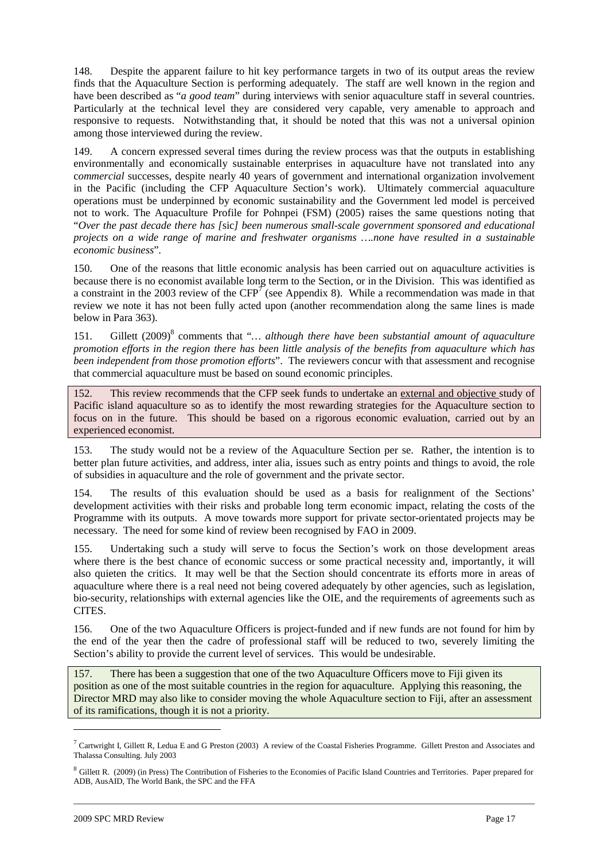148. Despite the apparent failure to hit key performance targets in two of its output areas the review finds that the Aquaculture Section is performing adequately. The staff are well known in the region and have been described as "*a good team*" during interviews with senior aquaculture staff in several countries. Particularly at the technical level they are considered very capable, very amenable to approach and responsive to requests. Notwithstanding that, it should be noted that this was not a universal opinion among those interviewed during the review.

149. A concern expressed several times during the review process was that the outputs in establishing environmentally and economically sustainable enterprises in aquaculture have not translated into any c*ommercial* successes, despite nearly 40 years of government and international organization involvement in the Pacific (including the CFP Aquaculture *S*ection's work). Ultimately commercial aquaculture operations must be underpinned by economic sustainability and the Government led model is perceived not to work. The Aquaculture Profile for Pohnpei (FSM) (2005) raises the same questions noting that "*Over the past decade there has [*sic*] been numerous small-scale government sponsored and educational projects on a wide range of marine and freshwater organisms ….none have resulted in a sustainable economic business*".

150. One of the reasons that little economic analysis has been carried out on aquaculture activities is because there is no economist available long term to the Section, or in the Division. This was identified as a constraint in the 2003 review of the  $CFP<sup>T</sup>$  (see Appendix 8). While a recommendation was made in that review we note it has not been fully acted upon (another recommendation along the same lines is made below in Para 363).

151. Gillett (2009)<sup>8</sup> comments that "... although there have been substantial amount of aquaculture *promotion efforts in the region there has been little analysis of the benefits from aquaculture which has been independent from those promotion efforts*". The reviewers concur with that assessment and recognise that commercial aquaculture must be based on sound economic principles.

152. This review recommends that the CFP seek funds to undertake an external and objective study of Pacific island aquaculture so as to identify the most rewarding strategies for the Aquaculture section to focus on in the future. This should be based on a rigorous economic evaluation, carried out by an experienced economist.

153. The study would not be a review of the Aquaculture Section per se. Rather, the intention is to better plan future activities, and address, inter alia, issues such as entry points and things to avoid, the role of subsidies in aquaculture and the role of government and the private sector.

154. The results of this evaluation should be used as a basis for realignment of the Sections' development activities with their risks and probable long term economic impact, relating the costs of the Programme with its outputs. A move towards more support for private sector-orientated projects may be necessary. The need for some kind of review been recognised by FAO in 2009.

155. Undertaking such a study will serve to focus the Section's work on those development areas where there is the best chance of economic success or some practical necessity and, importantly, it will also quieten the critics. It may well be that the Section should concentrate its efforts more in areas of aquaculture where there is a real need not being covered adequately by other agencies, such as legislation, bio-security, relationships with external agencies like the OIE, and the requirements of agreements such as CITES.

156. One of the two Aquaculture Officers is project-funded and if new funds are not found for him by the end of the year then the cadre of professional staff will be reduced to two, severely limiting the Section's ability to provide the current level of services. This would be undesirable.

157. There has been a suggestion that one of the two Aquaculture Officers move to Fiji given its position as one of the most suitable countries in the region for aquaculture. Applying this reasoning, the Director MRD may also like to consider moving the whole Aquaculture section to Fiji, after an assessment of its ramifications, though it is not a priority.

<sup>&</sup>lt;sup>7</sup> Cartwright I, Gillett R, Ledua E and G Preston (2003) A review of the Coastal Fisheries Programme. Gillett Preston and Associates and Thalassa Consulting. July 2003

<sup>&</sup>lt;sup>8</sup> Gillett R. (2009) (in Press) The Contribution of Fisheries to the Economies of Pacific Island Countries and Territories. Paper prepared for ADB, AusAID, The World Bank, the SPC and the FFA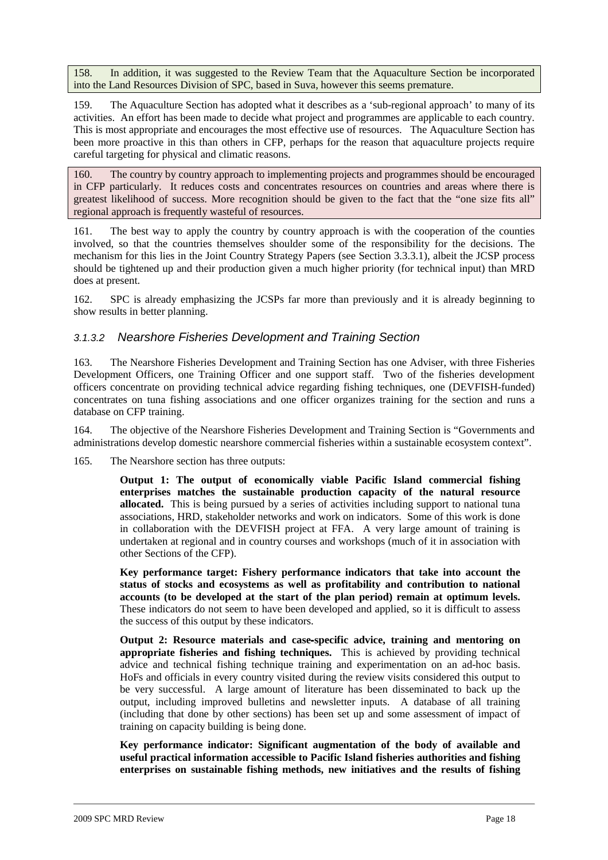158. In addition, it was suggested to the Review Team that the Aquaculture Section be incorporated into the Land Resources Division of SPC, based in Suva, however this seems premature.

159. The Aquaculture Section has adopted what it describes as a 'sub-regional approach' to many of its activities. An effort has been made to decide what project and programmes are applicable to each country. This is most appropriate and encourages the most effective use of resources. The Aquaculture Section has been more proactive in this than others in CFP, perhaps for the reason that aquaculture projects require careful targeting for physical and climatic reasons.

160. The country by country approach to implementing projects and programmes should be encouraged in CFP particularly. It reduces costs and concentrates resources on countries and areas where there is greatest likelihood of success. More recognition should be given to the fact that the "one size fits all" regional approach is frequently wasteful of resources.

161. The best way to apply the country by country approach is with the cooperation of the counties involved, so that the countries themselves shoulder some of the responsibility for the decisions. The mechanism for this lies in the Joint Country Strategy Papers (see Section 3.3.3.1), albeit the JCSP process should be tightened up and their production given a much higher priority (for technical input) than MRD does at present.

162. SPC is already emphasizing the JCSPs far more than previously and it is already beginning to show results in better planning.

### 3.1.3.2 Nearshore Fisheries Development and Training Section

163. The Nearshore Fisheries Development and Training Section has one Adviser, with three Fisheries Development Officers, one Training Officer and one support staff. Two of the fisheries development officers concentrate on providing technical advice regarding fishing techniques, one (DEVFISH-funded) concentrates on tuna fishing associations and one officer organizes training for the section and runs a database on CFP training.

164. The objective of the Nearshore Fisheries Development and Training Section is "Governments and administrations develop domestic nearshore commercial fisheries within a sustainable ecosystem context".

165. The Nearshore section has three outputs:

**Output 1: The output of economically viable Pacific Island commercial fishing enterprises matches the sustainable production capacity of the natural resource allocated.** This is being pursued by a series of activities including support to national tuna associations, HRD, stakeholder networks and work on indicators. Some of this work is done in collaboration with the DEVFISH project at FFA. A very large amount of training is undertaken at regional and in country courses and workshops (much of it in association with other Sections of the CFP).

**Key performance target: Fishery performance indicators that take into account the status of stocks and ecosystems as well as profitability and contribution to national accounts (to be developed at the start of the plan period) remain at optimum levels.**  These indicators do not seem to have been developed and applied, so it is difficult to assess the success of this output by these indicators.

**Output 2: Resource materials and case**‐**specific advice, training and mentoring on appropriate fisheries and fishing techniques.** This is achieved by providing technical advice and technical fishing technique training and experimentation on an ad-hoc basis. HoFs and officials in every country visited during the review visits considered this output to be very successful. A large amount of literature has been disseminated to back up the output, including improved bulletins and newsletter inputs. A database of all training (including that done by other sections) has been set up and some assessment of impact of training on capacity building is being done.

**Key performance indicator: Significant augmentation of the body of available and useful practical information accessible to Pacific Island fisheries authorities and fishing enterprises on sustainable fishing methods, new initiatives and the results of fishing**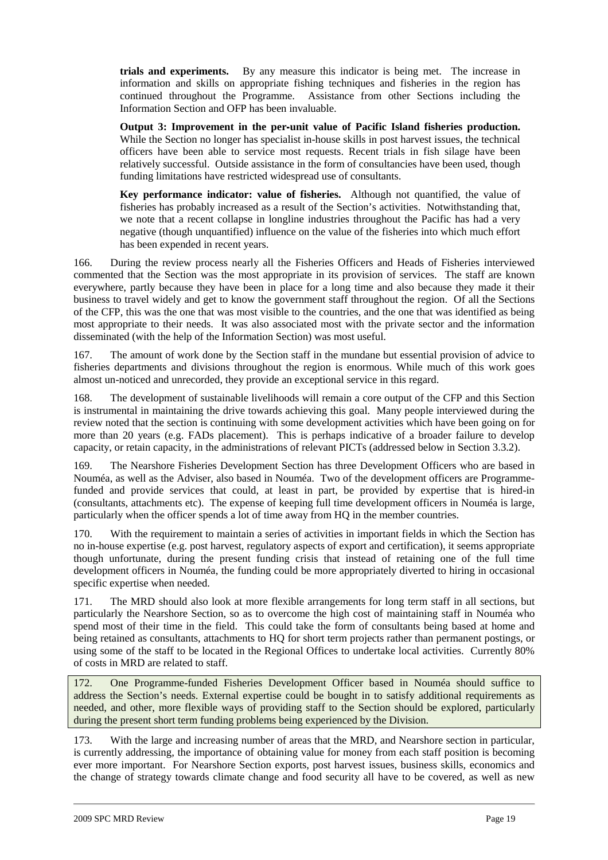**trials and experiments.** By any measure this indicator is being met. The increase in information and skills on appropriate fishing techniques and fisheries in the region has continued throughout the Programme. Assistance from other Sections including the Information Section and OFP has been invaluable.

**Output 3: Improvement in the per**‐**unit value of Pacific Island fisheries production.** While the Section no longer has specialist in-house skills in post harvest issues, the technical officers have been able to service most requests. Recent trials in fish silage have been relatively successful. Outside assistance in the form of consultancies have been used, though funding limitations have restricted widespread use of consultants.

**Key performance indicator: value of fisheries.** Although not quantified, the value of fisheries has probably increased as a result of the Section's activities. Notwithstanding that, we note that a recent collapse in longline industries throughout the Pacific has had a very negative (though unquantified) influence on the value of the fisheries into which much effort has been expended in recent years.

166. During the review process nearly all the Fisheries Officers and Heads of Fisheries interviewed commented that the Section was the most appropriate in its provision of services. The staff are known everywhere, partly because they have been in place for a long time and also because they made it their business to travel widely and get to know the government staff throughout the region. Of all the Sections of the CFP, this was the one that was most visible to the countries, and the one that was identified as being most appropriate to their needs. It was also associated most with the private sector and the information disseminated (with the help of the Information Section) was most useful.

167. The amount of work done by the Section staff in the mundane but essential provision of advice to fisheries departments and divisions throughout the region is enormous. While much of this work goes almost un-noticed and unrecorded, they provide an exceptional service in this regard.

168. The development of sustainable livelihoods will remain a core output of the CFP and this Section is instrumental in maintaining the drive towards achieving this goal. Many people interviewed during the review noted that the section is continuing with some development activities which have been going on for more than 20 years (e.g. FADs placement). This is perhaps indicative of a broader failure to develop capacity, or retain capacity, in the administrations of relevant PICTs (addressed below in Section 3.3.2).

169. The Nearshore Fisheries Development Section has three Development Officers who are based in Nouméa, as well as the Adviser, also based in Nouméa. Two of the development officers are Programmefunded and provide services that could, at least in part, be provided by expertise that is hired-in (consultants, attachments etc). The expense of keeping full time development officers in Nouméa is large, particularly when the officer spends a lot of time away from HQ in the member countries.

170. With the requirement to maintain a series of activities in important fields in which the Section has no in-house expertise (e.g. post harvest, regulatory aspects of export and certification), it seems appropriate though unfortunate, during the present funding crisis that instead of retaining one of the full time development officers in Nouméa, the funding could be more appropriately diverted to hiring in occasional specific expertise when needed.

171. The MRD should also look at more flexible arrangements for long term staff in all sections, but particularly the Nearshore Section, so as to overcome the high cost of maintaining staff in Nouméa who spend most of their time in the field. This could take the form of consultants being based at home and being retained as consultants, attachments to HQ for short term projects rather than permanent postings, or using some of the staff to be located in the Regional Offices to undertake local activities. Currently 80% of costs in MRD are related to staff.

172. One Programme-funded Fisheries Development Officer based in Nouméa should suffice to address the Section's needs. External expertise could be bought in to satisfy additional requirements as needed, and other, more flexible ways of providing staff to the Section should be explored, particularly during the present short term funding problems being experienced by the Division.

173. With the large and increasing number of areas that the MRD, and Nearshore section in particular, is currently addressing, the importance of obtaining value for money from each staff position is becoming ever more important. For Nearshore Section exports, post harvest issues, business skills, economics and the change of strategy towards climate change and food security all have to be covered, as well as new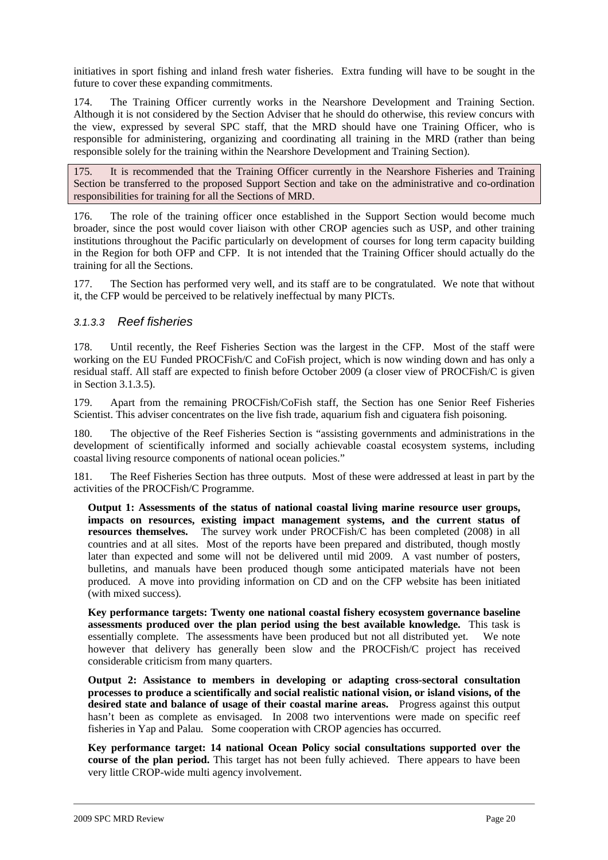initiatives in sport fishing and inland fresh water fisheries. Extra funding will have to be sought in the future to cover these expanding commitments.

174. The Training Officer currently works in the Nearshore Development and Training Section. Although it is not considered by the Section Adviser that he should do otherwise, this review concurs with the view, expressed by several SPC staff, that the MRD should have one Training Officer, who is responsible for administering, organizing and coordinating all training in the MRD (rather than being responsible solely for the training within the Nearshore Development and Training Section).

175. It is recommended that the Training Officer currently in the Nearshore Fisheries and Training Section be transferred to the proposed Support Section and take on the administrative and co-ordination responsibilities for training for all the Sections of MRD.

176. The role of the training officer once established in the Support Section would become much broader, since the post would cover liaison with other CROP agencies such as USP, and other training institutions throughout the Pacific particularly on development of courses for long term capacity building in the Region for both OFP and CFP. It is not intended that the Training Officer should actually do the training for all the Sections.

177. The Section has performed very well, and its staff are to be congratulated. We note that without it, the CFP would be perceived to be relatively ineffectual by many PICTs.

### 3.1.3.3 Reef fisheries

178. Until recently, the Reef Fisheries Section was the largest in the CFP. Most of the staff were working on the EU Funded PROCFish/C and CoFish project, which is now winding down and has only a residual staff. All staff are expected to finish before October 2009 (a closer view of PROCFish/C is given in Section 3.1.3.5).

179. Apart from the remaining PROCFish/CoFish staff, the Section has one Senior Reef Fisheries Scientist. This adviser concentrates on the live fish trade, aquarium fish and ciguatera fish poisoning.

180. The objective of the Reef Fisheries Section is "assisting governments and administrations in the development of scientifically informed and socially achievable coastal ecosystem systems, including coastal living resource components of national ocean policies."

181. The Reef Fisheries Section has three outputs. Most of these were addressed at least in part by the activities of the PROCFish/C Programme.

**Output 1: Assessments of the status of national coastal living marine resource user groups, impacts on resources, existing impact management systems, and the current status of resources themselves.** The survey work under PROCFish/C has been completed (2008) in all countries and at all sites. Most of the reports have been prepared and distributed, though mostly later than expected and some will not be delivered until mid 2009. A vast number of posters, bulletins, and manuals have been produced though some anticipated materials have not been produced. A move into providing information on CD and on the CFP website has been initiated (with mixed success).

**Key performance targets: Twenty one national coastal fishery ecosystem governance baseline assessments produced over the plan period using the best available knowledge.** This task is essentially complete. The assessments have been produced but not all distributed yet. We note however that delivery has generally been slow and the PROCFish/C project has received considerable criticism from many quarters.

**Output 2: Assistance to members in developing or adapting cross-sectoral consultation processes to produce a scientifically and social realistic national vision, or island visions, of the desired state and balance of usage of their coastal marine areas.** Progress against this output hasn't been as complete as envisaged. In 2008 two interventions were made on specific reef fisheries in Yap and Palau. Some cooperation with CROP agencies has occurred.

**Key performance target: 14 national Ocean Policy social consultations supported over the course of the plan period.** This target has not been fully achieved. There appears to have been very little CROP-wide multi agency involvement.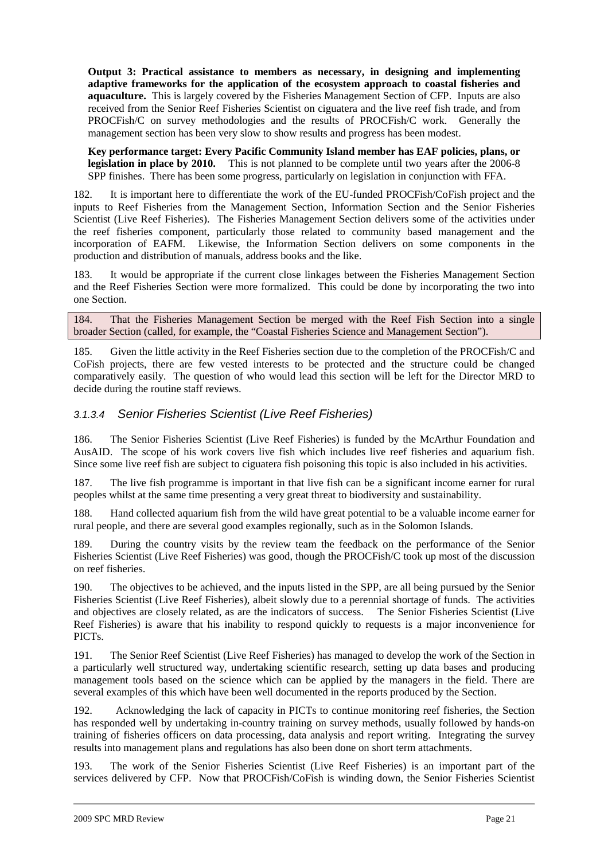**Output 3: Practical assistance to members as necessary, in designing and implementing adaptive frameworks for the application of the ecosystem approach to coastal fisheries and aquaculture.** This is largely covered by the Fisheries Management Section of CFP. Inputs are also received from the Senior Reef Fisheries Scientist on ciguatera and the live reef fish trade, and from PROCFish/C on survey methodologies and the results of PROCFish/C work. Generally the management section has been very slow to show results and progress has been modest.

**Key performance target: Every Pacific Community Island member has EAF policies, plans, or legislation in place by 2010.** This is not planned to be complete until two years after the 2006-8 SPP finishes. There has been some progress, particularly on legislation in conjunction with FFA.

182. It is important here to differentiate the work of the EU-funded PROCFish/CoFish project and the inputs to Reef Fisheries from the Management Section, Information Section and the Senior Fisheries Scientist (Live Reef Fisheries). The Fisheries Management Section delivers some of the activities under the reef fisheries component, particularly those related to community based management and the incorporation of EAFM. Likewise, the Information Section delivers on some components in the production and distribution of manuals, address books and the like.

183. It would be appropriate if the current close linkages between the Fisheries Management Section and the Reef Fisheries Section were more formalized. This could be done by incorporating the two into one Section.

184. That the Fisheries Management Section be merged with the Reef Fish Section into a single broader Section (called, for example, the "Coastal Fisheries Science and Management Section").

185. Given the little activity in the Reef Fisheries section due to the completion of the PROCFish/C and CoFish projects, there are few vested interests to be protected and the structure could be changed comparatively easily. The question of who would lead this section will be left for the Director MRD to decide during the routine staff reviews.

## 3.1.3.4 Senior Fisheries Scientist (Live Reef Fisheries)

186. The Senior Fisheries Scientist (Live Reef Fisheries) is funded by the McArthur Foundation and AusAID. The scope of his work covers live fish which includes live reef fisheries and aquarium fish. Since some live reef fish are subject to ciguatera fish poisoning this topic is also included in his activities.

187. The live fish programme is important in that live fish can be a significant income earner for rural peoples whilst at the same time presenting a very great threat to biodiversity and sustainability.

188. Hand collected aquarium fish from the wild have great potential to be a valuable income earner for rural people, and there are several good examples regionally, such as in the Solomon Islands.

189. During the country visits by the review team the feedback on the performance of the Senior Fisheries Scientist (Live Reef Fisheries) was good, though the PROCFish/C took up most of the discussion on reef fisheries.

190. The objectives to be achieved, and the inputs listed in the SPP, are all being pursued by the Senior Fisheries Scientist (Live Reef Fisheries), albeit slowly due to a perennial shortage of funds. The activities and objectives are closely related, as are the indicators of success. The Senior Fisheries Scientist (Live Reef Fisheries) is aware that his inability to respond quickly to requests is a major inconvenience for PICTs.

191. The Senior Reef Scientist (Live Reef Fisheries) has managed to develop the work of the Section in a particularly well structured way, undertaking scientific research, setting up data bases and producing management tools based on the science which can be applied by the managers in the field. There are several examples of this which have been well documented in the reports produced by the Section.

192. Acknowledging the lack of capacity in PICTs to continue monitoring reef fisheries, the Section has responded well by undertaking in-country training on survey methods, usually followed by hands-on training of fisheries officers on data processing, data analysis and report writing. Integrating the survey results into management plans and regulations has also been done on short term attachments.

193. The work of the Senior Fisheries Scientist (Live Reef Fisheries) is an important part of the services delivered by CFP. Now that PROCFish/CoFish is winding down, the Senior Fisheries Scientist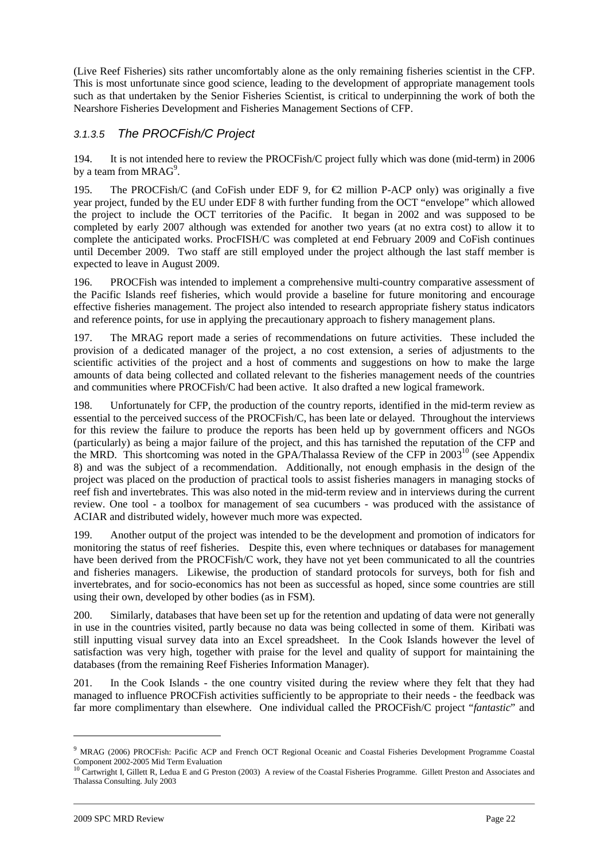(Live Reef Fisheries) sits rather uncomfortably alone as the only remaining fisheries scientist in the CFP. This is most unfortunate since good science, leading to the development of appropriate management tools such as that undertaken by the Senior Fisheries Scientist, is critical to underpinning the work of both the Nearshore Fisheries Development and Fisheries Management Sections of CFP.

## 3.1.3.5 The PROCFish/C Project

194. It is not intended here to review the PROCFish/C project fully which was done (mid-term) in 2006 by a team from  $MRAG^9$ .

195. The PROCFish/C (and CoFish under EDF 9, for  $\epsilon$ 2 millon P-ACP only) was originally a five year project, funded by the EU under EDF 8 with further funding from the OCT "envelope" which allowed the project to include the OCT territories of the Pacific. It began in 2002 and was supposed to be completed by early 2007 although was extended for another two years (at no extra cost) to allow it to complete the anticipated works. ProcFISH/C was completed at end February 2009 and CoFish continues until December 2009. Two staff are still employed under the project although the last staff member is expected to leave in August 2009.

196. PROCFish was intended to implement a comprehensive multi-country comparative assessment of the Pacific Islands reef fisheries, which would provide a baseline for future monitoring and encourage effective fisheries management. The project also intended to research appropriate fishery status indicators and reference points, for use in applying the precautionary approach to fishery management plans.

197. The MRAG report made a series of recommendations on future activities. These included the provision of a dedicated manager of the project, a no cost extension, a series of adjustments to the scientific activities of the project and a host of comments and suggestions on how to make the large amounts of data being collected and collated relevant to the fisheries management needs of the countries and communities where PROCFish/C had been active. It also drafted a new logical framework.

198. Unfortunately for CFP, the production of the country reports, identified in the mid-term review as essential to the perceived success of the PROCFish/C, has been late or delayed. Throughout the interviews for this review the failure to produce the reports has been held up by government officers and NGOs (particularly) as being a major failure of the project, and this has tarnished the reputation of the CFP and the MRD. This shortcoming was noted in the GPA/Thalassa Review of the CFP in  $2003^{10}$  (see Appendix 8) and was the subject of a recommendation. Additionally, not enough emphasis in the design of the project was placed on the production of practical tools to assist fisheries managers in managing stocks of reef fish and invertebrates. This was also noted in the mid-term review and in interviews during the current review. One tool - a toolbox for management of sea cucumbers - was produced with the assistance of ACIAR and distributed widely, however much more was expected.

199. Another output of the project was intended to be the development and promotion of indicators for monitoring the status of reef fisheries. Despite this, even where techniques or databases for management have been derived from the PROCFish/C work, they have not yet been communicated to all the countries and fisheries managers. Likewise, the production of standard protocols for surveys, both for fish and invertebrates, and for socio-economics has not been as successful as hoped, since some countries are still using their own, developed by other bodies (as in FSM).

200. Similarly, databases that have been set up for the retention and updating of data were not generally in use in the countries visited, partly because no data was being collected in some of them. Kiribati was still inputting visual survey data into an Excel spreadsheet. In the Cook Islands however the level of satisfaction was very high, together with praise for the level and quality of support for maintaining the databases (from the remaining Reef Fisheries Information Manager).

201. In the Cook Islands - the one country visited during the review where they felt that they had managed to influence PROCFish activities sufficiently to be appropriate to their needs - the feedback was far more complimentary than elsewhere. One individual called the PROCFish/C project "*fantastic*" and

<sup>&</sup>lt;sup>9</sup> MRAG (2006) PROCFish: Pacific ACP and French OCT Regional Oceanic and Coastal Fisheries Development Programme Coastal Component 2002-2005 Mid Term Evaluation<br><sup>10</sup> Cartwright I, Gillett R, Ledua E and G Preston (2003) A review of the Coastal Fisheries Programme. Gillett Preston and Associates and

Thalassa Consulting. July 2003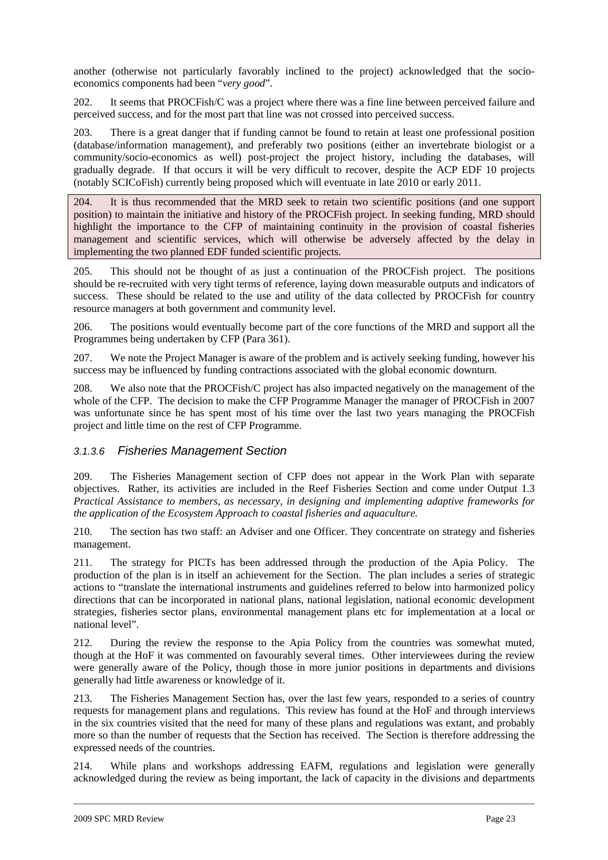another (otherwise not particularly favorably inclined to the project) acknowledged that the socioeconomics components had been "*very good*".

202. It seems that PROCFish/C was a project where there was a fine line between perceived failure and perceived success, and for the most part that line was not crossed into perceived success.

203. There is a great danger that if funding cannot be found to retain at least one professional position (database/information management), and preferably two positions (either an invertebrate biologist or a community/socio-economics as well) post-project the project history, including the databases, will gradually degrade. If that occurs it will be very difficult to recover, despite the ACP EDF 10 projects (notably SCICoFish) currently being proposed which will eventuate in late 2010 or early 2011.

204. It is thus recommended that the MRD seek to retain two scientific positions (and one support position) to maintain the initiative and history of the PROCFish project. In seeking funding, MRD should highlight the importance to the CFP of maintaining continuity in the provision of coastal fisheries management and scientific services, which will otherwise be adversely affected by the delay in implementing the two planned EDF funded scientific projects.

205. This should not be thought of as just a continuation of the PROCFish project. The positions should be re-recruited with very tight terms of reference, laying down measurable outputs and indicators of success. These should be related to the use and utility of the data collected by PROCFish for country resource managers at both government and community level.

206. The positions would eventually become part of the core functions of the MRD and support all the Programmes being undertaken by CFP (Para 361).

207. We note the Project Manager is aware of the problem and is actively seeking funding, however his success may be influenced by funding contractions associated with the global economic downturn.

208. We also note that the PROCFish/C project has also impacted negatively on the management of the whole of the CFP. The decision to make the CFP Programme Manager the manager of PROCFish in 2007 was unfortunate since he has spent most of his time over the last two years managing the PROCFish project and little time on the rest of CFP Programme.

### 3.1.3.6 Fisheries Management Section

209. The Fisheries Management section of CFP does not appear in the Work Plan with separate objectives. Rather, its activities are included in the Reef Fisheries Section and come under Output 1.3 *Practical Assistance to members, as necessary, in designing and implementing adaptive frameworks for the application of the Ecosystem Approach to coastal fisheries and aquaculture.*

210. The section has two staff: an Adviser and one Officer. They concentrate on strategy and fisheries management.

211. The strategy for PICTs has been addressed through the production of the Apia Policy. The production of the plan is in itself an achievement for the Section. The plan includes a series of strategic actions to "translate the international instruments and guidelines referred to below into harmonized policy directions that can be incorporated in national plans, national legislation, national economic development strategies, fisheries sector plans, environmental management plans etc for implementation at a local or national level".

212. During the review the response to the Apia Policy from the countries was somewhat muted, though at the HoF it was commented on favourably several times. Other interviewees during the review were generally aware of the Policy, though those in more junior positions in departments and divisions generally had little awareness or knowledge of it.

213. The Fisheries Management Section has, over the last few years, responded to a series of country requests for management plans and regulations. This review has found at the HoF and through interviews in the six countries visited that the need for many of these plans and regulations was extant, and probably more so than the number of requests that the Section has received. The Section is therefore addressing the expressed needs of the countries.

214. While plans and workshops addressing EAFM, regulations and legislation were generally acknowledged during the review as being important, the lack of capacity in the divisions and departments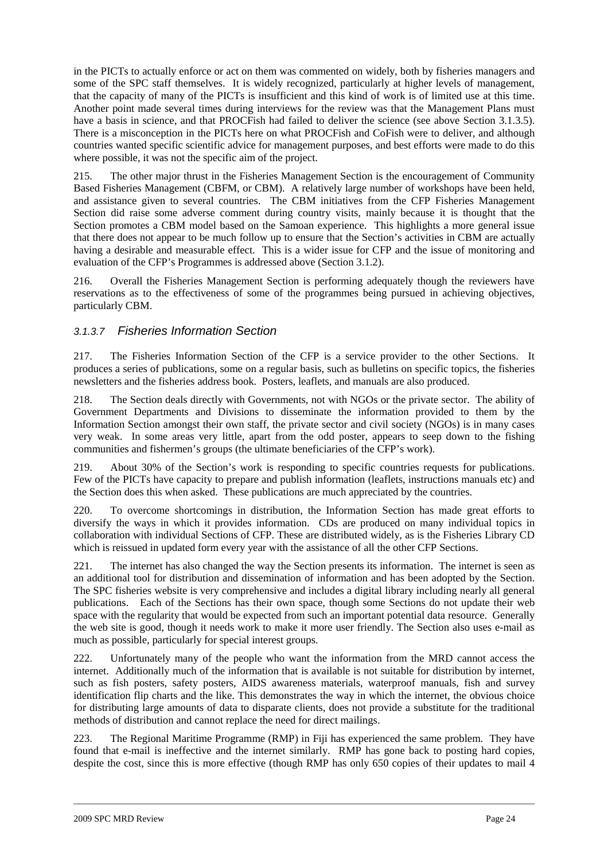in the PICTs to actually enforce or act on them was commented on widely, both by fisheries managers and some of the SPC staff themselves. It is widely recognized, particularly at higher levels of management, that the capacity of many of the PICTs is insufficient and this kind of work is of limited use at this time. Another point made several times during interviews for the review was that the Management Plans must have a basis in science, and that PROCFish had failed to deliver the science (see above Section 3.1.3.5). There is a misconception in the PICTs here on what PROCFish and CoFish were to deliver, and although countries wanted specific scientific advice for management purposes, and best efforts were made to do this where possible, it was not the specific aim of the project.

215. The other major thrust in the Fisheries Management Section is the encouragement of Community Based Fisheries Management (CBFM, or CBM). A relatively large number of workshops have been held, and assistance given to several countries. The CBM initiatives from the CFP Fisheries Management Section did raise some adverse comment during country visits, mainly because it is thought that the Section promotes a CBM model based on the Samoan experience. This highlights a more general issue that there does not appear to be much follow up to ensure that the Section's activities in CBM are actually having a desirable and measurable effect. This is a wider issue for CFP and the issue of monitoring and evaluation of the CFP's Programmes is addressed above (Section 3.1.2).

216. Overall the Fisheries Management Section is performing adequately though the reviewers have reservations as to the effectiveness of some of the programmes being pursued in achieving objectives, particularly CBM.

## 3.1.3.7 Fisheries Information Section

217. The Fisheries Information Section of the CFP is a service provider to the other Sections. It produces a series of publications, some on a regular basis, such as bulletins on specific topics, the fisheries newsletters and the fisheries address book. Posters, leaflets, and manuals are also produced.

218. The Section deals directly with Governments, not with NGOs or the private sector. The ability of Government Departments and Divisions to disseminate the information provided to them by the Information Section amongst their own staff, the private sector and civil society (NGOs) is in many cases very weak. In some areas very little, apart from the odd poster, appears to seep down to the fishing communities and fishermen's groups (the ultimate beneficiaries of the CFP's work).

219. About 30% of the Section's work is responding to specific countries requests for publications. Few of the PICTs have capacity to prepare and publish information (leaflets, instructions manuals etc) and the Section does this when asked. These publications are much appreciated by the countries.

220. To overcome shortcomings in distribution, the Information Section has made great efforts to diversify the ways in which it provides information. CDs are produced on many individual topics in collaboration with individual Sections of CFP. These are distributed widely, as is the Fisheries Library CD which is reissued in updated form every year with the assistance of all the other CFP Sections.

221. The internet has also changed the way the Section presents its information. The internet is seen as an additional tool for distribution and dissemination of information and has been adopted by the Section. The SPC fisheries website is very comprehensive and includes a digital library including nearly all general publications. Each of the Sections has their own space, though some Sections do not update their web space with the regularity that would be expected from such an important potential data resource. Generally the web site is good, though it needs work to make it more user friendly. The Section also uses e-mail as much as possible, particularly for special interest groups.

222. Unfortunately many of the people who want the information from the MRD cannot access the internet. Additionally much of the information that is available is not suitable for distribution by internet, such as fish posters, safety posters, AIDS awareness materials, waterproof manuals, fish and survey identification flip charts and the like. This demonstrates the way in which the internet, the obvious choice for distributing large amounts of data to disparate clients, does not provide a substitute for the traditional methods of distribution and cannot replace the need for direct mailings.

223. The Regional Maritime Programme (RMP) in Fiji has experienced the same problem. They have found that e-mail is ineffective and the internet similarly. RMP has gone back to posting hard copies, despite the cost, since this is more effective (though RMP has only 650 copies of their updates to mail 4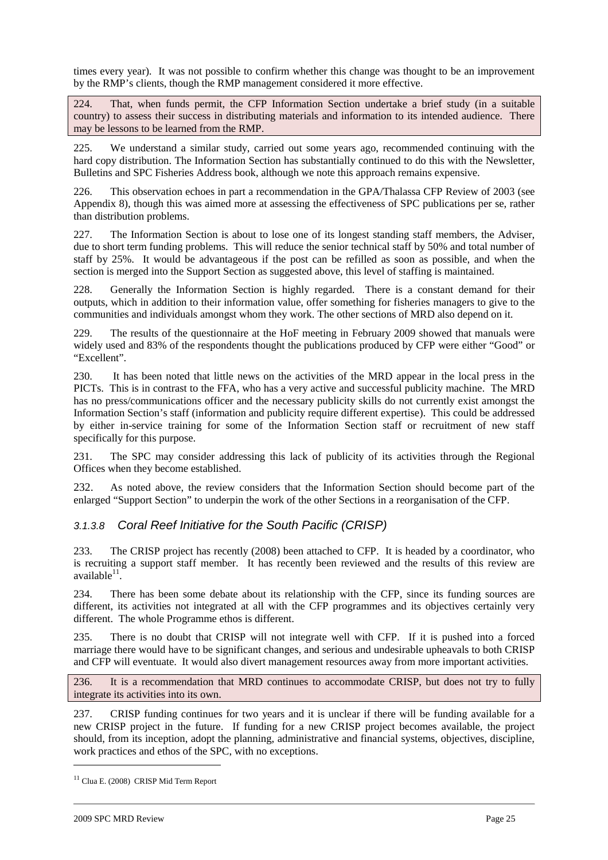times every year). It was not possible to confirm whether this change was thought to be an improvement by the RMP's clients, though the RMP management considered it more effective.

224. That, when funds permit, the CFP Information Section undertake a brief study (in a suitable country) to assess their success in distributing materials and information to its intended audience. There may be lessons to be learned from the RMP.

225. We understand a similar study, carried out some years ago, recommended continuing with the hard copy distribution. The Information Section has substantially continued to do this with the Newsletter, Bulletins and SPC Fisheries Address book, although we note this approach remains expensive.

226. This observation echoes in part a recommendation in the GPA/Thalassa CFP Review of 2003 (see Appendix 8), though this was aimed more at assessing the effectiveness of SPC publications per se, rather than distribution problems.

227. The Information Section is about to lose one of its longest standing staff members, the Adviser, due to short term funding problems. This will reduce the senior technical staff by 50% and total number of staff by 25%. It would be advantageous if the post can be refilled as soon as possible, and when the section is merged into the Support Section as suggested above, this level of staffing is maintained.

228. Generally the Information Section is highly regarded. There is a constant demand for their outputs, which in addition to their information value, offer something for fisheries managers to give to the communities and individuals amongst whom they work. The other sections of MRD also depend on it.

229. The results of the questionnaire at the HoF meeting in February 2009 showed that manuals were widely used and 83% of the respondents thought the publications produced by CFP were either "Good" or "Excellent".

230. It has been noted that little news on the activities of the MRD appear in the local press in the PICTs. This is in contrast to the FFA, who has a very active and successful publicity machine. The MRD has no press/communications officer and the necessary publicity skills do not currently exist amongst the Information Section's staff (information and publicity require different expertise). This could be addressed by either in-service training for some of the Information Section staff or recruitment of new staff specifically for this purpose.

231. The SPC may consider addressing this lack of publicity of its activities through the Regional Offices when they become established.

232. As noted above, the review considers that the Information Section should become part of the enlarged "Support Section" to underpin the work of the other Sections in a reorganisation of the CFP.

## 3.1.3.8 Coral Reef Initiative for the South Pacific (CRISP)

233. The CRISP project has recently (2008) been attached to CFP. It is headed by a coordinator, who is recruiting a support staff member. It has recently been reviewed and the results of this review are  $a$ vailable $11$ .

234. There has been some debate about its relationship with the CFP, since its funding sources are different, its activities not integrated at all with the CFP programmes and its objectives certainly very different. The whole Programme ethos is different.

235. There is no doubt that CRISP will not integrate well with CFP. If it is pushed into a forced marriage there would have to be significant changes, and serious and undesirable upheavals to both CRISP and CFP will eventuate. It would also divert management resources away from more important activities.

236. It is a recommendation that MRD continues to accommodate CRISP, but does not try to fully integrate its activities into its own.

237. CRISP funding continues for two years and it is unclear if there will be funding available for a new CRISP project in the future. If funding for a new CRISP project becomes available, the project should, from its inception, adopt the planning, administrative and financial systems, objectives, discipline, work practices and ethos of the SPC, with no exceptions.

<sup>11</sup> Clua E. (2008) CRISP Mid Term Report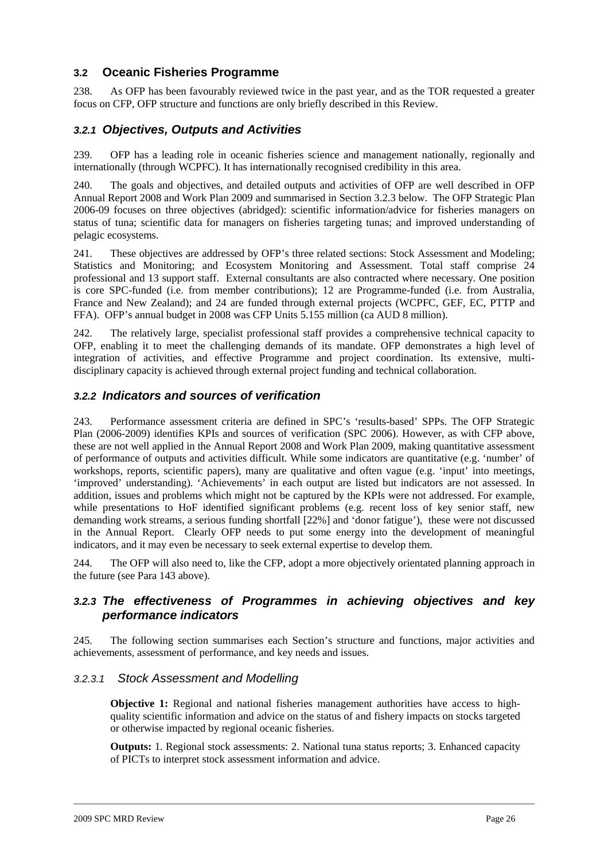## **3.2 Oceanic Fisheries Programme**

238. As OFP has been favourably reviewed twice in the past year, and as the TOR requested a greater focus on CFP, OFP structure and functions are only briefly described in this Review.

## **3.2.1 Objectives, Outputs and Activities**

239. OFP has a leading role in oceanic fisheries science and management nationally, regionally and internationally (through WCPFC). It has internationally recognised credibility in this area.

240. The goals and objectives, and detailed outputs and activities of OFP are well described in OFP Annual Report 2008 and Work Plan 2009 and summarised in Section 3.2.3 below. The OFP Strategic Plan 2006-09 focuses on three objectives (abridged): scientific information/advice for fisheries managers on status of tuna; scientific data for managers on fisheries targeting tunas; and improved understanding of pelagic ecosystems.

241. These objectives are addressed by OFP's three related sections: Stock Assessment and Modeling; Statistics and Monitoring; and Ecosystem Monitoring and Assessment. Total staff comprise 24 professional and 13 support staff. External consultants are also contracted where necessary. One position is core SPC-funded (i.e. from member contributions); 12 are Programme-funded (i.e. from Australia, France and New Zealand); and 24 are funded through external projects (WCPFC, GEF, EC, PTTP and FFA). OFP's annual budget in 2008 was CFP Units 5.155 million (ca AUD 8 million).

242. The relatively large, specialist professional staff provides a comprehensive technical capacity to OFP, enabling it to meet the challenging demands of its mandate. OFP demonstrates a high level of integration of activities, and effective Programme and project coordination. Its extensive, multidisciplinary capacity is achieved through external project funding and technical collaboration.

### **3.2.2 Indicators and sources of verification**

243. Performance assessment criteria are defined in SPC's 'results-based' SPPs. The OFP Strategic Plan (2006-2009) identifies KPIs and sources of verification (SPC 2006). However, as with CFP above, these are not well applied in the Annual Report 2008 and Work Plan 2009, making quantitative assessment of performance of outputs and activities difficult. While some indicators are quantitative (e.g. 'number' of workshops, reports, scientific papers), many are qualitative and often vague (e.g. 'input' into meetings, 'improved' understanding). 'Achievements' in each output are listed but indicators are not assessed. In addition, issues and problems which might not be captured by the KPIs were not addressed. For example, while presentations to HoF identified significant problems (e.g. recent loss of key senior staff, new demanding work streams, a serious funding shortfall [22%] and 'donor fatigue'), these were not discussed in the Annual Report. Clearly OFP needs to put some energy into the development of meaningful indicators, and it may even be necessary to seek external expertise to develop them.

244. The OFP will also need to, like the CFP, adopt a more objectively orientated planning approach in the future (see Para 143 above).

## **3.2.3 The effectiveness of Programmes in achieving objectives and key performance indicators**

245. The following section summarises each Section's structure and functions, major activities and achievements, assessment of performance, and key needs and issues.

#### 3.2.3.1 Stock Assessment and Modelling

**Objective 1:** Regional and national fisheries management authorities have access to highquality scientific information and advice on the status of and fishery impacts on stocks targeted or otherwise impacted by regional oceanic fisheries.

**Outputs:** 1. Regional stock assessments: 2. National tuna status reports; 3. Enhanced capacity of PICTs to interpret stock assessment information and advice.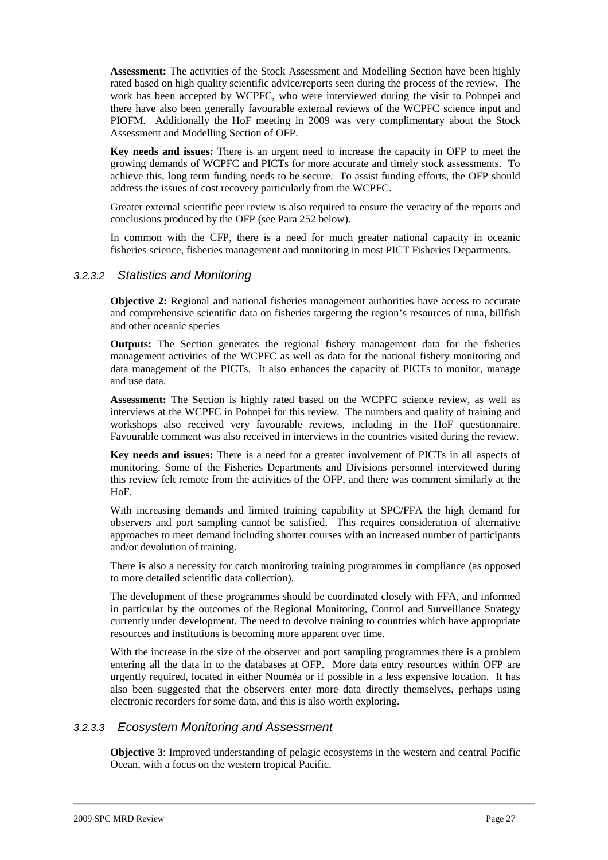**Assessment:** The activities of the Stock Assessment and Modelling Section have been highly rated based on high quality scientific advice/reports seen during the process of the review. The work has been accepted by WCPFC, who were interviewed during the visit to Pohnpei and there have also been generally favourable external reviews of the WCPFC science input and PIOFM. Additionally the HoF meeting in 2009 was very complimentary about the Stock Assessment and Modelling Section of OFP.

**Key needs and issues:** There is an urgent need to increase the capacity in OFP to meet the growing demands of WCPFC and PICTs for more accurate and timely stock assessments. To achieve this, long term funding needs to be secure. To assist funding efforts, the OFP should address the issues of cost recovery particularly from the WCPFC.

Greater external scientific peer review is also required to ensure the veracity of the reports and conclusions produced by the OFP (see Para 252 below).

In common with the CFP, there is a need for much greater national capacity in oceanic fisheries science, fisheries management and monitoring in most PICT Fisheries Departments.

#### 3.2.3.2 Statistics and Monitoring

**Objective 2:** Regional and national fisheries management authorities have access to accurate and comprehensive scientific data on fisheries targeting the region's resources of tuna, billfish and other oceanic species

**Outputs:** The Section generates the regional fishery management data for the fisheries management activities of the WCPFC as well as data for the national fishery monitoring and data management of the PICTs. It also enhances the capacity of PICTs to monitor, manage and use data.

**Assessment:** The Section is highly rated based on the WCPFC science review, as well as interviews at the WCPFC in Pohnpei for this review. The numbers and quality of training and workshops also received very favourable reviews, including in the HoF questionnaire. Favourable comment was also received in interviews in the countries visited during the review.

**Key needs and issues:** There is a need for a greater involvement of PICTs in all aspects of monitoring. Some of the Fisheries Departments and Divisions personnel interviewed during this review felt remote from the activities of the OFP, and there was comment similarly at the HoF.

With increasing demands and limited training capability at SPC/FFA the high demand for observers and port sampling cannot be satisfied. This requires consideration of alternative approaches to meet demand including shorter courses with an increased number of participants and/or devolution of training.

There is also a necessity for catch monitoring training programmes in compliance (as opposed to more detailed scientific data collection).

The development of these programmes should be coordinated closely with FFA, and informed in particular by the outcomes of the Regional Monitoring, Control and Surveillance Strategy currently under development. The need to devolve training to countries which have appropriate resources and institutions is becoming more apparent over time.

With the increase in the size of the observer and port sampling programmes there is a problem entering all the data in to the databases at OFP. More data entry resources within OFP are urgently required, located in either Nouméa or if possible in a less expensive location. It has also been suggested that the observers enter more data directly themselves, perhaps using electronic recorders for some data, and this is also worth exploring.

#### 3.2.3.3 Ecosystem Monitoring and Assessment

**Objective 3**: Improved understanding of pelagic ecosystems in the western and central Pacific Ocean, with a focus on the western tropical Pacific.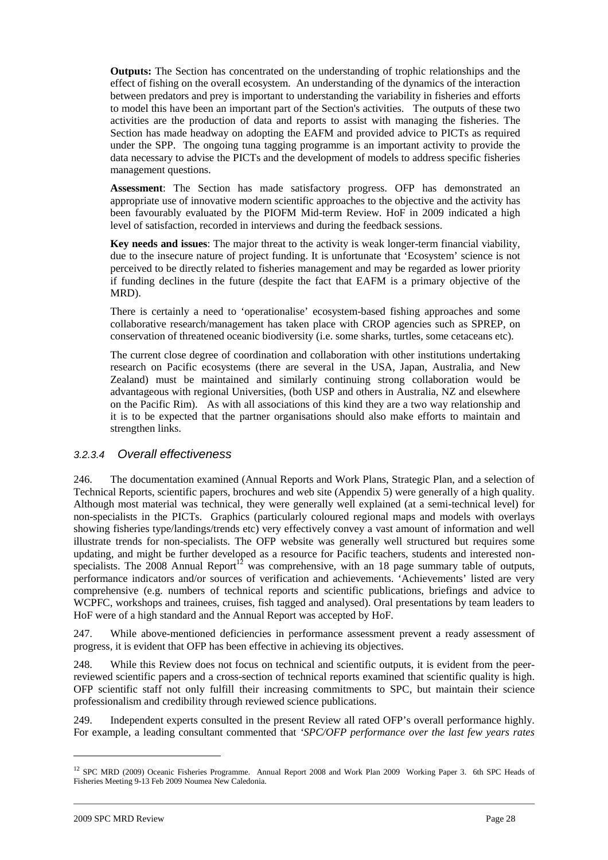**Outputs:** The Section has concentrated on the understanding of trophic relationships and the effect of fishing on the overall ecosystem. An understanding of the dynamics of the interaction between predators and prey is important to understanding the variability in fisheries and efforts to model this have been an important part of the Section's activities. The outputs of these two activities are the production of data and reports to assist with managing the fisheries. The Section has made headway on adopting the EAFM and provided advice to PICTs as required under the SPP. The ongoing tuna tagging programme is an important activity to provide the data necessary to advise the PICTs and the development of models to address specific fisheries management questions.

**Assessment**: The Section has made satisfactory progress. OFP has demonstrated an appropriate use of innovative modern scientific approaches to the objective and the activity has been favourably evaluated by the PIOFM Mid-term Review. HoF in 2009 indicated a high level of satisfaction, recorded in interviews and during the feedback sessions.

**Key needs and issues**: The major threat to the activity is weak longer-term financial viability, due to the insecure nature of project funding. It is unfortunate that 'Ecosystem' science is not perceived to be directly related to fisheries management and may be regarded as lower priority if funding declines in the future (despite the fact that EAFM is a primary objective of the MRD).

There is certainly a need to 'operationalise' ecosystem-based fishing approaches and some collaborative research/management has taken place with CROP agencies such as SPREP, on conservation of threatened oceanic biodiversity (i.e. some sharks, turtles, some cetaceans etc).

The current close degree of coordination and collaboration with other institutions undertaking research on Pacific ecosystems (there are several in the USA, Japan, Australia, and New Zealand) must be maintained and similarly continuing strong collaboration would be advantageous with regional Universities, (both USP and others in Australia, NZ and elsewhere on the Pacific Rim). As with all associations of this kind they are a two way relationship and it is to be expected that the partner organisations should also make efforts to maintain and strengthen links.

### 3.2.3.4 Overall effectiveness

246. The documentation examined (Annual Reports and Work Plans, Strategic Plan, and a selection of Technical Reports, scientific papers, brochures and web site (Appendix 5) were generally of a high quality. Although most material was technical, they were generally well explained (at a semi-technical level) for non-specialists in the PICTs. Graphics (particularly coloured regional maps and models with overlays showing fisheries type/landings/trends etc) very effectively convey a vast amount of information and well illustrate trends for non-specialists. The OFP website was generally well structured but requires some updating, and might be further developed as a resource for Pacific teachers, students and interested nonspecialists. The  $2008$  Annual Report<sup>12</sup> was comprehensive, with an 18 page summary table of outputs, performance indicators and/or sources of verification and achievements. 'Achievements' listed are very comprehensive (e.g. numbers of technical reports and scientific publications, briefings and advice to WCPFC, workshops and trainees, cruises, fish tagged and analysed). Oral presentations by team leaders to HoF were of a high standard and the Annual Report was accepted by HoF.

247. While above-mentioned deficiencies in performance assessment prevent a ready assessment of progress, it is evident that OFP has been effective in achieving its objectives.

248. While this Review does not focus on technical and scientific outputs, it is evident from the peerreviewed scientific papers and a cross-section of technical reports examined that scientific quality is high. OFP scientific staff not only fulfill their increasing commitments to SPC, but maintain their science professionalism and credibility through reviewed science publications.

249. Independent experts consulted in the present Review all rated OFP's overall performance highly. For example, a leading consultant commented that *'SPC/OFP performance over the last few years rates* 

<sup>&</sup>lt;sup>12</sup> SPC MRD (2009) Oceanic Fisheries Programme. Annual Report 2008 and Work Plan 2009 Working Paper 3. 6th SPC Heads of Fisheries Meeting 9-13 Feb 2009 Noumea New Caledonia.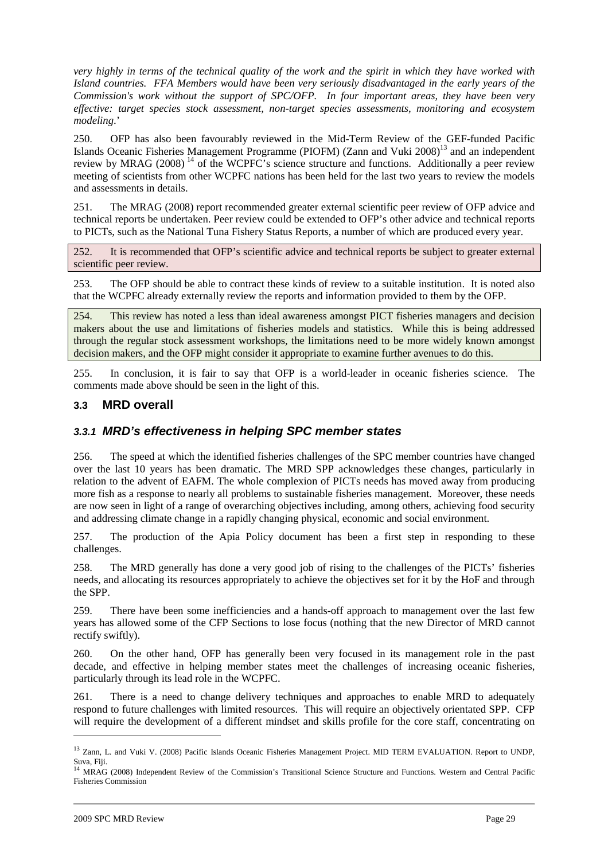*very highly in terms of the technical quality of the work and the spirit in which they have worked with Island countries. FFA Members would have been very seriously disadvantaged in the early years of the Commission's work without the support of SPC/OFP. In four important areas, they have been very effective: target species stock assessment, non-target species assessments, monitoring and ecosystem modeling*.'

250. OFP has also been favourably reviewed in the Mid-Term Review of the GEF-funded Pacific Islands Oceanic Fisheries Management Programme (PIOFM) (Zann and Vuki 2008)<sup>13</sup> and an independent review by MRAG  $(2008)^{14}$  of the WCPFC's science structure and functions. Additionally a peer review meeting of scientists from other WCPFC nations has been held for the last two years to review the models and assessments in details.

251. The MRAG (2008) report recommended greater external scientific peer review of OFP advice and technical reports be undertaken. Peer review could be extended to OFP's other advice and technical reports to PICTs, such as the National Tuna Fishery Status Reports, a number of which are produced every year.

252. It is recommended that OFP's scientific advice and technical reports be subject to greater external scientific peer review.

253. The OFP should be able to contract these kinds of review to a suitable institution. It is noted also that the WCPFC already externally review the reports and information provided to them by the OFP.

254. This review has noted a less than ideal awareness amongst PICT fisheries managers and decision makers about the use and limitations of fisheries models and statistics. While this is being addressed through the regular stock assessment workshops, the limitations need to be more widely known amongst decision makers, and the OFP might consider it appropriate to examine further avenues to do this.

255. In conclusion, it is fair to say that OFP is a world-leader in oceanic fisheries science. The comments made above should be seen in the light of this.

#### **3.3 MRD overall**

### **3.3.1 MRD's effectiveness in helping SPC member states**

256. The speed at which the identified fisheries challenges of the SPC member countries have changed over the last 10 years has been dramatic. The MRD SPP acknowledges these changes, particularly in relation to the advent of EAFM. The whole complexion of PICTs needs has moved away from producing more fish as a response to nearly all problems to sustainable fisheries management. Moreover, these needs are now seen in light of a range of overarching objectives including, among others, achieving food security and addressing climate change in a rapidly changing physical, economic and social environment.

257. The production of the Apia Policy document has been a first step in responding to these challenges.

258. The MRD generally has done a very good job of rising to the challenges of the PICTs' fisheries needs, and allocating its resources appropriately to achieve the objectives set for it by the HoF and through the SPP.

259. There have been some inefficiencies and a hands-off approach to management over the last few years has allowed some of the CFP Sections to lose focus (nothing that the new Director of MRD cannot rectify swiftly).

260. On the other hand, OFP has generally been very focused in its management role in the past decade, and effective in helping member states meet the challenges of increasing oceanic fisheries, particularly through its lead role in the WCPFC.

261. There is a need to change delivery techniques and approaches to enable MRD to adequately respond to future challenges with limited resources. This will require an objectively orientated SPP. CFP will require the development of a different mindset and skills profile for the core staff, concentrating on

<sup>&</sup>lt;sup>13</sup> Zann, L. and Vuki V. (2008) Pacific Islands Oceanic Fisheries Management Project. MID TERM EVALUATION. Report to UNDP, Suva, Fiji.<br><sup>14</sup> MRAG (2008) Independent Review of the Commission's Transitional Science Structure and Functions. Western and Central Pacific

Fisheries Commission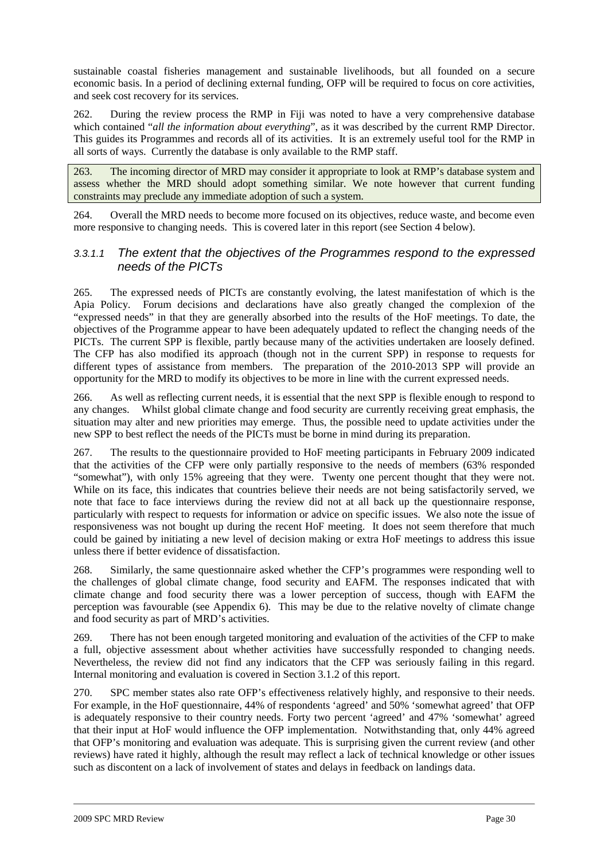sustainable coastal fisheries management and sustainable livelihoods, but all founded on a secure economic basis. In a period of declining external funding, OFP will be required to focus on core activities, and seek cost recovery for its services.

262. During the review process the RMP in Fiji was noted to have a very comprehensive database which contained "*all the information about everything*", as it was described by the current RMP Director. This guides its Programmes and records all of its activities. It is an extremely useful tool for the RMP in all sorts of ways. Currently the database is only available to the RMP staff.

263. The incoming director of MRD may consider it appropriate to look at RMP's database system and assess whether the MRD should adopt something similar. We note however that current funding constraints may preclude any immediate adoption of such a system.

264. Overall the MRD needs to become more focused on its objectives, reduce waste, and become even more responsive to changing needs. This is covered later in this report (see Section 4 below).

### 3.3.1.1 The extent that the objectives of the Programmes respond to the expressed needs of the PICTs

265. The expressed needs of PICTs are constantly evolving, the latest manifestation of which is the Apia Policy. Forum decisions and declarations have also greatly changed the complexion of the "expressed needs" in that they are generally absorbed into the results of the HoF meetings. To date, the objectives of the Programme appear to have been adequately updated to reflect the changing needs of the PICTs. The current SPP is flexible, partly because many of the activities undertaken are loosely defined. The CFP has also modified its approach (though not in the current SPP) in response to requests for different types of assistance from members. The preparation of the 2010-2013 SPP will provide an opportunity for the MRD to modify its objectives to be more in line with the current expressed needs.

266. As well as reflecting current needs, it is essential that the next SPP is flexible enough to respond to any changes. Whilst global climate change and food security are currently receiving great emphasis, the situation may alter and new priorities may emerge. Thus, the possible need to update activities under the new SPP to best reflect the needs of the PICTs must be borne in mind during its preparation.

267. The results to the questionnaire provided to HoF meeting participants in February 2009 indicated that the activities of the CFP were only partially responsive to the needs of members (63% responded "somewhat"), with only 15% agreeing that they were. Twenty one percent thought that they were not. While on its face, this indicates that countries believe their needs are not being satisfactorily served, we note that face to face interviews during the review did not at all back up the questionnaire response, particularly with respect to requests for information or advice on specific issues. We also note the issue of responsiveness was not bought up during the recent HoF meeting. It does not seem therefore that much could be gained by initiating a new level of decision making or extra HoF meetings to address this issue unless there if better evidence of dissatisfaction.

268. Similarly, the same questionnaire asked whether the CFP's programmes were responding well to the challenges of global climate change, food security and EAFM. The responses indicated that with climate change and food security there was a lower perception of success, though with EAFM the perception was favourable (see Appendix 6). This may be due to the relative novelty of climate change and food security as part of MRD's activities.

269. There has not been enough targeted monitoring and evaluation of the activities of the CFP to make a full, objective assessment about whether activities have successfully responded to changing needs. Nevertheless, the review did not find any indicators that the CFP was seriously failing in this regard. Internal monitoring and evaluation is covered in Section 3.1.2 of this report.

270. SPC member states also rate OFP's effectiveness relatively highly, and responsive to their needs. For example, in the HoF questionnaire, 44% of respondents 'agreed' and 50% 'somewhat agreed' that OFP is adequately responsive to their country needs. Forty two percent 'agreed' and 47% 'somewhat' agreed that their input at HoF would influence the OFP implementation. Notwithstanding that, only 44% agreed that OFP's monitoring and evaluation was adequate. This is surprising given the current review (and other reviews) have rated it highly, although the result may reflect a lack of technical knowledge or other issues such as discontent on a lack of involvement of states and delays in feedback on landings data.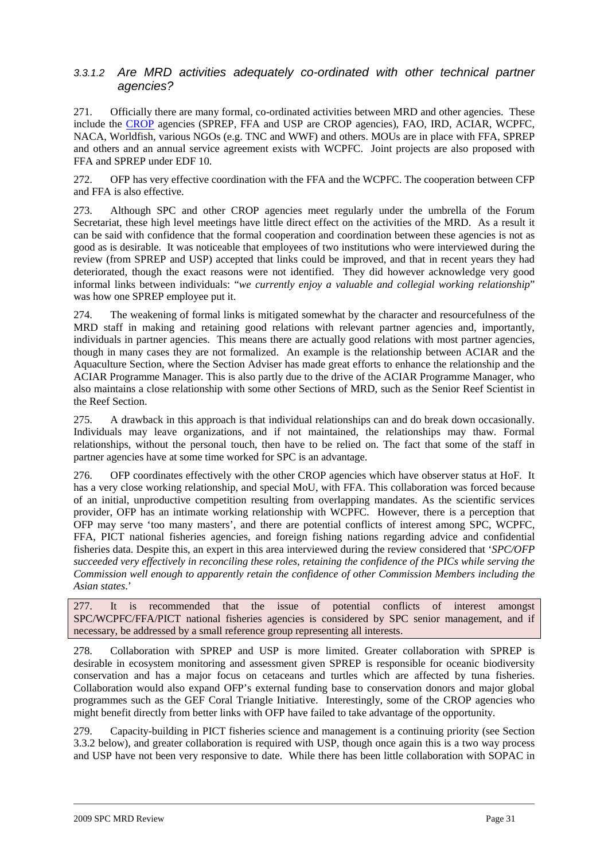### 3.3.1.2 Are MRD activities adequately co-ordinated with other technical partner agencies?

271. Officially there are many formal, co-ordinated activities between MRD and other agencies. These include the CROP agencies (SPREP, FFA and USP are CROP agencies), FAO, IRD, ACIAR, WCPFC, NACA, Worldfish, various NGOs (e.g. TNC and WWF) and others. MOUs are in place with FFA, SPREP and others and an annual service agreement exists with WCPFC. Joint projects are also proposed with FFA and SPREP under EDF 10.

272. OFP has very effective coordination with the FFA and the WCPFC. The cooperation between CFP and FFA is also effective.

273. Although SPC and other CROP agencies meet regularly under the umbrella of the Forum Secretariat, these high level meetings have little direct effect on the activities of the MRD. As a result it can be said with confidence that the formal cooperation and coordination between these agencies is not as good as is desirable. It was noticeable that employees of two institutions who were interviewed during the review (from SPREP and USP) accepted that links could be improved, and that in recent years they had deteriorated, though the exact reasons were not identified. They did however acknowledge very good informal links between individuals: "*we currently enjoy a valuable and collegial working relationship*" was how one SPREP employee put it.

274. The weakening of formal links is mitigated somewhat by the character and resourcefulness of the MRD staff in making and retaining good relations with relevant partner agencies and, importantly, individuals in partner agencies. This means there are actually good relations with most partner agencies, though in many cases they are not formalized. An example is the relationship between ACIAR and the Aquaculture Section, where the Section Adviser has made great efforts to enhance the relationship and the ACIAR Programme Manager. This is also partly due to the drive of the ACIAR Programme Manager, who also maintains a close relationship with some other Sections of MRD, such as the Senior Reef Scientist in the Reef Section.

275. A drawback in this approach is that individual relationships can and do break down occasionally. Individuals may leave organizations, and if not maintained, the relationships may thaw. Formal relationships, without the personal touch, then have to be relied on. The fact that some of the staff in partner agencies have at some time worked for SPC is an advantage.

276. OFP coordinates effectively with the other CROP agencies which have observer status at HoF. It has a very close working relationship, and special MoU, with FFA. This collaboration was forced because of an initial, unproductive competition resulting from overlapping mandates. As the scientific services provider, OFP has an intimate working relationship with WCPFC. However, there is a perception that OFP may serve 'too many masters', and there are potential conflicts of interest among SPC, WCPFC, FFA, PICT national fisheries agencies, and foreign fishing nations regarding advice and confidential fisheries data. Despite this, an expert in this area interviewed during the review considered that '*SPC/OFP succeeded very effectively in reconciling these roles, retaining the confidence of the PICs while serving the Commission well enough to apparently retain the confidence of other Commission Members including the Asian states*.'

277. It is recommended that the issue of potential conflicts of interest amongst SPC/WCPFC/FFA/PICT national fisheries agencies is considered by SPC senior management, and if necessary, be addressed by a small reference group representing all interests.

278. Collaboration with SPREP and USP is more limited. Greater collaboration with SPREP is desirable in ecosystem monitoring and assessment given SPREP is responsible for oceanic biodiversity conservation and has a major focus on cetaceans and turtles which are affected by tuna fisheries. Collaboration would also expand OFP's external funding base to conservation donors and major global programmes such as the GEF Coral Triangle Initiative. Interestingly, some of the CROP agencies who might benefit directly from better links with OFP have failed to take advantage of the opportunity.

279. Capacity-building in PICT fisheries science and management is a continuing priority (see Section 3.3.2 below), and greater collaboration is required with USP, though once again this is a two way process and USP have not been very responsive to date. While there has been little collaboration with SOPAC in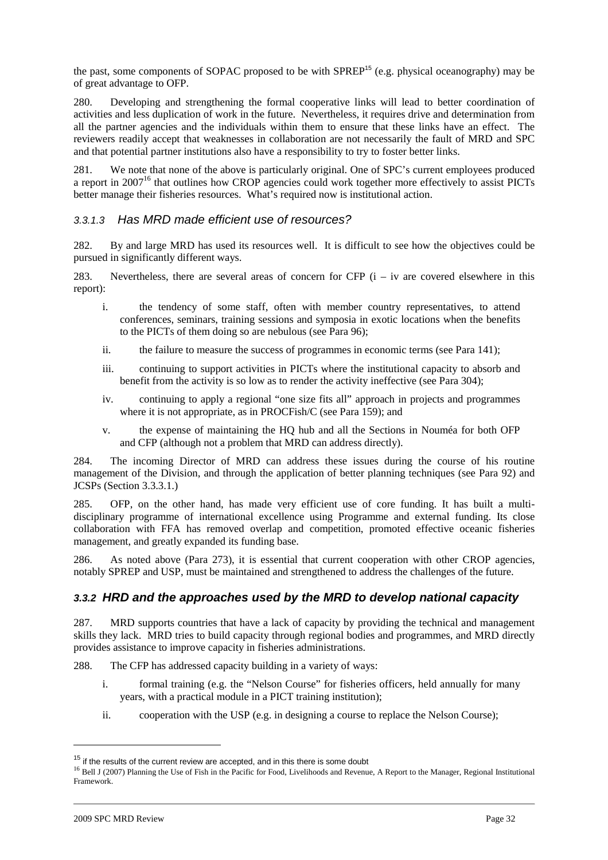the past, some components of SOPAC proposed to be with  $SPREP<sup>15</sup>$  (e.g. physical oceanography) may be of great advantage to OFP.

280. Developing and strengthening the formal cooperative links will lead to better coordination of activities and less duplication of work in the future. Nevertheless, it requires drive and determination from all the partner agencies and the individuals within them to ensure that these links have an effect. The reviewers readily accept that weaknesses in collaboration are not necessarily the fault of MRD and SPC and that potential partner institutions also have a responsibility to try to foster better links.

281. We note that none of the above is particularly original. One of SPC's current employees produced a report in 2007<sup>16</sup> that outlines how CROP agencies could work together more effectively to assist PICTs better manage their fisheries resources. What's required now is institutional action.

#### 3.3.1.3 Has MRD made efficient use of resources?

282. By and large MRD has used its resources well. It is difficult to see how the objectives could be pursued in significantly different ways.

283. Nevertheless, there are several areas of concern for CFP  $(i - iv)$  are covered elsewhere in this report):

- i. the tendency of some staff, often with member country representatives, to attend conferences, seminars, training sessions and symposia in exotic locations when the benefits to the PICTs of them doing so are nebulous (see Para 96);
- ii. the failure to measure the success of programmes in economic terms (see Para 141);
- iii. continuing to support activities in PICTs where the institutional capacity to absorb and benefit from the activity is so low as to render the activity ineffective (see Para 304);
- iv. continuing to apply a regional "one size fits all" approach in projects and programmes where it is not appropriate, as in PROCFish/C (see Para 159); and
- v. the expense of maintaining the HQ hub and all the Sections in Nouméa for both OFP and CFP (although not a problem that MRD can address directly).

284. The incoming Director of MRD can address these issues during the course of his routine management of the Division, and through the application of better planning techniques (see Para 92) and JCSPs (Section 3.3.3.1.)

285. OFP, on the other hand, has made very efficient use of core funding. It has built a multidisciplinary programme of international excellence using Programme and external funding. Its close collaboration with FFA has removed overlap and competition, promoted effective oceanic fisheries management, and greatly expanded its funding base.

286. As noted above (Para 273), it is essential that current cooperation with other CROP agencies, notably SPREP and USP, must be maintained and strengthened to address the challenges of the future.

## **3.3.2 HRD and the approaches used by the MRD to develop national capacity**

287. MRD supports countries that have a lack of capacity by providing the technical and management skills they lack. MRD tries to build capacity through regional bodies and programmes, and MRD directly provides assistance to improve capacity in fisheries administrations.

288. The CFP has addressed capacity building in a variety of ways:

- i. formal training (e.g. the "Nelson Course" for fisheries officers, held annually for many years, with a practical module in a PICT training institution);
- ii. cooperation with the USP (e.g. in designing a course to replace the Nelson Course);

 $15$  if the results of the current review are accepted, and in this there is some doubt

<sup>&</sup>lt;sup>16</sup> Bell J (2007) Planning the Use of Fish in the Pacific for Food, Livelihoods and Revenue, A Report to the Manager, Regional Institutional Framework.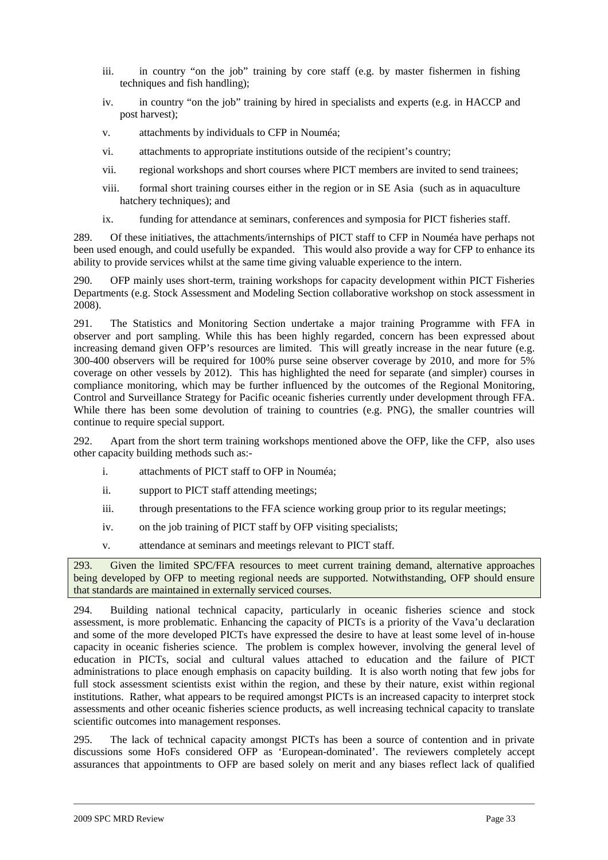- iii. in country "on the job" training by core staff (e.g. by master fishermen in fishing techniques and fish handling);
- iv. in country "on the job" training by hired in specialists and experts (e.g. in HACCP and post harvest);
- v. attachments by individuals to CFP in Nouméa;
- vi. attachments to appropriate institutions outside of the recipient's country;
- vii. regional workshops and short courses where PICT members are invited to send trainees;
- viii. formal short training courses either in the region or in SE Asia (such as in aquaculture hatchery techniques); and
- ix. funding for attendance at seminars, conferences and symposia for PICT fisheries staff.

289. Of these initiatives, the attachments/internships of PICT staff to CFP in Nouméa have perhaps not been used enough, and could usefully be expanded. This would also provide a way for CFP to enhance its ability to provide services whilst at the same time giving valuable experience to the intern.

290. OFP mainly uses short-term, training workshops for capacity development within PICT Fisheries Departments (e.g. Stock Assessment and Modeling Section collaborative workshop on stock assessment in 2008).

291. The Statistics and Monitoring Section undertake a major training Programme with FFA in observer and port sampling. While this has been highly regarded, concern has been expressed about increasing demand given OFP's resources are limited. This will greatly increase in the near future (e.g. 300-400 observers will be required for 100% purse seine observer coverage by 2010, and more for 5% coverage on other vessels by 2012). This has highlighted the need for separate (and simpler) courses in compliance monitoring, which may be further influenced by the outcomes of the Regional Monitoring, Control and Surveillance Strategy for Pacific oceanic fisheries currently under development through FFA. While there has been some devolution of training to countries (e.g. PNG), the smaller countries will continue to require special support.

292. Apart from the short term training workshops mentioned above the OFP, like the CFP, also uses other capacity building methods such as:-

- i. attachments of PICT staff to OFP in Nouméa;
- ii. support to PICT staff attending meetings;
- iii. through presentations to the FFA science working group prior to its regular meetings;
- iv. on the job training of PICT staff by OFP visiting specialists;
- v. attendance at seminars and meetings relevant to PICT staff.

293. Given the limited SPC/FFA resources to meet current training demand, alternative approaches being developed by OFP to meeting regional needs are supported. Notwithstanding, OFP should ensure that standards are maintained in externally serviced courses.

294. Building national technical capacity, particularly in oceanic fisheries science and stock assessment, is more problematic. Enhancing the capacity of PICTs is a priority of the Vava'u declaration and some of the more developed PICTs have expressed the desire to have at least some level of in-house capacity in oceanic fisheries science. The problem is complex however, involving the general level of education in PICTs, social and cultural values attached to education and the failure of PICT administrations to place enough emphasis on capacity building. It is also worth noting that few jobs for full stock assessment scientists exist within the region, and these by their nature, exist within regional institutions. Rather, what appears to be required amongst PICTs is an increased capacity to interpret stock assessments and other oceanic fisheries science products, as well increasing technical capacity to translate scientific outcomes into management responses.

295. The lack of technical capacity amongst PICTs has been a source of contention and in private discussions some HoFs considered OFP as 'European-dominated'. The reviewers completely accept assurances that appointments to OFP are based solely on merit and any biases reflect lack of qualified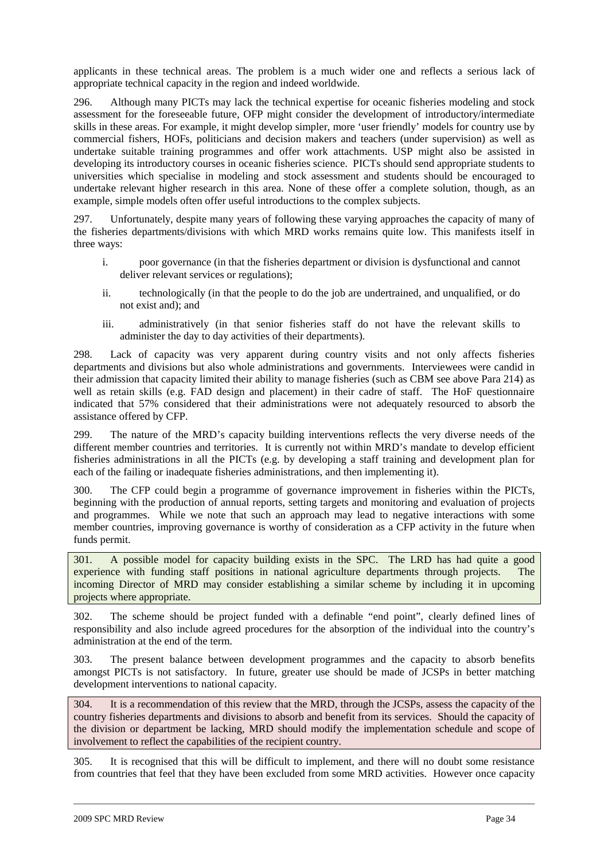applicants in these technical areas. The problem is a much wider one and reflects a serious lack of appropriate technical capacity in the region and indeed worldwide.

296. Although many PICTs may lack the technical expertise for oceanic fisheries modeling and stock assessment for the foreseeable future, OFP might consider the development of introductory/intermediate skills in these areas. For example, it might develop simpler, more 'user friendly' models for country use by commercial fishers, HOFs, politicians and decision makers and teachers (under supervision) as well as undertake suitable training programmes and offer work attachments. USP might also be assisted in developing its introductory courses in oceanic fisheries science. PICTs should send appropriate students to universities which specialise in modeling and stock assessment and students should be encouraged to undertake relevant higher research in this area. None of these offer a complete solution, though, as an example, simple models often offer useful introductions to the complex subjects.

297. Unfortunately, despite many years of following these varying approaches the capacity of many of the fisheries departments/divisions with which MRD works remains quite low. This manifests itself in three ways:

- i. poor governance (in that the fisheries department or division is dysfunctional and cannot deliver relevant services or regulations);
- ii. technologically (in that the people to do the job are undertrained, and unqualified, or do not exist and); and
- iii. administratively (in that senior fisheries staff do not have the relevant skills to administer the day to day activities of their departments).

298. Lack of capacity was very apparent during country visits and not only affects fisheries departments and divisions but also whole administrations and governments. Interviewees were candid in their admission that capacity limited their ability to manage fisheries (such as CBM see above Para 214) as well as retain skills (e.g. FAD design and placement) in their cadre of staff. The HoF questionnaire indicated that 57% considered that their administrations were not adequately resourced to absorb the assistance offered by CFP.

299. The nature of the MRD's capacity building interventions reflects the very diverse needs of the different member countries and territories. It is currently not within MRD's mandate to develop efficient fisheries administrations in all the PICTs (e.g. by developing a staff training and development plan for each of the failing or inadequate fisheries administrations, and then implementing it).

300. The CFP could begin a programme of governance improvement in fisheries within the PICTs, beginning with the production of annual reports, setting targets and monitoring and evaluation of projects and programmes. While we note that such an approach may lead to negative interactions with some member countries, improving governance is worthy of consideration as a CFP activity in the future when funds permit.

301. A possible model for capacity building exists in the SPC. The LRD has had quite a good experience with funding staff positions in national agriculture departments through projects. The incoming Director of MRD may consider establishing a similar scheme by including it in upcoming projects where appropriate.

302. The scheme should be project funded with a definable "end point", clearly defined lines of responsibility and also include agreed procedures for the absorption of the individual into the country's administration at the end of the term.

303. The present balance between development programmes and the capacity to absorb benefits amongst PICTs is not satisfactory. In future, greater use should be made of JCSPs in better matching development interventions to national capacity.

304. It is a recommendation of this review that the MRD, through the JCSPs, assess the capacity of the country fisheries departments and divisions to absorb and benefit from its services. Should the capacity of the division or department be lacking, MRD should modify the implementation schedule and scope of involvement to reflect the capabilities of the recipient country.

305. It is recognised that this will be difficult to implement, and there will no doubt some resistance from countries that feel that they have been excluded from some MRD activities. However once capacity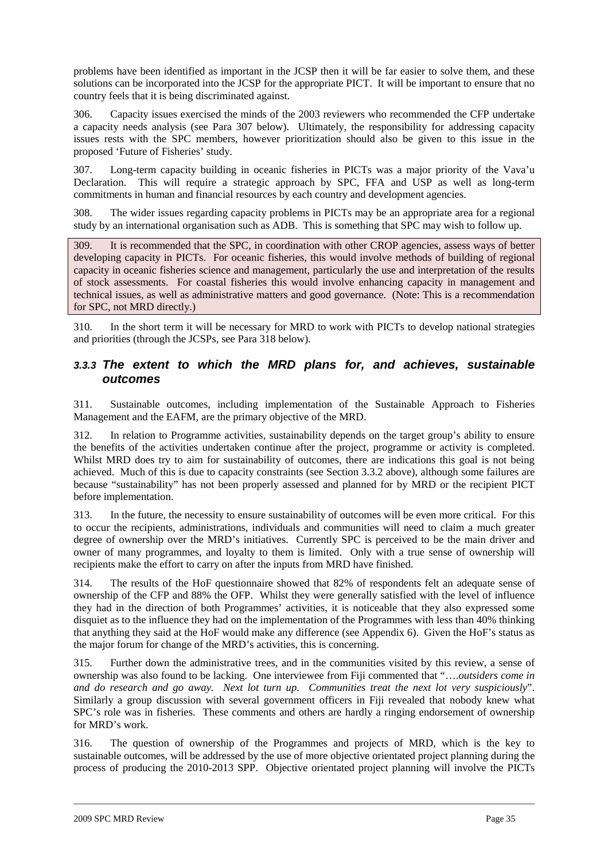problems have been identified as important in the JCSP then it will be far easier to solve them, and these solutions can be incorporated into the JCSP for the appropriate PICT. It will be important to ensure that no country feels that it is being discriminated against.

306. Capacity issues exercised the minds of the 2003 reviewers who recommended the CFP undertake a capacity needs analysis (see Para 307 below). Ultimately, the responsibility for addressing capacity issues rests with the SPC members, however prioritization should also be given to this issue in the proposed 'Future of Fisheries' study.

307. Long-term capacity building in oceanic fisheries in PICTs was a major priority of the Vava'u Declaration. This will require a strategic approach by SPC, FFA and USP as well as long-term commitments in human and financial resources by each country and development agencies.

308. The wider issues regarding capacity problems in PICTs may be an appropriate area for a regional study by an international organisation such as ADB. This is something that SPC may wish to follow up.

309. It is recommended that the SPC, in coordination with other CROP agencies, assess ways of better developing capacity in PICTs. For oceanic fisheries, this would involve methods of building of regional capacity in oceanic fisheries science and management, particularly the use and interpretation of the results of stock assessments. For coastal fisheries this would involve enhancing capacity in management and technical issues, as well as administrative matters and good governance. (Note: This is a recommendation for SPC, not MRD directly.)

310. In the short term it will be necessary for MRD to work with PICTs to develop national strategies and priorities (through the JCSPs, see Para 318 below).

## **3.3.3 The extent to which the MRD plans for, and achieves, sustainable outcomes**

311. Sustainable outcomes, including implementation of the Sustainable Approach to Fisheries Management and the EAFM, are the primary objective of the MRD.

312. In relation to Programme activities, sustainability depends on the target group's ability to ensure the benefits of the activities undertaken continue after the project, programme or activity is completed. Whilst MRD does try to aim for sustainability of outcomes, there are indications this goal is not being achieved. Much of this is due to capacity constraints (see Section 3.3.2 above), although some failures are because "sustainability" has not been properly assessed and planned for by MRD or the recipient PICT before implementation.

313. In the future, the necessity to ensure sustainability of outcomes will be even more critical. For this to occur the recipients, administrations, individuals and communities will need to claim a much greater degree of ownership over the MRD's initiatives. Currently SPC is perceived to be the main driver and owner of many programmes, and loyalty to them is limited. Only with a true sense of ownership will recipients make the effort to carry on after the inputs from MRD have finished.

314. The results of the HoF questionnaire showed that 82% of respondents felt an adequate sense of ownership of the CFP and 88% the OFP. Whilst they were generally satisfied with the level of influence they had in the direction of both Programmes' activities, it is noticeable that they also expressed some disquiet as to the influence they had on the implementation of the Programmes with less than 40% thinking that anything they said at the HoF would make any difference (see Appendix 6). Given the HoF's status as the major forum for change of the MRD's activities, this is concerning.

315. Further down the administrative trees, and in the communities visited by this review, a sense of ownership was also found to be lacking. One interviewee from Fiji commented that "….*outsiders come in and do research and go away. Next lot turn up. Communities treat the next lot very suspiciously*". Similarly a group discussion with several government officers in Fiji revealed that nobody knew what SPC's role was in fisheries. These comments and others are hardly a ringing endorsement of ownership for MRD's work.

316. The question of ownership of the Programmes and projects of MRD, which is the key to sustainable outcomes, will be addressed by the use of more objective orientated project planning during the process of producing the 2010-2013 SPP. Objective orientated project planning will involve the PICTs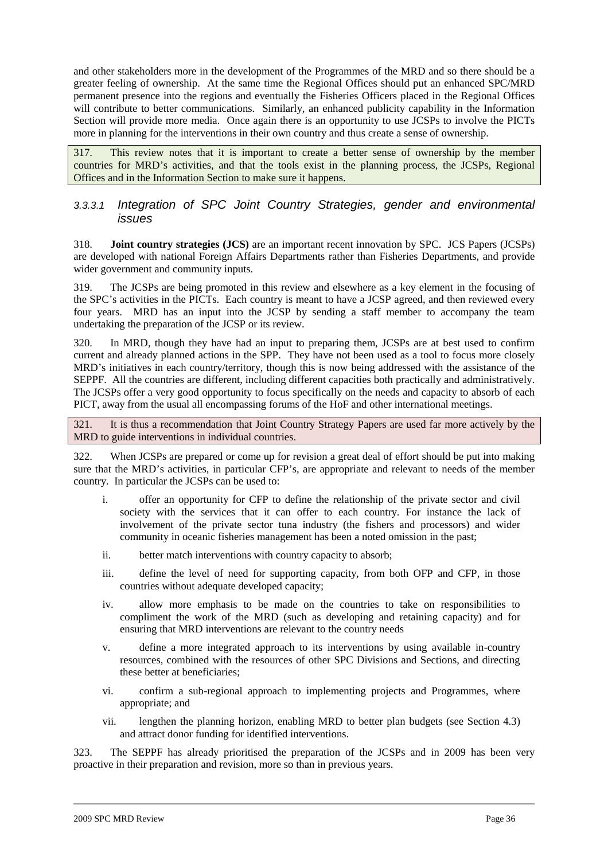and other stakeholders more in the development of the Programmes of the MRD and so there should be a greater feeling of ownership. At the same time the Regional Offices should put an enhanced SPC/MRD permanent presence into the regions and eventually the Fisheries Officers placed in the Regional Offices will contribute to better communications. Similarly, an enhanced publicity capability in the Information Section will provide more media. Once again there is an opportunity to use JCSPs to involve the PICTs more in planning for the interventions in their own country and thus create a sense of ownership.

317. This review notes that it is important to create a better sense of ownership by the member countries for MRD's activities, and that the tools exist in the planning process, the JCSPs, Regional Offices and in the Information Section to make sure it happens.

### 3.3.3.1 Integration of SPC Joint Country Strategies, gender and environmental issues

318. **Joint country strategies (JCS)** are an important recent innovation by SPC. JCS Papers (JCSPs) are developed with national Foreign Affairs Departments rather than Fisheries Departments, and provide wider government and community inputs.

319. The JCSPs are being promoted in this review and elsewhere as a key element in the focusing of the SPC's activities in the PICTs. Each country is meant to have a JCSP agreed, and then reviewed every four years. MRD has an input into the JCSP by sending a staff member to accompany the team undertaking the preparation of the JCSP or its review.

320. In MRD, though they have had an input to preparing them, JCSPs are at best used to confirm current and already planned actions in the SPP. They have not been used as a tool to focus more closely MRD's initiatives in each country/territory, though this is now being addressed with the assistance of the SEPPF. All the countries are different, including different capacities both practically and administratively. The JCSPs offer a very good opportunity to focus specifically on the needs and capacity to absorb of each PICT, away from the usual all encompassing forums of the HoF and other international meetings.

321. It is thus a recommendation that Joint Country Strategy Papers are used far more actively by the MRD to guide interventions in individual countries.

322. When JCSPs are prepared or come up for revision a great deal of effort should be put into making sure that the MRD's activities, in particular CFP's, are appropriate and relevant to needs of the member country. In particular the JCSPs can be used to:

- i. offer an opportunity for CFP to define the relationship of the private sector and civil society with the services that it can offer to each country. For instance the lack of involvement of the private sector tuna industry (the fishers and processors) and wider community in oceanic fisheries management has been a noted omission in the past;
- ii. better match interventions with country capacity to absorb;
- iii. define the level of need for supporting capacity, from both OFP and CFP, in those countries without adequate developed capacity;
- iv. allow more emphasis to be made on the countries to take on responsibilities to compliment the work of the MRD (such as developing and retaining capacity) and for ensuring that MRD interventions are relevant to the country needs
- v. define a more integrated approach to its interventions by using available in-country resources, combined with the resources of other SPC Divisions and Sections, and directing these better at beneficiaries;
- vi. confirm a sub-regional approach to implementing projects and Programmes, where appropriate; and
- vii. lengthen the planning horizon, enabling MRD to better plan budgets (see Section 4.3) and attract donor funding for identified interventions.

323. The SEPPF has already prioritised the preparation of the JCSPs and in 2009 has been very proactive in their preparation and revision, more so than in previous years.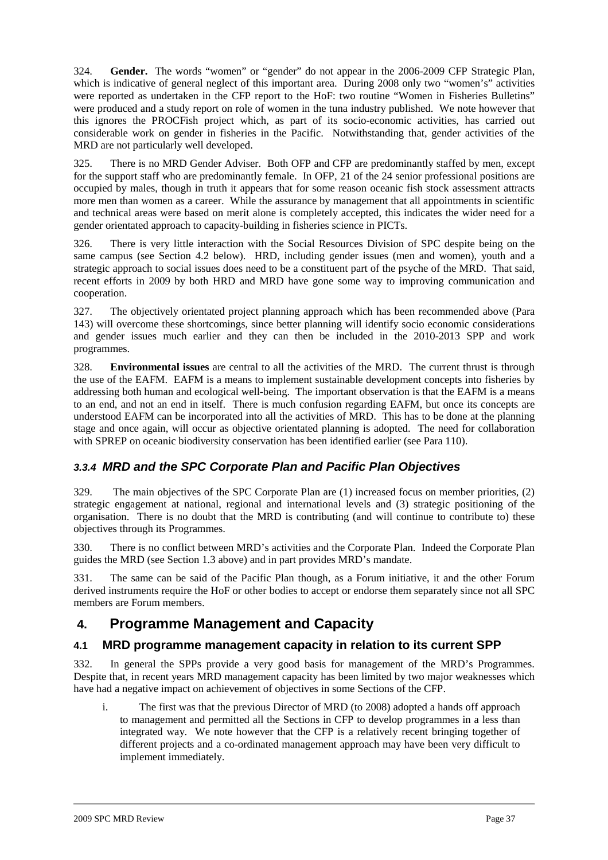324. **Gender.** The words "women" or "gender" do not appear in the 2006-2009 CFP Strategic Plan, which is indicative of general neglect of this important area. During 2008 only two "women's" activities were reported as undertaken in the CFP report to the HoF: two routine "Women in Fisheries Bulletins" were produced and a study report on role of women in the tuna industry published. We note however that this ignores the PROCFish project which, as part of its socio-economic activities, has carried out considerable work on gender in fisheries in the Pacific. Notwithstanding that, gender activities of the MRD are not particularly well developed.

325. There is no MRD Gender Adviser. Both OFP and CFP are predominantly staffed by men, except for the support staff who are predominantly female. In OFP, 21 of the 24 senior professional positions are occupied by males, though in truth it appears that for some reason oceanic fish stock assessment attracts more men than women as a career. While the assurance by management that all appointments in scientific and technical areas were based on merit alone is completely accepted, this indicates the wider need for a gender orientated approach to capacity-building in fisheries science in PICTs.

326. There is very little interaction with the Social Resources Division of SPC despite being on the same campus (see Section 4.2 below). HRD, including gender issues (men and women), youth and a strategic approach to social issues does need to be a constituent part of the psyche of the MRD. That said, recent efforts in 2009 by both HRD and MRD have gone some way to improving communication and cooperation.

327. The objectively orientated project planning approach which has been recommended above (Para 143) will overcome these shortcomings, since better planning will identify socio economic considerations and gender issues much earlier and they can then be included in the 2010-2013 SPP and work programmes.

328. **Environmental issues** are central to all the activities of the MRD. The current thrust is through the use of the EAFM. EAFM is a means to implement sustainable development concepts into fisheries by addressing both human and ecological well-being. The important observation is that the EAFM is a means to an end, and not an end in itself. There is much confusion regarding EAFM, but once its concepts are understood EAFM can be incorporated into all the activities of MRD. This has to be done at the planning stage and once again, will occur as objective orientated planning is adopted. The need for collaboration with SPREP on oceanic biodiversity conservation has been identified earlier (see Para 110).

## **3.3.4 MRD and the SPC Corporate Plan and Pacific Plan Objectives**

329. The main objectives of the SPC Corporate Plan are (1) increased focus on member priorities, (2) strategic engagement at national, regional and international levels and (3) strategic positioning of the organisation. There is no doubt that the MRD is contributing (and will continue to contribute to) these objectives through its Programmes.

330. There is no conflict between MRD's activities and the Corporate Plan. Indeed the Corporate Plan guides the MRD (see Section 1.3 above) and in part provides MRD's mandate.

331. The same can be said of the Pacific Plan though, as a Forum initiative, it and the other Forum derived instruments require the HoF or other bodies to accept or endorse them separately since not all SPC members are Forum members.

## **4. Programme Management and Capacity**

## **4.1 MRD programme management capacity in relation to its current SPP**

332. In general the SPPs provide a very good basis for management of the MRD's Programmes. Despite that, in recent years MRD management capacity has been limited by two major weaknesses which have had a negative impact on achievement of objectives in some Sections of the CFP.

i. The first was that the previous Director of MRD (to 2008) adopted a hands off approach to management and permitted all the Sections in CFP to develop programmes in a less than integrated way. We note however that the CFP is a relatively recent bringing together of different projects and a co-ordinated management approach may have been very difficult to implement immediately.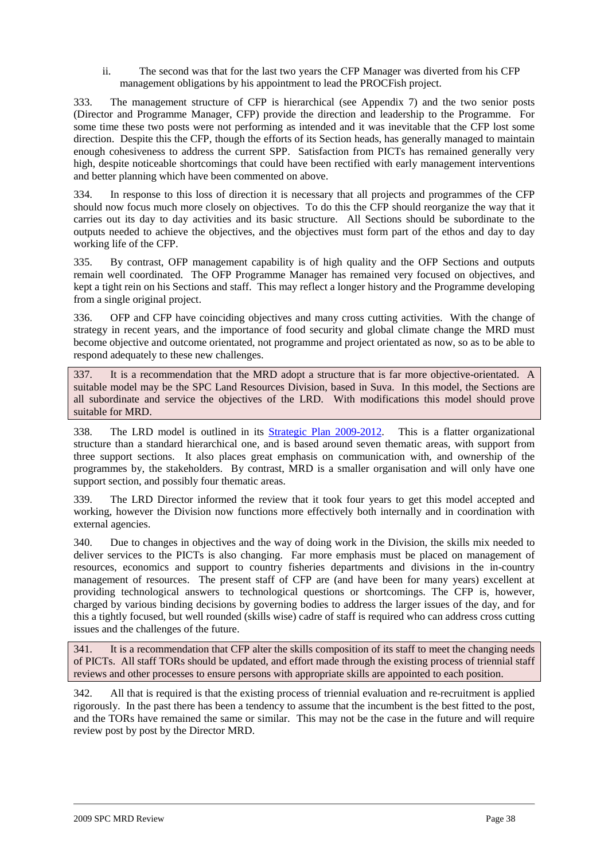ii. The second was that for the last two years the CFP Manager was diverted from his CFP management obligations by his appointment to lead the PROCFish project.

333. The management structure of CFP is hierarchical (see Appendix 7) and the two senior posts (Director and Programme Manager, CFP) provide the direction and leadership to the Programme. For some time these two posts were not performing as intended and it was inevitable that the CFP lost some direction. Despite this the CFP, though the efforts of its Section heads, has generally managed to maintain enough cohesiveness to address the current SPP. Satisfaction from PICTs has remained generally very high, despite noticeable shortcomings that could have been rectified with early management interventions and better planning which have been commented on above.

334. In response to this loss of direction it is necessary that all projects and programmes of the CFP should now focus much more closely on objectives. To do this the CFP should reorganize the way that it carries out its day to day activities and its basic structure. All Sections should be subordinate to the outputs needed to achieve the objectives, and the objectives must form part of the ethos and day to day working life of the CFP.

335. By contrast, OFP management capability is of high quality and the OFP Sections and outputs remain well coordinated. The OFP Programme Manager has remained very focused on objectives, and kept a tight rein on his Sections and staff. This may reflect a longer history and the Programme developing from a single original project.

336. OFP and CFP have coinciding objectives and many cross cutting activities. With the change of strategy in recent years, and the importance of food security and global climate change the MRD must become objective and outcome orientated, not programme and project orientated as now, so as to be able to respond adequately to these new challenges.

337. It is a recommendation that the MRD adopt a structure that is far more objective-orientated. A suitable model may be the SPC Land Resources Division, based in Suva. In this model, the Sections are all subordinate and service the objectives of the LRD. With modifications this model should prove suitable for MRD.

338. The LRD model is outlined in its Strategic Plan 2009-2012. This is a flatter organizational structure than a standard hierarchical one, and is based around seven thematic areas, with support from three support sections. It also places great emphasis on communication with, and ownership of the programmes by, the stakeholders. By contrast, MRD is a smaller organisation and will only have one support section, and possibly four thematic areas.

339. The LRD Director informed the review that it took four years to get this model accepted and working, however the Division now functions more effectively both internally and in coordination with external agencies.

340. Due to changes in objectives and the way of doing work in the Division, the skills mix needed to deliver services to the PICTs is also changing. Far more emphasis must be placed on management of resources, economics and support to country fisheries departments and divisions in the in-country management of resources. The present staff of CFP are (and have been for many years) excellent at providing technological answers to technological questions or shortcomings. The CFP is, however, charged by various binding decisions by governing bodies to address the larger issues of the day, and for this a tightly focused, but well rounded (skills wise) cadre of staff is required who can address cross cutting issues and the challenges of the future.

341. It is a recommendation that CFP alter the skills composition of its staff to meet the changing needs of PICTs. All staff TORs should be updated, and effort made through the existing process of triennial staff reviews and other processes to ensure persons with appropriate skills are appointed to each position.

342. All that is required is that the existing process of triennial evaluation and re-recruitment is applied rigorously. In the past there has been a tendency to assume that the incumbent is the best fitted to the post, and the TORs have remained the same or similar. This may not be the case in the future and will require review post by post by the Director MRD.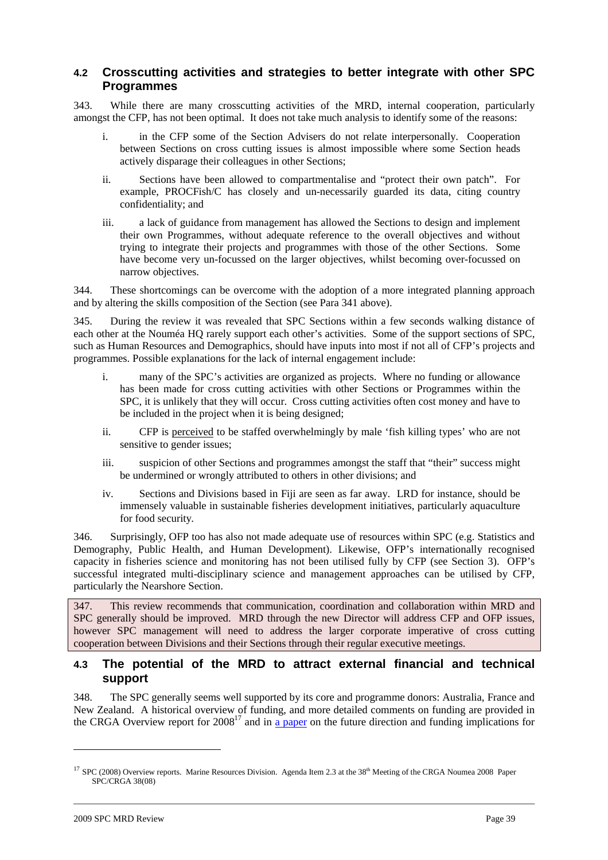### **4.2 Crosscutting activities and strategies to better integrate with other SPC Programmes**

343. While there are many crosscutting activities of the MRD, internal cooperation, particularly amongst the CFP, has not been optimal. It does not take much analysis to identify some of the reasons:

- i. in the CFP some of the Section Advisers do not relate interpersonally. Cooperation between Sections on cross cutting issues is almost impossible where some Section heads actively disparage their colleagues in other Sections;
- ii. Sections have been allowed to compartmentalise and "protect their own patch". For example, PROCFish/C has closely and un-necessarily guarded its data, citing country confidentiality; and
- iii. a lack of guidance from management has allowed the Sections to design and implement their own Programmes, without adequate reference to the overall objectives and without trying to integrate their projects and programmes with those of the other Sections. Some have become very un-focussed on the larger objectives, whilst becoming over-focussed on narrow objectives.

344. These shortcomings can be overcome with the adoption of a more integrated planning approach and by altering the skills composition of the Section (see Para 341 above).

345. During the review it was revealed that SPC Sections within a few seconds walking distance of each other at the Nouméa HQ rarely support each other's activities. Some of the support sections of SPC, such as Human Resources and Demographics, should have inputs into most if not all of CFP's projects and programmes. Possible explanations for the lack of internal engagement include:

- i. many of the SPC's activities are organized as projects. Where no funding or allowance has been made for cross cutting activities with other Sections or Programmes within the SPC, it is unlikely that they will occur. Cross cutting activities often cost money and have to be included in the project when it is being designed;
- ii. CFP is perceived to be staffed overwhelmingly by male 'fish killing types' who are not sensitive to gender issues;
- iii. suspicion of other Sections and programmes amongst the staff that "their" success might be undermined or wrongly attributed to others in other divisions; and
- iv. Sections and Divisions based in Fiji are seen as far away. LRD for instance, should be immensely valuable in sustainable fisheries development initiatives, particularly aquaculture for food security.

346. Surprisingly, OFP too has also not made adequate use of resources within SPC (e.g. Statistics and Demography, Public Health, and Human Development). Likewise, OFP's internationally recognised capacity in fisheries science and monitoring has not been utilised fully by CFP (see Section 3). OFP's successful integrated multi-disciplinary science and management approaches can be utilised by CFP, particularly the Nearshore Section.

347. This review recommends that communication, coordination and collaboration within MRD and SPC generally should be improved. MRD through the new Director will address CFP and OFP issues, however SPC management will need to address the larger corporate imperative of cross cutting cooperation between Divisions and their Sections through their regular executive meetings.

#### **4.3 The potential of the MRD to attract external financial and technical support**

348. The SPC generally seems well supported by its core and programme donors: Australia, France and New Zealand. A historical overview of funding, and more detailed comments on funding are provided in the CRGA Overview report for  $2008^{17}$  and in a paper on the future direction and funding implications for

 $17$  SPC (2008) Overview reports. Marine Resources Division. Agenda Item 2.3 at the  $38<sup>th</sup>$  Meeting of the CRGA Noumea 2008 Paper SPC/CRGA 38(08)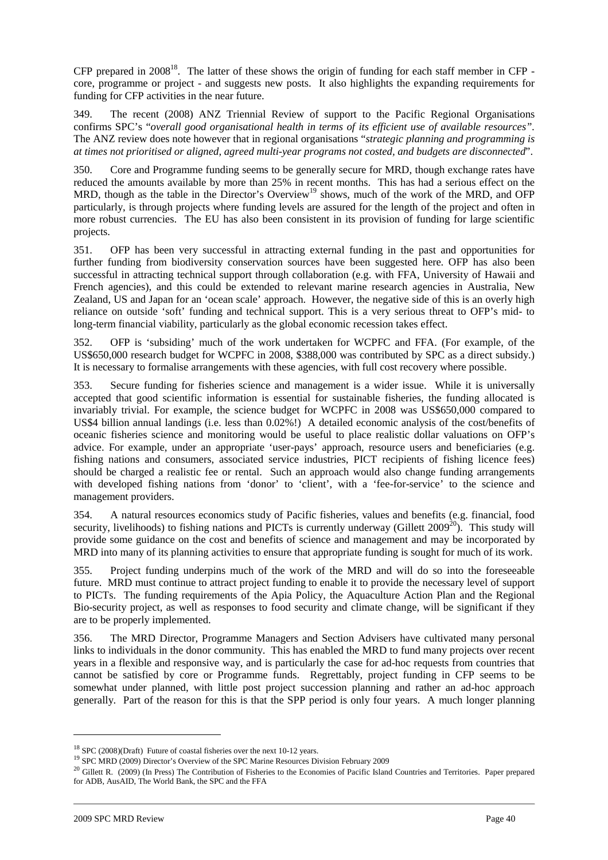CFP prepared in  $2008^{18}$ . The latter of these shows the origin of funding for each staff member in CFP core, programme or project - and suggests new posts. It also highlights the expanding requirements for funding for CFP activities in the near future.

349. The recent (2008) ANZ Triennial Review of support to the Pacific Regional Organisations confirms SPC's "*overall good organisational health in terms of its efficient use of available resources".*  The ANZ review does note however that in regional organisations "*strategic planning and programming is at times not prioritised or aligned, agreed multi-year programs not costed, and budgets are disconnected*".

350. Core and Programme funding seems to be generally secure for MRD, though exchange rates have reduced the amounts available by more than 25% in recent months. This has had a serious effect on the MRD, though as the table in the Director's Overview<sup>19</sup> shows, much of the work of the MRD, and OFP particularly, is through projects where funding levels are assured for the length of the project and often in more robust currencies. The EU has also been consistent in its provision of funding for large scientific projects.

351. OFP has been very successful in attracting external funding in the past and opportunities for further funding from biodiversity conservation sources have been suggested here. OFP has also been successful in attracting technical support through collaboration (e.g. with FFA, University of Hawaii and French agencies), and this could be extended to relevant marine research agencies in Australia, New Zealand, US and Japan for an 'ocean scale' approach. However, the negative side of this is an overly high reliance on outside 'soft' funding and technical support. This is a very serious threat to OFP's mid- to long-term financial viability, particularly as the global economic recession takes effect.

352. OFP is 'subsiding' much of the work undertaken for WCPFC and FFA. (For example, of the US\$650,000 research budget for WCPFC in 2008, \$388,000 was contributed by SPC as a direct subsidy.) It is necessary to formalise arrangements with these agencies, with full cost recovery where possible.

353. Secure funding for fisheries science and management is a wider issue. While it is universally accepted that good scientific information is essential for sustainable fisheries, the funding allocated is invariably trivial. For example, the science budget for WCPFC in 2008 was US\$650,000 compared to US\$4 billion annual landings (i.e. less than 0.02%!) A detailed economic analysis of the cost/benefits of oceanic fisheries science and monitoring would be useful to place realistic dollar valuations on OFP's advice. For example, under an appropriate 'user-pays' approach, resource users and beneficiaries (e.g. fishing nations and consumers, associated service industries, PICT recipients of fishing licence fees) should be charged a realistic fee or rental. Such an approach would also change funding arrangements with developed fishing nations from 'donor' to 'client', with a 'fee-for-service' to the science and management providers.

354. A natural resources economics study of Pacific fisheries, values and benefits (e.g. financial, food security, livelihoods) to fishing nations and PICTs is currently underway (Gillett  $2009^{20}$ ). This study will provide some guidance on the cost and benefits of science and management and may be incorporated by MRD into many of its planning activities to ensure that appropriate funding is sought for much of its work.

355. Project funding underpins much of the work of the MRD and will do so into the foreseeable future. MRD must continue to attract project funding to enable it to provide the necessary level of support to PICTs. The funding requirements of the Apia Policy, the Aquaculture Action Plan and the Regional Bio-security project, as well as responses to food security and climate change, will be significant if they are to be properly implemented.

356. The MRD Director, Programme Managers and Section Advisers have cultivated many personal links to individuals in the donor community. This has enabled the MRD to fund many projects over recent years in a flexible and responsive way, and is particularly the case for ad-hoc requests from countries that cannot be satisfied by core or Programme funds. Regrettably, project funding in CFP seems to be somewhat under planned, with little post project succession planning and rather an ad-hoc approach generally. Part of the reason for this is that the SPP period is only four years. A much longer planning

<sup>18</sup> SPC (2008)(Draft) Future of coastal fisheries over the next 10-12 years.

<sup>19</sup> SPC MRD (2009) Director's Overview of the SPC Marine Resources Division February 2009

<sup>&</sup>lt;sup>20</sup> Gillett R. (2009) (In Press) The Contribution of Fisheries to the Economies of Pacific Island Countries and Territories. Paper prepared for ADB, AusAID, The World Bank, the SPC and the FFA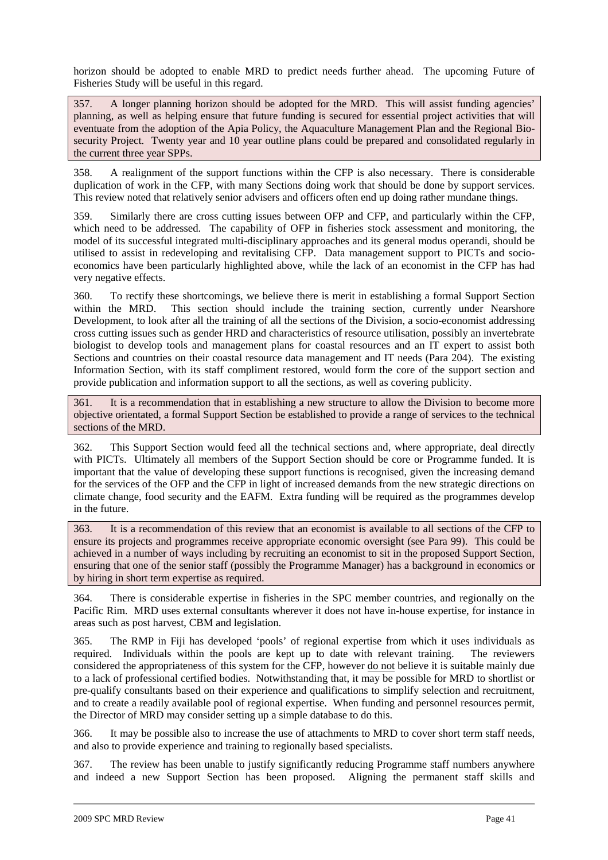horizon should be adopted to enable MRD to predict needs further ahead. The upcoming Future of Fisheries Study will be useful in this regard.

357. A longer planning horizon should be adopted for the MRD. This will assist funding agencies' planning, as well as helping ensure that future funding is secured for essential project activities that will eventuate from the adoption of the Apia Policy, the Aquaculture Management Plan and the Regional Biosecurity Project. Twenty year and 10 year outline plans could be prepared and consolidated regularly in the current three year SPPs.

358. A realignment of the support functions within the CFP is also necessary. There is considerable duplication of work in the CFP, with many Sections doing work that should be done by support services. This review noted that relatively senior advisers and officers often end up doing rather mundane things.

359. Similarly there are cross cutting issues between OFP and CFP, and particularly within the CFP, which need to be addressed. The capability of OFP in fisheries stock assessment and monitoring, the model of its successful integrated multi-disciplinary approaches and its general modus operandi, should be utilised to assist in redeveloping and revitalising CFP. Data management support to PICTs and socioeconomics have been particularly highlighted above, while the lack of an economist in the CFP has had very negative effects.

360. To rectify these shortcomings, we believe there is merit in establishing a formal Support Section within the MRD. This section should include the training section, currently under Nearshore Development, to look after all the training of all the sections of the Division, a socio-economist addressing cross cutting issues such as gender HRD and characteristics of resource utilisation, possibly an invertebrate biologist to develop tools and management plans for coastal resources and an IT expert to assist both Sections and countries on their coastal resource data management and IT needs (Para 204). The existing Information Section, with its staff compliment restored, would form the core of the support section and provide publication and information support to all the sections, as well as covering publicity.

361. It is a recommendation that in establishing a new structure to allow the Division to become more objective orientated, a formal Support Section be established to provide a range of services to the technical sections of the MRD.

362. This Support Section would feed all the technical sections and, where appropriate, deal directly with PICTs. Ultimately all members of the Support Section should be core or Programme funded. It is important that the value of developing these support functions is recognised, given the increasing demand for the services of the OFP and the CFP in light of increased demands from the new strategic directions on climate change, food security and the EAFM. Extra funding will be required as the programmes develop in the future.

363. It is a recommendation of this review that an economist is available to all sections of the CFP to ensure its projects and programmes receive appropriate economic oversight (see Para 99). This could be achieved in a number of ways including by recruiting an economist to sit in the proposed Support Section, ensuring that one of the senior staff (possibly the Programme Manager) has a background in economics or by hiring in short term expertise as required.

364. There is considerable expertise in fisheries in the SPC member countries, and regionally on the Pacific Rim. MRD uses external consultants wherever it does not have in-house expertise, for instance in areas such as post harvest, CBM and legislation.

365. The RMP in Fiji has developed 'pools' of regional expertise from which it uses individuals as required. Individuals within the pools are kept up to date with relevant training. The reviewers considered the appropriateness of this system for the CFP, however do not believe it is suitable mainly due to a lack of professional certified bodies. Notwithstanding that, it may be possible for MRD to shortlist or pre-qualify consultants based on their experience and qualifications to simplify selection and recruitment, and to create a readily available pool of regional expertise. When funding and personnel resources permit, the Director of MRD may consider setting up a simple database to do this.

366. It may be possible also to increase the use of attachments to MRD to cover short term staff needs, and also to provide experience and training to regionally based specialists.

367. The review has been unable to justify significantly reducing Programme staff numbers anywhere and indeed a new Support Section has been proposed. Aligning the permanent staff skills and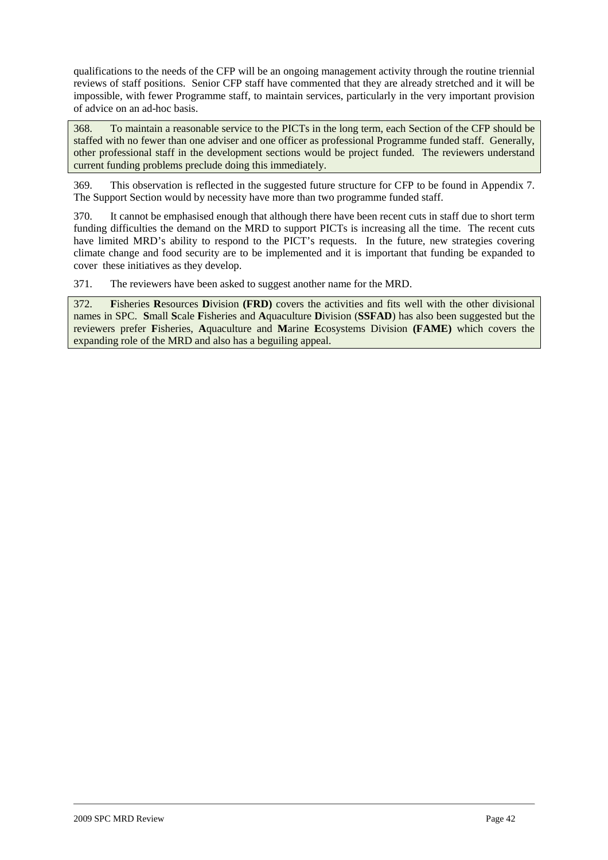qualifications to the needs of the CFP will be an ongoing management activity through the routine triennial reviews of staff positions. Senior CFP staff have commented that they are already stretched and it will be impossible, with fewer Programme staff, to maintain services, particularly in the very important provision of advice on an ad-hoc basis.

368. To maintain a reasonable service to the PICTs in the long term, each Section of the CFP should be staffed with no fewer than one adviser and one officer as professional Programme funded staff. Generally, other professional staff in the development sections would be project funded. The reviewers understand current funding problems preclude doing this immediately.

369. This observation is reflected in the suggested future structure for CFP to be found in Appendix 7. The Support Section would by necessity have more than two programme funded staff.

370. It cannot be emphasised enough that although there have been recent cuts in staff due to short term funding difficulties the demand on the MRD to support PICTs is increasing all the time. The recent cuts have limited MRD's ability to respond to the PICT's requests. In the future, new strategies covering climate change and food security are to be implemented and it is important that funding be expanded to cover these initiatives as they develop.

371. The reviewers have been asked to suggest another name for the MRD.

372. **F**isheries **R**esources **D**ivision **(FRD)** covers the activities and fits well with the other divisional names in SPC. **S**mall **S**cale **F**isheries and **A**quaculture **D**ivision (**SSFAD**) has also been suggested but the reviewers prefer **F**isheries, **A**quaculture and **M**arine **E**cosystems Division **(FAME)** which covers the expanding role of the MRD and also has a beguiling appeal.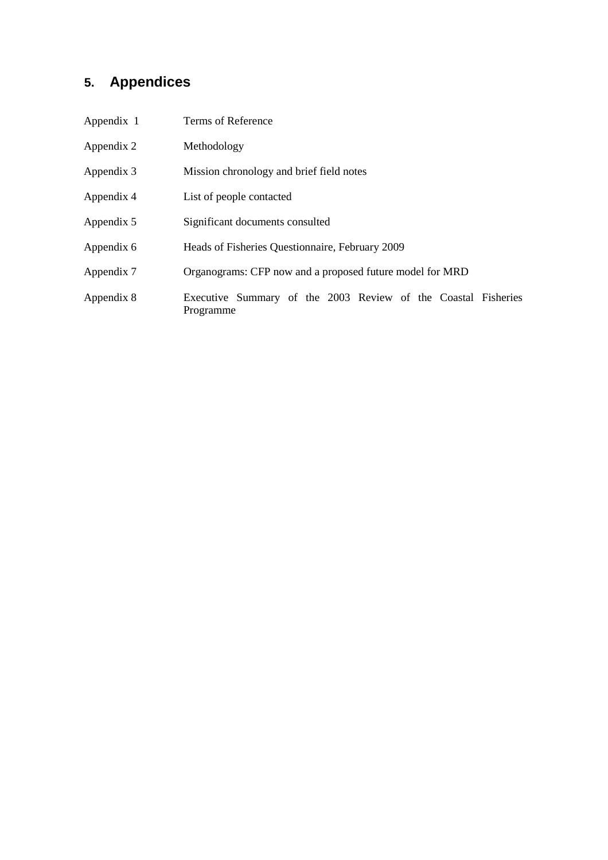# **5. Appendices**

| Appendix 1 | Terms of Reference                                                         |  |  |  |  |  |
|------------|----------------------------------------------------------------------------|--|--|--|--|--|
| Appendix 2 | Methodology                                                                |  |  |  |  |  |
| Appendix 3 | Mission chronology and brief field notes                                   |  |  |  |  |  |
| Appendix 4 | List of people contacted                                                   |  |  |  |  |  |
| Appendix 5 | Significant documents consulted                                            |  |  |  |  |  |
| Appendix 6 | Heads of Fisheries Questionnaire, February 2009                            |  |  |  |  |  |
| Appendix 7 | Organograms: CFP now and a proposed future model for MRD                   |  |  |  |  |  |
| Appendix 8 | Executive Summary of the 2003 Review of the Coastal Fisheries<br>Programme |  |  |  |  |  |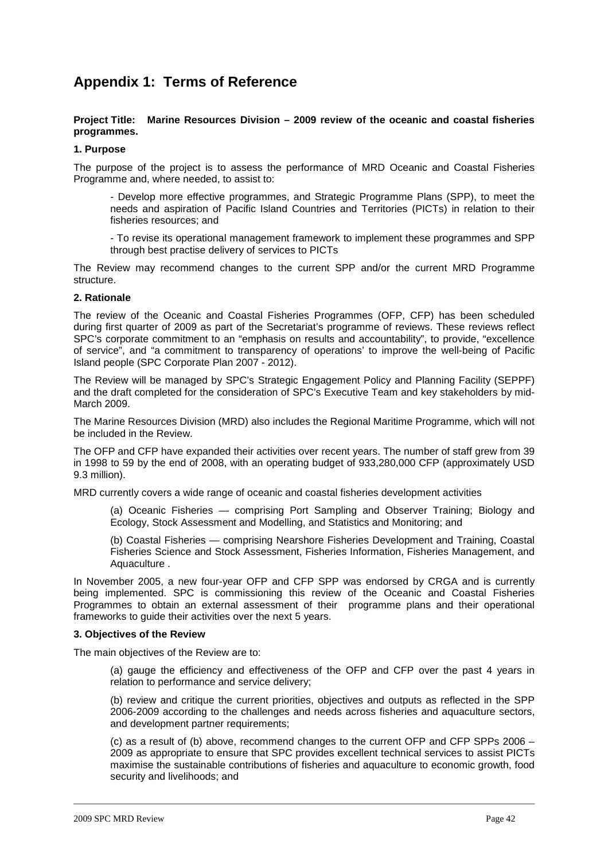## **Appendix 1: Terms of Reference**

#### **Project Title: Marine Resources Division – 2009 review of the oceanic and coastal fisheries programmes.**

#### **1. Purpose**

The purpose of the project is to assess the performance of MRD Oceanic and Coastal Fisheries Programme and, where needed, to assist to:

- Develop more effective programmes, and Strategic Programme Plans (SPP), to meet the needs and aspiration of Pacific Island Countries and Territories (PICTs) in relation to their fisheries resources; and

- To revise its operational management framework to implement these programmes and SPP through best practise delivery of services to PICTs

The Review may recommend changes to the current SPP and/or the current MRD Programme structure.

#### **2. Rationale**

The review of the Oceanic and Coastal Fisheries Programmes (OFP, CFP) has been scheduled during first quarter of 2009 as part of the Secretariat's programme of reviews. These reviews reflect SPC's corporate commitment to an "emphasis on results and accountability", to provide, "excellence of service", and "a commitment to transparency of operations' to improve the well-being of Pacific Island people (SPC Corporate Plan 2007 - 2012).

The Review will be managed by SPC's Strategic Engagement Policy and Planning Facility (SEPPF) and the draft completed for the consideration of SPC's Executive Team and key stakeholders by mid-March 2009.

The Marine Resources Division (MRD) also includes the Regional Maritime Programme, which will not be included in the Review.

The OFP and CFP have expanded their activities over recent years. The number of staff grew from 39 in 1998 to 59 by the end of 2008, with an operating budget of 933,280,000 CFP (approximately USD 9.3 million).

MRD currently covers a wide range of oceanic and coastal fisheries development activities

(a) Oceanic Fisheries — comprising Port Sampling and Observer Training; Biology and Ecology, Stock Assessment and Modelling, and Statistics and Monitoring; and

(b) Coastal Fisheries — comprising Nearshore Fisheries Development and Training, Coastal Fisheries Science and Stock Assessment, Fisheries Information, Fisheries Management, and Aquaculture .

In November 2005, a new four-year OFP and CFP SPP was endorsed by CRGA and is currently being implemented. SPC is commissioning this review of the Oceanic and Coastal Fisheries Programmes to obtain an external assessment of their programme plans and their operational frameworks to guide their activities over the next 5 years.

#### **3. Objectives of the Review**

The main objectives of the Review are to:

(a) gauge the efficiency and effectiveness of the OFP and CFP over the past 4 years in relation to performance and service delivery;

(b) review and critique the current priorities, objectives and outputs as reflected in the SPP 2006-2009 according to the challenges and needs across fisheries and aquaculture sectors, and development partner requirements;

(c) as a result of (b) above, recommend changes to the current OFP and CFP SPPs 2006 – 2009 as appropriate to ensure that SPC provides excellent technical services to assist PICTs maximise the sustainable contributions of fisheries and aquaculture to economic growth, food security and livelihoods; and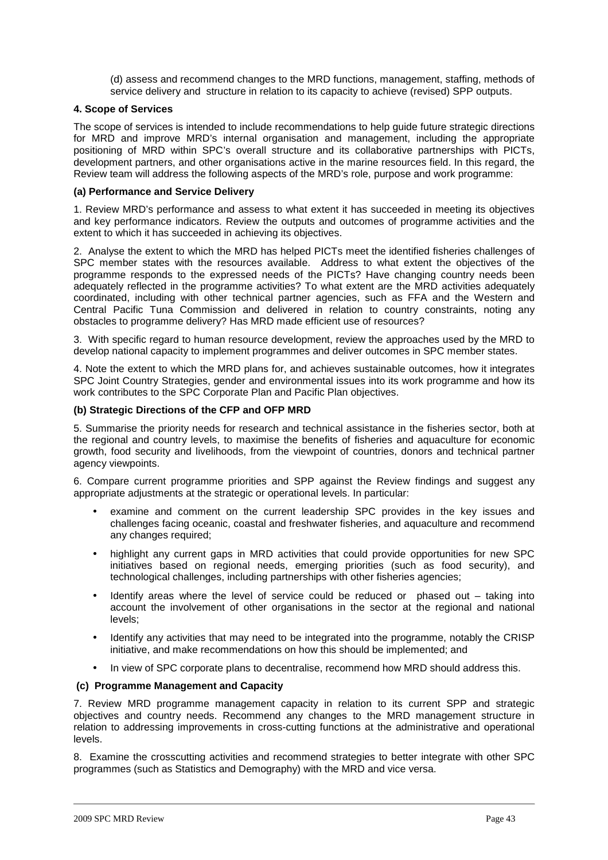(d) assess and recommend changes to the MRD functions, management, staffing, methods of service delivery and structure in relation to its capacity to achieve (revised) SPP outputs.

#### **4. Scope of Services**

The scope of services is intended to include recommendations to help guide future strategic directions for MRD and improve MRD's internal organisation and management, including the appropriate positioning of MRD within SPC's overall structure and its collaborative partnerships with PICTs, development partners, and other organisations active in the marine resources field. In this regard, the Review team will address the following aspects of the MRD's role, purpose and work programme:

#### **(a) Performance and Service Delivery**

1. Review MRD's performance and assess to what extent it has succeeded in meeting its objectives and key performance indicators. Review the outputs and outcomes of programme activities and the extent to which it has succeeded in achieving its objectives.

2. Analyse the extent to which the MRD has helped PICTs meet the identified fisheries challenges of SPC member states with the resources available. Address to what extent the objectives of the programme responds to the expressed needs of the PICTs? Have changing country needs been adequately reflected in the programme activities? To what extent are the MRD activities adequately coordinated, including with other technical partner agencies, such as FFA and the Western and Central Pacific Tuna Commission and delivered in relation to country constraints, noting any obstacles to programme delivery? Has MRD made efficient use of resources?

3. With specific regard to human resource development, review the approaches used by the MRD to develop national capacity to implement programmes and deliver outcomes in SPC member states.

4. Note the extent to which the MRD plans for, and achieves sustainable outcomes, how it integrates SPC Joint Country Strategies, gender and environmental issues into its work programme and how its work contributes to the SPC Corporate Plan and Pacific Plan objectives.

#### **(b) Strategic Directions of the CFP and OFP MRD**

5. Summarise the priority needs for research and technical assistance in the fisheries sector, both at the regional and country levels, to maximise the benefits of fisheries and aquaculture for economic growth, food security and livelihoods, from the viewpoint of countries, donors and technical partner agency viewpoints.

6. Compare current programme priorities and SPP against the Review findings and suggest any appropriate adjustments at the strategic or operational levels. In particular:

- examine and comment on the current leadership SPC provides in the key issues and challenges facing oceanic, coastal and freshwater fisheries, and aquaculture and recommend any changes required:
- highlight any current gaps in MRD activities that could provide opportunities for new SPC initiatives based on regional needs, emerging priorities (such as food security), and technological challenges, including partnerships with other fisheries agencies;
- Identify areas where the level of service could be reduced or  $p$  phased out  $-$  taking into account the involvement of other organisations in the sector at the regional and national levels;
- Identify any activities that may need to be integrated into the programme, notably the CRISP initiative, and make recommendations on how this should be implemented; and
- In view of SPC corporate plans to decentralise, recommend how MRD should address this.

#### **(c) Programme Management and Capacity**

7. Review MRD programme management capacity in relation to its current SPP and strategic objectives and country needs. Recommend any changes to the MRD management structure in relation to addressing improvements in cross-cutting functions at the administrative and operational levels.

8. Examine the crosscutting activities and recommend strategies to better integrate with other SPC programmes (such as Statistics and Demography) with the MRD and vice versa.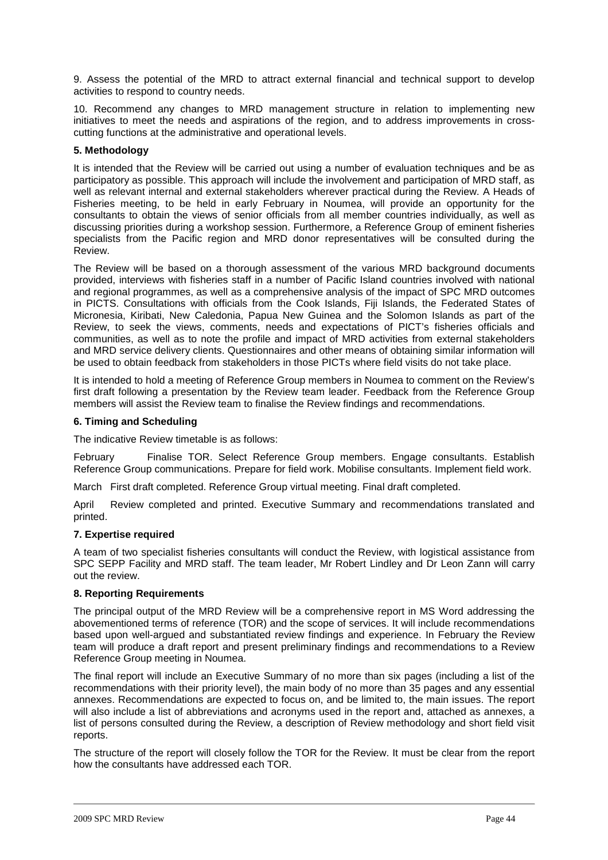9. Assess the potential of the MRD to attract external financial and technical support to develop activities to respond to country needs.

10. Recommend any changes to MRD management structure in relation to implementing new initiatives to meet the needs and aspirations of the region, and to address improvements in crosscutting functions at the administrative and operational levels.

#### **5. Methodology**

It is intended that the Review will be carried out using a number of evaluation techniques and be as participatory as possible. This approach will include the involvement and participation of MRD staff, as well as relevant internal and external stakeholders wherever practical during the Review. A Heads of Fisheries meeting, to be held in early February in Noumea, will provide an opportunity for the consultants to obtain the views of senior officials from all member countries individually, as well as discussing priorities during a workshop session. Furthermore, a Reference Group of eminent fisheries specialists from the Pacific region and MRD donor representatives will be consulted during the Review.

The Review will be based on a thorough assessment of the various MRD background documents provided, interviews with fisheries staff in a number of Pacific Island countries involved with national and regional programmes, as well as a comprehensive analysis of the impact of SPC MRD outcomes in PICTS. Consultations with officials from the Cook Islands, Fiji Islands, the Federated States of Micronesia, Kiribati, New Caledonia, Papua New Guinea and the Solomon Islands as part of the Review, to seek the views, comments, needs and expectations of PICT's fisheries officials and communities, as well as to note the profile and impact of MRD activities from external stakeholders and MRD service delivery clients. Questionnaires and other means of obtaining similar information will be used to obtain feedback from stakeholders in those PICTs where field visits do not take place.

It is intended to hold a meeting of Reference Group members in Noumea to comment on the Review's first draft following a presentation by the Review team leader. Feedback from the Reference Group members will assist the Review team to finalise the Review findings and recommendations.

#### **6. Timing and Scheduling**

The indicative Review timetable is as follows:

February Finalise TOR. Select Reference Group members. Engage consultants. Establish Reference Group communications. Prepare for field work. Mobilise consultants. Implement field work.

March First draft completed. Reference Group virtual meeting. Final draft completed.

April Review completed and printed. Executive Summary and recommendations translated and printed.

#### **7. Expertise required**

A team of two specialist fisheries consultants will conduct the Review, with logistical assistance from SPC SEPP Facility and MRD staff. The team leader, Mr Robert Lindley and Dr Leon Zann will carry out the review.

#### **8. Reporting Requirements**

The principal output of the MRD Review will be a comprehensive report in MS Word addressing the abovementioned terms of reference (TOR) and the scope of services. It will include recommendations based upon well-argued and substantiated review findings and experience. In February the Review team will produce a draft report and present preliminary findings and recommendations to a Review Reference Group meeting in Noumea.

The final report will include an Executive Summary of no more than six pages (including a list of the recommendations with their priority level), the main body of no more than 35 pages and any essential annexes. Recommendations are expected to focus on, and be limited to, the main issues. The report will also include a list of abbreviations and acronyms used in the report and, attached as annexes, a list of persons consulted during the Review, a description of Review methodology and short field visit reports.

The structure of the report will closely follow the TOR for the Review. It must be clear from the report how the consultants have addressed each TOR.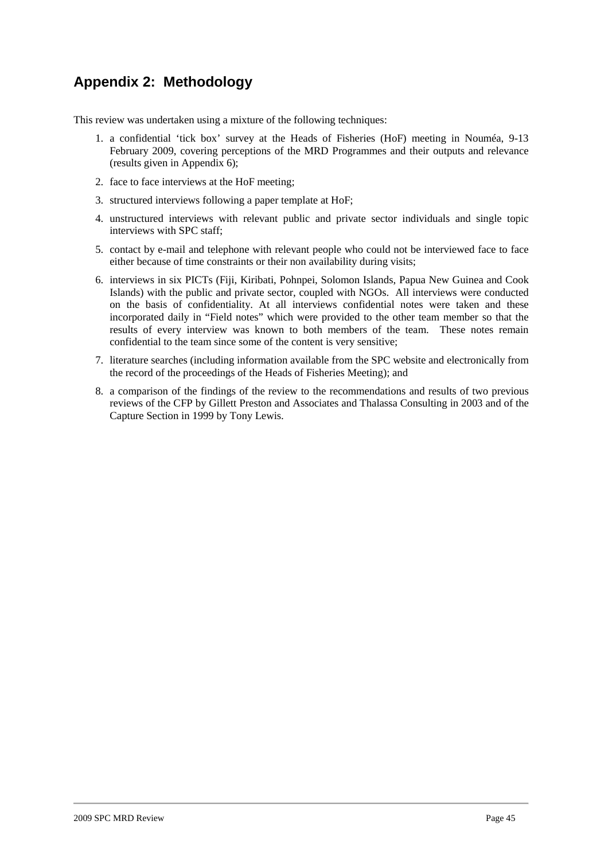## **Appendix 2: Methodology**

This review was undertaken using a mixture of the following techniques:

- 1. a confidential 'tick box' survey at the Heads of Fisheries (HoF) meeting in Nouméa, 9-13 February 2009, covering perceptions of the MRD Programmes and their outputs and relevance (results given in Appendix 6);
- 2. face to face interviews at the HoF meeting;
- 3. structured interviews following a paper template at HoF;
- 4. unstructured interviews with relevant public and private sector individuals and single topic interviews with SPC staff;
- 5. contact by e-mail and telephone with relevant people who could not be interviewed face to face either because of time constraints or their non availability during visits;
- 6. interviews in six PICTs (Fiji, Kiribati, Pohnpei, Solomon Islands, Papua New Guinea and Cook Islands) with the public and private sector, coupled with NGOs. All interviews were conducted on the basis of confidentiality. At all interviews confidential notes were taken and these incorporated daily in "Field notes" which were provided to the other team member so that the results of every interview was known to both members of the team. These notes remain confidential to the team since some of the content is very sensitive;
- 7. literature searches (including information available from the SPC website and electronically from the record of the proceedings of the Heads of Fisheries Meeting); and
- 8. a comparison of the findings of the review to the recommendations and results of two previous reviews of the CFP by Gillett Preston and Associates and Thalassa Consulting in 2003 and of the Capture Section in 1999 by Tony Lewis.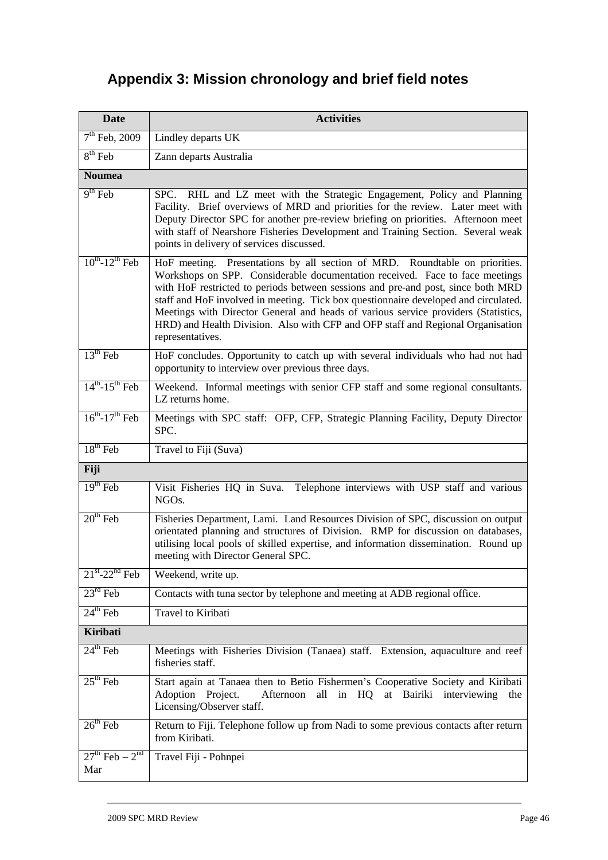# **Appendix 3: Mission chronology and brief field notes**

| <b>Activities</b><br><b>Date</b>       |                                                                                                                                                                                                                                                                                                                                                                                                                                                                                                                                     |  |  |  |  |
|----------------------------------------|-------------------------------------------------------------------------------------------------------------------------------------------------------------------------------------------------------------------------------------------------------------------------------------------------------------------------------------------------------------------------------------------------------------------------------------------------------------------------------------------------------------------------------------|--|--|--|--|
| $7th$ Feb, 2009                        | Lindley departs UK                                                                                                                                                                                                                                                                                                                                                                                                                                                                                                                  |  |  |  |  |
| $8th$ Feb                              | Zann departs Australia                                                                                                                                                                                                                                                                                                                                                                                                                                                                                                              |  |  |  |  |
| <b>Noumea</b>                          |                                                                                                                                                                                                                                                                                                                                                                                                                                                                                                                                     |  |  |  |  |
| $9th$ Feb                              | SPC. RHL and LZ meet with the Strategic Engagement, Policy and Planning<br>Facility. Brief overviews of MRD and priorities for the review. Later meet with<br>Deputy Director SPC for another pre-review briefing on priorities. Afternoon meet<br>with staff of Nearshore Fisheries Development and Training Section. Several weak<br>points in delivery of services discussed.                                                                                                                                                    |  |  |  |  |
| $10^{th}$ -12 <sup>th</sup> Feb        | HoF meeting. Presentations by all section of MRD. Roundtable on priorities.<br>Workshops on SPP. Considerable documentation received. Face to face meetings<br>with HoF restricted to periods between sessions and pre-and post, since both MRD<br>staff and HoF involved in meeting. Tick box questionnaire developed and circulated.<br>Meetings with Director General and heads of various service providers (Statistics,<br>HRD) and Health Division. Also with CFP and OFP staff and Regional Organisation<br>representatives. |  |  |  |  |
| $13th$ Feb                             | HoF concludes. Opportunity to catch up with several individuals who had not had<br>opportunity to interview over previous three days.                                                                                                                                                                                                                                                                                                                                                                                               |  |  |  |  |
| $14^{th} - 15^{th}$ Feb                | Weekend. Informal meetings with senior CFP staff and some regional consultants.<br>LZ returns home.                                                                                                                                                                                                                                                                                                                                                                                                                                 |  |  |  |  |
| $16^{th}$ -17 <sup>th</sup> Feb        | Meetings with SPC staff: OFP, CFP, Strategic Planning Facility, Deputy Director<br>SPC.                                                                                                                                                                                                                                                                                                                                                                                                                                             |  |  |  |  |
| $18th$ Feb                             | Travel to Fiji (Suva)                                                                                                                                                                                                                                                                                                                                                                                                                                                                                                               |  |  |  |  |
| Fiji                                   |                                                                                                                                                                                                                                                                                                                                                                                                                                                                                                                                     |  |  |  |  |
| $19th$ Feb                             | Visit Fisheries HQ in Suva. Telephone interviews with USP staff and various<br>NGO <sub>s</sub> .                                                                                                                                                                                                                                                                                                                                                                                                                                   |  |  |  |  |
| $20th$ Feb                             | Fisheries Department, Lami. Land Resources Division of SPC, discussion on output<br>orientated planning and structures of Division. RMP for discussion on databases,<br>utilising local pools of skilled expertise, and information dissemination. Round up<br>meeting with Director General SPC.                                                                                                                                                                                                                                   |  |  |  |  |
| $21^{\text{st}}$ -22 <sup>nd</sup> Feb | Weekend, write up.                                                                                                                                                                                                                                                                                                                                                                                                                                                                                                                  |  |  |  |  |
| $23^{\text{rd}}$ Feb                   | Contacts with tuna sector by telephone and meeting at ADB regional office.                                                                                                                                                                                                                                                                                                                                                                                                                                                          |  |  |  |  |
| $24th$ Feb                             | Travel to Kiribati                                                                                                                                                                                                                                                                                                                                                                                                                                                                                                                  |  |  |  |  |
| <b>Kiribati</b>                        |                                                                                                                                                                                                                                                                                                                                                                                                                                                                                                                                     |  |  |  |  |
| $24th$ Feb                             | Meetings with Fisheries Division (Tanaea) staff. Extension, aquaculture and reef<br>fisheries staff.                                                                                                                                                                                                                                                                                                                                                                                                                                |  |  |  |  |
| $25th$ Feb                             | Start again at Tanaea then to Betio Fishermen's Cooperative Society and Kiribati<br>Afternoon all in HQ at Bairiki interviewing<br>Adoption Project.<br>the<br>Licensing/Observer staff.                                                                                                                                                                                                                                                                                                                                            |  |  |  |  |
| $26th$ Feb                             | Return to Fiji. Telephone follow up from Nadi to some previous contacts after return<br>from Kiribati.                                                                                                                                                                                                                                                                                                                                                                                                                              |  |  |  |  |
| $27^{th}$ Feb $-2^{nd}$<br>Mar         | Travel Fiji - Pohnpei                                                                                                                                                                                                                                                                                                                                                                                                                                                                                                               |  |  |  |  |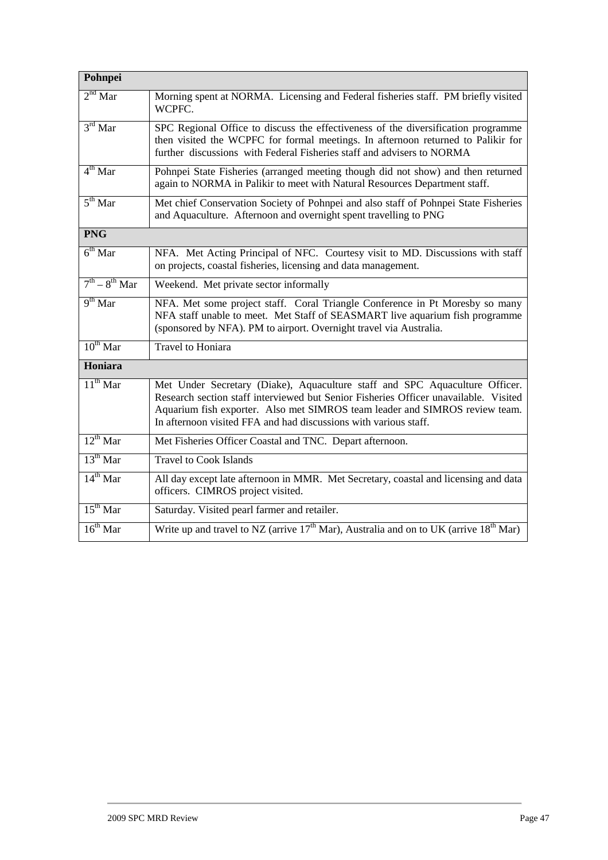| Pohnpei             |                                                                                                                                                                                                                                                                                                                        |
|---------------------|------------------------------------------------------------------------------------------------------------------------------------------------------------------------------------------------------------------------------------------------------------------------------------------------------------------------|
| $2nd$ Mar           | Morning spent at NORMA. Licensing and Federal fisheries staff. PM briefly visited<br>WCPFC.                                                                                                                                                                                                                            |
| $3rd$ Mar           | SPC Regional Office to discuss the effectiveness of the diversification programme<br>then visited the WCPFC for formal meetings. In afternoon returned to Palikir for<br>further discussions with Federal Fisheries staff and advisers to NORMA                                                                        |
| $4^{th}$ Mar        | Pohnpei State Fisheries (arranged meeting though did not show) and then returned<br>again to NORMA in Palikir to meet with Natural Resources Department staff.                                                                                                                                                         |
| $5^{\text{th}}$ Mar | Met chief Conservation Society of Pohnpei and also staff of Pohnpei State Fisheries<br>and Aquaculture. Afternoon and overnight spent travelling to PNG                                                                                                                                                                |
| <b>PNG</b>          |                                                                                                                                                                                                                                                                                                                        |
| $6th$ Mar           | NFA. Met Acting Principal of NFC. Courtesy visit to MD. Discussions with staff<br>on projects, coastal fisheries, licensing and data management.                                                                                                                                                                       |
| $7th - 8th$ Mar     | Weekend. Met private sector informally                                                                                                                                                                                                                                                                                 |
| $9th$ Mar           | NFA. Met some project staff. Coral Triangle Conference in Pt Moresby so many<br>NFA staff unable to meet. Met Staff of SEASMART live aquarium fish programme<br>(sponsored by NFA). PM to airport. Overnight travel via Australia.                                                                                     |
| $10^{th}$ Mar       | <b>Travel to Honiara</b>                                                                                                                                                                                                                                                                                               |
| Honiara             |                                                                                                                                                                                                                                                                                                                        |
| $11^{th}$ Mar       | Met Under Secretary (Diake), Aquaculture staff and SPC Aquaculture Officer.<br>Research section staff interviewed but Senior Fisheries Officer unavailable. Visited<br>Aquarium fish exporter. Also met SIMROS team leader and SIMROS review team.<br>In afternoon visited FFA and had discussions with various staff. |
| $12^{th}$ Mar       | Met Fisheries Officer Coastal and TNC. Depart afternoon.                                                                                                                                                                                                                                                               |
| $13^{th}$ Mar       | <b>Travel to Cook Islands</b>                                                                                                                                                                                                                                                                                          |
| $14^{th}$ Mar       | All day except late afternoon in MMR. Met Secretary, coastal and licensing and data<br>officers. CIMROS project visited.                                                                                                                                                                                               |
| $15th$ Mar          | Saturday. Visited pearl farmer and retailer.                                                                                                                                                                                                                                                                           |
| $16^{th}$ Mar       | Write up and travel to NZ (arrive $17th$ Mar), Australia and on to UK (arrive $18th$ Mar)                                                                                                                                                                                                                              |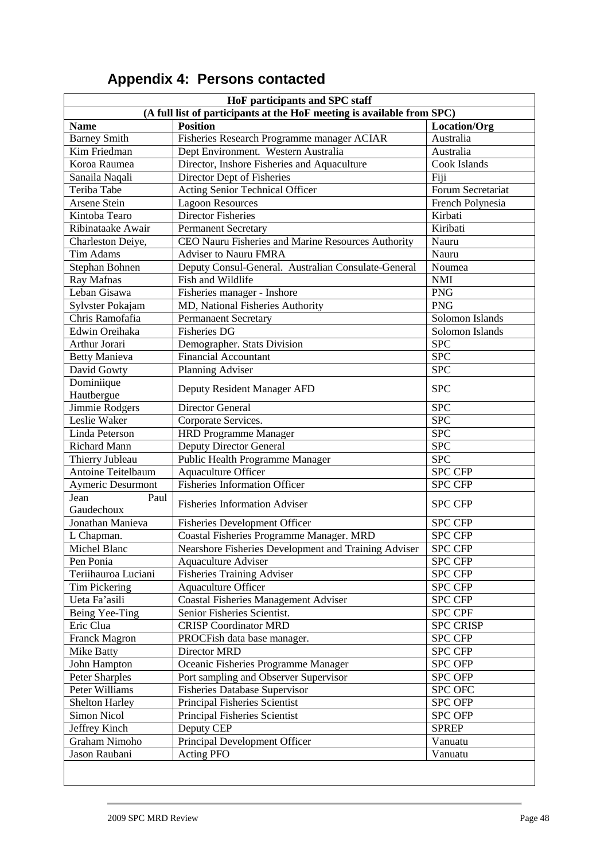| HoF participants and SPC staff                                         |                                                      |                         |  |  |  |  |  |
|------------------------------------------------------------------------|------------------------------------------------------|-------------------------|--|--|--|--|--|
| (A full list of participants at the HoF meeting is available from SPC) |                                                      |                         |  |  |  |  |  |
| <b>Name</b>                                                            | <b>Position</b>                                      | Location/Org            |  |  |  |  |  |
| <b>Barney Smith</b>                                                    | Fisheries Research Programme manager ACIAR           | Australia               |  |  |  |  |  |
| Kim Friedman                                                           | Dept Environment. Western Australia                  | Australia               |  |  |  |  |  |
| Koroa Raumea                                                           | Director, Inshore Fisheries and Aquaculture          | Cook Islands            |  |  |  |  |  |
| Sanaila Naqali                                                         | Director Dept of Fisheries                           | Fiji                    |  |  |  |  |  |
| Teriba Tabe                                                            | Acting Senior Technical Officer                      | Forum Secretariat       |  |  |  |  |  |
| Arsene Stein                                                           | <b>Lagoon Resources</b>                              | French Polynesia        |  |  |  |  |  |
| Kintoba Tearo                                                          | Director Fisheries                                   | Kirbati                 |  |  |  |  |  |
| Ribinataake Awair                                                      | <b>Permanent Secretary</b>                           | Kiribati                |  |  |  |  |  |
| Charleston Deiye,                                                      | CEO Nauru Fisheries and Marine Resources Authority   | Nauru                   |  |  |  |  |  |
| <b>Tim Adams</b>                                                       | <b>Adviser to Nauru FMRA</b>                         | Nauru                   |  |  |  |  |  |
| Stephan Bohnen                                                         | Deputy Consul-General. Australian Consulate-General  | Noumea                  |  |  |  |  |  |
| Ray Mafnas                                                             | Fish and Wildlife                                    | <b>NMI</b>              |  |  |  |  |  |
| Leban Gisawa                                                           | Fisheries manager - Inshore                          | <b>PNG</b>              |  |  |  |  |  |
| Sylvster Pokajam                                                       | MD, National Fisheries Authority                     | <b>PNG</b>              |  |  |  |  |  |
| Chris Ramofafia                                                        | <b>Permanaent Secretary</b>                          | Solomon Islands         |  |  |  |  |  |
| Edwin Oreihaka                                                         | <b>Fisheries DG</b>                                  | Solomon Islands         |  |  |  |  |  |
| Arthur Jorari                                                          | Demographer. Stats Division                          | <b>SPC</b>              |  |  |  |  |  |
| <b>Betty Manieva</b>                                                   | Financial Accountant                                 | <b>SPC</b>              |  |  |  |  |  |
| David Gowty                                                            | Planning Adviser                                     | <b>SPC</b>              |  |  |  |  |  |
| Dominiique                                                             |                                                      |                         |  |  |  |  |  |
| Hautbergue                                                             | Deputy Resident Manager AFD                          | <b>SPC</b>              |  |  |  |  |  |
| Jimmie Rodgers                                                         | Director General                                     | <b>SPC</b>              |  |  |  |  |  |
| Leslie Waker                                                           | Corporate Services.                                  | $\overline{\text{SPC}}$ |  |  |  |  |  |
| Linda Peterson                                                         | <b>HRD Programme Manager</b>                         | <b>SPC</b>              |  |  |  |  |  |
| <b>Richard Mann</b>                                                    | <b>Deputy Director General</b>                       | <b>SPC</b>              |  |  |  |  |  |
| Thierry Jubleau                                                        | Public Health Programme Manager                      | <b>SPC</b>              |  |  |  |  |  |
| Antoine Teitelbaum                                                     | Aquaculture Officer                                  | <b>SPC CFP</b>          |  |  |  |  |  |
| <b>Aymeric Desurmont</b>                                               | <b>Fisheries Information Officer</b>                 | <b>SPC CFP</b>          |  |  |  |  |  |
| Jean<br>Paul                                                           |                                                      |                         |  |  |  |  |  |
| Gaudechoux                                                             | <b>Fisheries Information Adviser</b>                 | <b>SPC CFP</b>          |  |  |  |  |  |
| Jonathan Manieva                                                       | <b>Fisheries Development Officer</b>                 | <b>SPC CFP</b>          |  |  |  |  |  |
| L Chapman.                                                             | Coastal Fisheries Programme Manager. MRD             | <b>SPC CFP</b>          |  |  |  |  |  |
| Michel Blanc                                                           | Nearshore Fisheries Development and Training Adviser | <b>SPC CFP</b>          |  |  |  |  |  |
| Pen Ponia                                                              | <b>Aquaculture Adviser</b>                           | <b>SPC CFP</b>          |  |  |  |  |  |
| Teriihauroa Luciani                                                    | <b>Fisheries Training Adviser</b>                    | <b>SPC CFP</b>          |  |  |  |  |  |
| Tim Pickering                                                          | Aquaculture Officer                                  | <b>SPC CFP</b>          |  |  |  |  |  |
| Ueta Fa'asili                                                          | <b>Coastal Fisheries Management Adviser</b>          | <b>SPC CFP</b>          |  |  |  |  |  |
|                                                                        | Senior Fisheries Scientist.                          | <b>SPC CPF</b>          |  |  |  |  |  |
| Being Yee-Ting<br>Eric Clua                                            | <b>CRISP Coordinator MRD</b>                         |                         |  |  |  |  |  |
|                                                                        |                                                      | <b>SPC CRISP</b>        |  |  |  |  |  |
| <b>Franck Magron</b>                                                   | PROCFish data base manager.                          | <b>SPC CFP</b>          |  |  |  |  |  |
| <b>Mike Batty</b>                                                      | Director MRD                                         | <b>SPC CFP</b>          |  |  |  |  |  |
| John Hampton                                                           | Oceanic Fisheries Programme Manager                  | <b>SPC OFP</b>          |  |  |  |  |  |
| Peter Sharples                                                         | Port sampling and Observer Supervisor                | <b>SPC OFP</b>          |  |  |  |  |  |
| Peter Williams                                                         | <b>Fisheries Database Supervisor</b>                 | <b>SPC OFC</b>          |  |  |  |  |  |
| <b>Shelton Harley</b>                                                  | Principal Fisheries Scientist                        | <b>SPC OFP</b>          |  |  |  |  |  |
| <b>Simon Nicol</b>                                                     | Principal Fisheries Scientist                        | <b>SPC OFP</b>          |  |  |  |  |  |
| Jeffrey Kinch                                                          | Deputy CEP                                           | <b>SPREP</b>            |  |  |  |  |  |
| Graham Nimoho                                                          | Principal Development Officer                        | Vanuatu                 |  |  |  |  |  |
| Jason Raubani                                                          | <b>Acting PFO</b>                                    | Vanuatu                 |  |  |  |  |  |
|                                                                        |                                                      |                         |  |  |  |  |  |

# **Appendix 4: Persons contacted**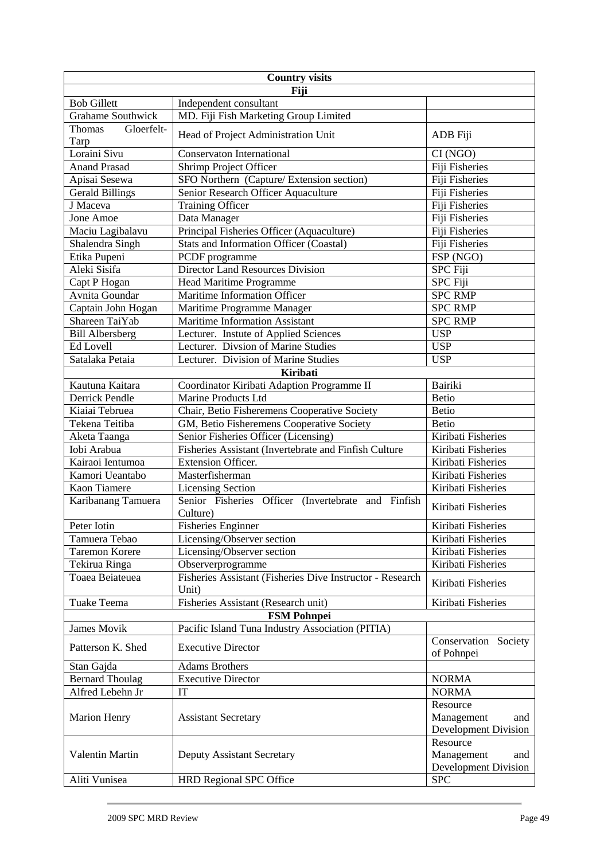| <b>Country visits</b>        |                                                                    |                                                              |  |  |  |  |
|------------------------------|--------------------------------------------------------------------|--------------------------------------------------------------|--|--|--|--|
|                              | Fiji                                                               |                                                              |  |  |  |  |
| <b>Bob Gillett</b>           | Independent consultant                                             |                                                              |  |  |  |  |
| <b>Grahame Southwick</b>     | MD. Fiji Fish Marketing Group Limited                              |                                                              |  |  |  |  |
| Thomas<br>Gloerfelt-<br>Tarp | Head of Project Administration Unit                                | ADB Fiji                                                     |  |  |  |  |
| Loraini Sivu                 | Conservaton International                                          | CI(NGO)                                                      |  |  |  |  |
| <b>Anand Prasad</b>          | Shrimp Project Officer                                             | Fiji Fisheries                                               |  |  |  |  |
| Apisai Sesewa                | SFO Northern (Capture/ Extension section)                          | Fiji Fisheries                                               |  |  |  |  |
| <b>Gerald Billings</b>       | Senior Research Officer Aquaculture                                | Fiji Fisheries                                               |  |  |  |  |
| J Maceva                     | <b>Training Officer</b>                                            | Fiji Fisheries                                               |  |  |  |  |
| Jone Amoe                    | Data Manager                                                       | Fiji Fisheries                                               |  |  |  |  |
| Maciu Lagibalavu             | Principal Fisheries Officer (Aquaculture)                          | Fiji Fisheries                                               |  |  |  |  |
| Shalendra Singh              | <b>Stats and Information Officer (Coastal)</b>                     | Fiji Fisheries                                               |  |  |  |  |
| Etika Pupeni                 | PCDF programme                                                     | FSP (NGO)                                                    |  |  |  |  |
| Aleki Sisifa                 | Director Land Resources Division                                   | <b>SPC</b> Fiji                                              |  |  |  |  |
| Capt P Hogan                 | Head Maritime Programme                                            | <b>SPC</b> Fiji                                              |  |  |  |  |
| Avnita Goundar               | Maritime Information Officer                                       | <b>SPC RMP</b>                                               |  |  |  |  |
| Captain John Hogan           | Maritime Programme Manager                                         | <b>SPC RMP</b>                                               |  |  |  |  |
| Shareen TaiYab               | <b>Maritime Information Assistant</b>                              | <b>SPC RMP</b>                                               |  |  |  |  |
| <b>Bill Albersberg</b>       | Lecturer. Instute of Applied Sciences                              | <b>USP</b>                                                   |  |  |  |  |
| Ed Lovell                    | Lecturer. Divsion of Marine Studies                                | <b>USP</b>                                                   |  |  |  |  |
| Satalaka Petaia              | Lecturer. Division of Marine Studies                               | <b>USP</b>                                                   |  |  |  |  |
|                              | Kiribati                                                           |                                                              |  |  |  |  |
| Kautuna Kaitara              | Coordinator Kiribati Adaption Programme II                         | <b>Bairiki</b>                                               |  |  |  |  |
| <b>Derrick Pendle</b>        | Marine Products Ltd                                                | <b>Betio</b>                                                 |  |  |  |  |
| Kiaiai Tebruea               | Chair, Betio Fisheremens Cooperative Society                       | <b>Betio</b>                                                 |  |  |  |  |
| Tekena Teitiba               | GM, Betio Fisheremens Cooperative Society                          | <b>Betio</b>                                                 |  |  |  |  |
| Aketa Taanga                 | Senior Fisheries Officer (Licensing)                               | Kiribati Fisheries                                           |  |  |  |  |
| Iobi Arabua                  | Fisheries Assistant (Invertebrate and Finfish Culture              | Kiribati Fisheries                                           |  |  |  |  |
| Kairaoi Ientumoa             | Extension Officer.                                                 | Kiribati Fisheries                                           |  |  |  |  |
| Kamori Ueantabo              | Masterfisherman                                                    | Kiribati Fisheries                                           |  |  |  |  |
| Kaon Tiamere                 | <b>Licensing Section</b>                                           | Kiribati Fisheries                                           |  |  |  |  |
| Karibanang Tamuera           | Senior Fisheries Officer (Invertebrate and Finfish<br>Culture)     | Kiribati Fisheries                                           |  |  |  |  |
| Peter Iotin                  | <b>Fisheries Enginner</b>                                          | Kiribati Fisheries                                           |  |  |  |  |
| Tamuera Tebao                | Licensing/Observer section                                         | Kiribati Fisheries                                           |  |  |  |  |
| <b>Taremon Korere</b>        | Licensing/Observer section                                         | Kiribati Fisheries                                           |  |  |  |  |
| Tekirua Ringa                | Observerprogramme                                                  | Kiribati Fisheries                                           |  |  |  |  |
| Toaea Beiateuea              | Fisheries Assistant (Fisheries Dive Instructor - Research<br>Unit) | Kiribati Fisheries                                           |  |  |  |  |
| Tuake Teema                  | Fisheries Assistant (Research unit)                                | Kiribati Fisheries                                           |  |  |  |  |
|                              | <b>FSM Pohnpei</b>                                                 |                                                              |  |  |  |  |
| <b>James Movik</b>           | Pacific Island Tuna Industry Association (PITIA)                   |                                                              |  |  |  |  |
| Patterson K. Shed            | <b>Executive Director</b>                                          | Conservation Society<br>of Pohnpei                           |  |  |  |  |
| Stan Gajda                   | <b>Adams Brothers</b>                                              |                                                              |  |  |  |  |
| <b>Bernard Thoulag</b>       | <b>Executive Director</b>                                          | <b>NORMA</b>                                                 |  |  |  |  |
| Alfred Lebehn Jr             | <b>IT</b>                                                          | <b>NORMA</b>                                                 |  |  |  |  |
|                              |                                                                    | Resource                                                     |  |  |  |  |
| <b>Marion Henry</b>          | <b>Assistant Secretary</b>                                         | Management<br>and<br><b>Development Division</b>             |  |  |  |  |
| Valentin Martin              | Deputy Assistant Secretary                                         | Resource<br>Management<br>and<br><b>Development Division</b> |  |  |  |  |
| Aliti Vunisea                | <b>HRD Regional SPC Office</b>                                     | <b>SPC</b>                                                   |  |  |  |  |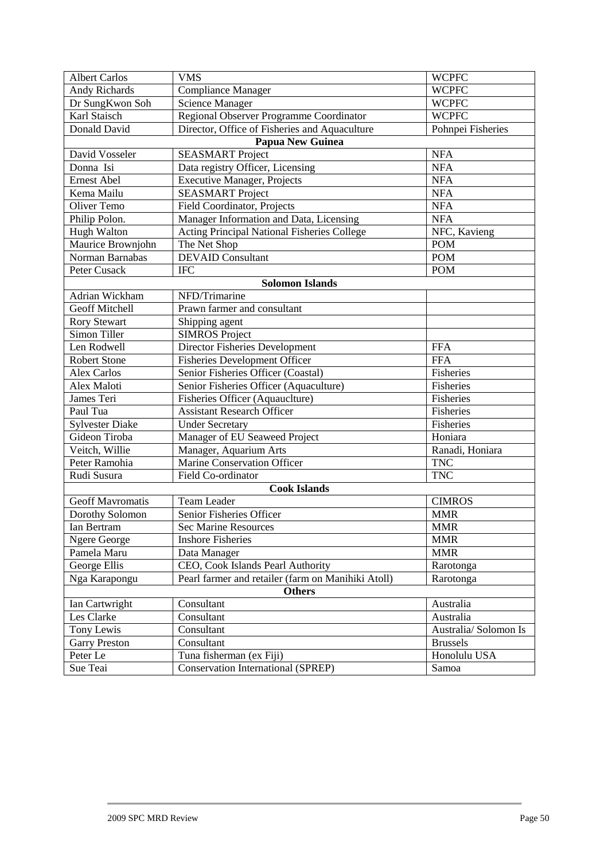| <b>Albert Carlos</b>    | <b>VMS</b>                                         | <b>WCPFC</b>          |
|-------------------------|----------------------------------------------------|-----------------------|
| <b>Andy Richards</b>    | <b>Compliance Manager</b>                          | <b>WCPFC</b>          |
| Dr SungKwon Soh         | <b>Science Manager</b>                             | <b>WCPFC</b>          |
| Karl Staisch            | Regional Observer Programme Coordinator            | <b>WCPFC</b>          |
| Donald David            | Director, Office of Fisheries and Aquaculture      | Pohnpei Fisheries     |
|                         | <b>Papua New Guinea</b>                            |                       |
| David Vosseler          | <b>SEASMART</b> Project                            | <b>NFA</b>            |
| Donna Isi               | Data registry Officer, Licensing                   | <b>NFA</b>            |
| <b>Ernest Abel</b>      | <b>Executive Manager, Projects</b>                 | <b>NFA</b>            |
| Kema Mailu              | <b>SEASMART</b> Project                            | <b>NFA</b>            |
| Oliver Temo             | Field Coordinator, Projects                        | <b>NFA</b>            |
| Philip Polon.           | Manager Information and Data, Licensing            | <b>NFA</b>            |
| <b>Hugh Walton</b>      | Acting Principal National Fisheries College        | NFC, Kavieng          |
| Maurice Brownjohn       | The Net Shop                                       | <b>POM</b>            |
| Norman Barnabas         | <b>DEVAID Consultant</b>                           | <b>POM</b>            |
| <b>Peter Cusack</b>     | <b>IFC</b>                                         | <b>POM</b>            |
|                         | <b>Solomon Islands</b>                             |                       |
| Adrian Wickham          | NFD/Trimarine                                      |                       |
| <b>Geoff Mitchell</b>   | Prawn farmer and consultant                        |                       |
| <b>Rory Stewart</b>     | Shipping agent                                     |                       |
| Simon Tiller            | <b>SIMROS Project</b>                              |                       |
| Len Rodwell             | Director Fisheries Development                     | <b>FFA</b>            |
| <b>Robert Stone</b>     | <b>Fisheries Development Officer</b>               | <b>FFA</b>            |
| <b>Alex Carlos</b>      | Senior Fisheries Officer (Coastal)                 | Fisheries             |
| Alex Maloti             | Senior Fisheries Officer (Aquaculture)             | Fisheries             |
| James Teri              | Fisheries Officer (Aquauclture)                    | Fisheries             |
| Paul Tua                | <b>Assistant Research Officer</b>                  | Fisheries             |
| <b>Sylvester Diake</b>  | <b>Under Secretary</b>                             | Fisheries             |
| Gideon Tiroba           | Manager of EU Seaweed Project                      | Honiara               |
| Veitch, Willie          | Manager, Aquarium Arts                             | Ranadi, Honiara       |
| Peter Ramohia           | Marine Conservation Officer                        | <b>TNC</b>            |
| Rudi Susura             | Field Co-ordinator                                 | <b>TNC</b>            |
|                         | <b>Cook Islands</b>                                |                       |
| <b>Geoff Mavromatis</b> | Team Leader                                        | <b>CIMROS</b>         |
| Dorothy Solomon         | Senior Fisheries Officer                           | <b>MMR</b>            |
| Ian Bertram             | Sec Marine Resources                               | $\operatorname{MMR}$  |
| <b>Ngere George</b>     | <b>Inshore Fisheries</b>                           | <b>MMR</b>            |
| Pamela Maru             | Data Manager                                       | <b>MMR</b>            |
| George Ellis            | CEO, Cook Islands Pearl Authority                  | Rarotonga             |
| Nga Karapongu           | Pearl farmer and retailer (farm on Manihiki Atoll) | Rarotonga             |
|                         | <b>Others</b>                                      |                       |
| Ian Cartwright          | Consultant                                         | Australia             |
| Les Clarke              | Consultant                                         | Australia             |
| Tony Lewis              | Consultant                                         | Australia/ Solomon Is |
| <b>Garry Preston</b>    | Consultant                                         | <b>Brussels</b>       |
| Peter Le                | Tuna fisherman (ex Fiji)                           | Honolulu USA          |
| Sue Teai                | Conservation International (SPREP)                 | Samoa                 |
|                         |                                                    |                       |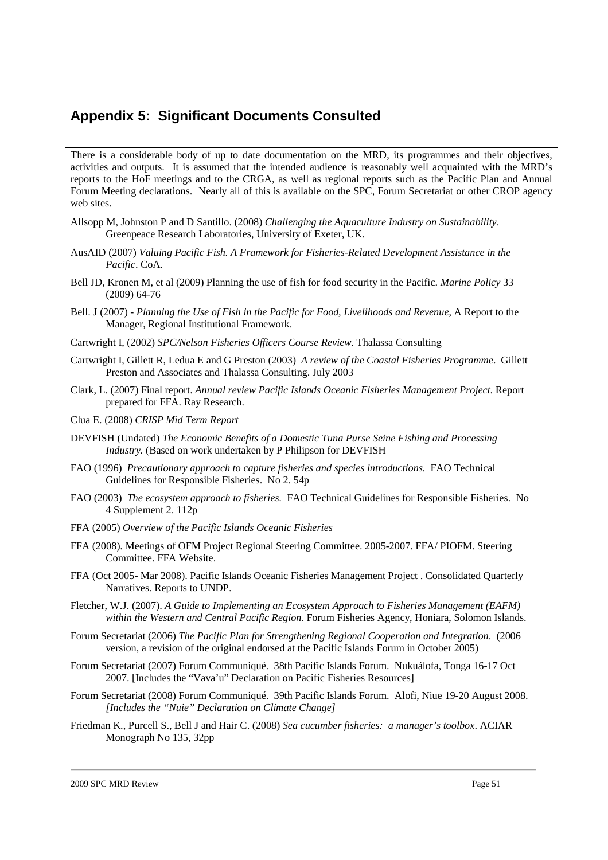## **Appendix 5: Significant Documents Consulted**

There is a considerable body of up to date documentation on the MRD, its programmes and their objectives, activities and outputs. It is assumed that the intended audience is reasonably well acquainted with the MRD's reports to the HoF meetings and to the CRGA, as well as regional reports such as the Pacific Plan and Annual Forum Meeting declarations. Nearly all of this is available on the SPC, Forum Secretariat or other CROP agency web sites.

- Allsopp M, Johnston P and D Santillo. (2008) *Challenging the Aquaculture Industry on Sustainability*. Greenpeace Research Laboratories, University of Exeter, UK.
- AusAID (2007) *Valuing Pacific Fish. A Framework for Fisheries-Related Development Assistance in the Pacific*. CoA.
- Bell JD, Kronen M, et al (2009) Planning the use of fish for food security in the Pacific. *Marine Policy* 33 (2009) 64-76
- Bell. J (2007) *Planning the Use of Fish in the Pacific for Food, Livelihoods and Revenue*, A Report to the Manager, Regional Institutional Framework.
- Cartwright I, (2002) *SPC/Nelson Fisheries Officers Course Review.* Thalassa Consulting
- Cartwright I, Gillett R, Ledua E and G Preston (2003) *A review of the Coastal Fisheries Programme*. Gillett Preston and Associates and Thalassa Consulting. July 2003
- Clark, L. (2007) Final report. *Annual review Pacific Islands Oceanic Fisheries Management Project*. Report prepared for FFA. Ray Research.
- Clua E. (2008) *CRISP Mid Term Report*
- DEVFISH (Undated) *The Economic Benefits of a Domestic Tuna Purse Seine Fishing and Processing Industry.* (Based on work undertaken by P Philipson for DEVFISH
- FAO (1996) *Precautionary approach to capture fisheries and species introductions.* FAO Technical Guidelines for Responsible Fisheries. No 2. 54p
- FAO (2003) *The ecosystem approach to fisheries.* FAO Technical Guidelines for Responsible Fisheries. No 4 Supplement 2. 112p
- FFA (2005) *Overview of the Pacific Islands Oceanic Fisheries*
- FFA (2008). Meetings of OFM Project Regional Steering Committee. 2005-2007. FFA/ PIOFM. Steering Committee. FFA Website.
- FFA (Oct 2005- Mar 2008). Pacific Islands Oceanic Fisheries Management Project . Consolidated Quarterly Narratives. Reports to UNDP.
- Fletcher, W.J. (2007). *A Guide to Implementing an Ecosystem Approach to Fisheries Management (EAFM) within the Western and Central Pacific Region.* Forum Fisheries Agency, Honiara, Solomon Islands.
- Forum Secretariat (2006) *The Pacific Plan for Strengthening Regional Cooperation and Integration*. (2006 version, a revision of the original endorsed at the Pacific Islands Forum in October 2005)
- Forum Secretariat (2007) Forum Communiqué. 38th Pacific Islands Forum. Nukuálofa, Tonga 16-17 Oct 2007. [Includes the "Vava'u" Declaration on Pacific Fisheries Resources]
- Forum Secretariat (2008) Forum Communiqué. 39th Pacific Islands Forum. Alofi, Niue 19-20 August 2008. *[Includes the "Nuie" Declaration on Climate Change]*
- Friedman K., Purcell S., Bell J and Hair C. (2008) *Sea cucumber fisheries: a manager's toolbox*. ACIAR Monograph No 135, 32pp

2009 SPC MRD Review Page 51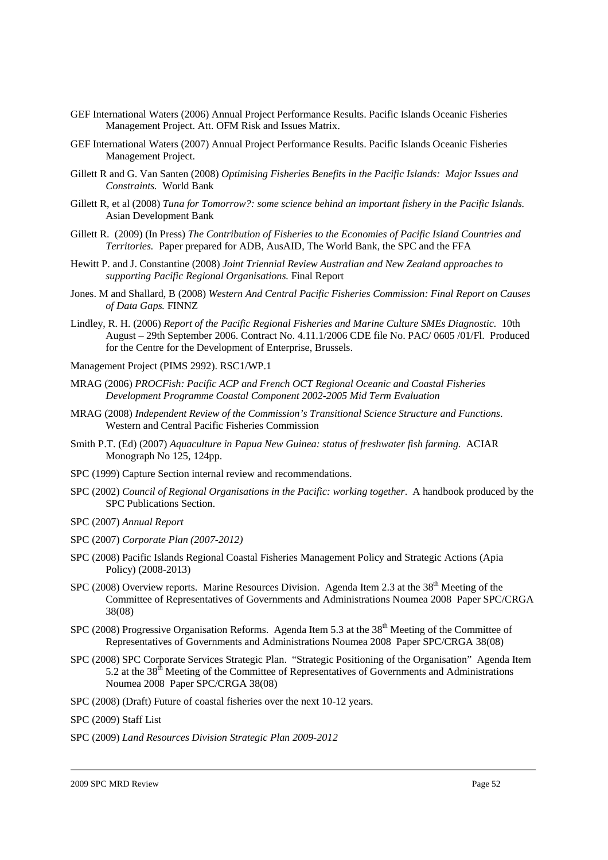- GEF International Waters (2006) Annual Project Performance Results. Pacific Islands Oceanic Fisheries Management Project. Att. OFM Risk and Issues Matrix.
- GEF International Waters (2007) Annual Project Performance Results. Pacific Islands Oceanic Fisheries Management Project.
- Gillett R and G. Van Santen (2008) *Optimising Fisheries Benefits in the Pacific Islands: Major Issues and Constraints.* World Bank
- Gillett R, et al (2008) *Tuna for Tomorrow?: some science behind an important fishery in the Pacific Islands.* Asian Development Bank
- Gillett R. (2009) (In Press) *The Contribution of Fisheries to the Economies of Pacific Island Countries and Territories.* Paper prepared for ADB, AusAID, The World Bank, the SPC and the FFA
- Hewitt P. and J. Constantine (2008) *Joint Triennial Review Australian and New Zealand approaches to supporting Pacific Regional Organisations.* Final Report
- Jones. M and Shallard, B (2008) *Western And Central Pacific Fisheries Commission: Final Report on Causes of Data Gaps.* FINNZ
- Lindley, R. H. (2006) *Report of the Pacific Regional Fisheries and Marine Culture SMEs Diagnostic.* 10th August – 29th September 2006. Contract No. 4.11.1/2006 CDE file No. PAC/ 0605 /01/Fl. Produced for the Centre for the Development of Enterprise, Brussels.
- Management Project (PIMS 2992). RSC1/WP.1
- MRAG (2006) *PROCFish: Pacific ACP and French OCT Regional Oceanic and Coastal Fisheries Development Programme Coastal Component 2002-2005 Mid Term Evaluation*
- MRAG (2008) *Independent Review of the Commission's Transitional Science Structure and Functions*. Western and Central Pacific Fisheries Commission
- Smith P.T. (Ed) (2007) *Aquaculture in Papua New Guinea: status of freshwater fish farming.* ACIAR Monograph No 125, 124pp.
- SPC (1999) Capture Section internal review and recommendations.
- SPC (2002) *Council of Regional Organisations in the Pacific: working together*. A handbook produced by the SPC Publications Section.
- SPC (2007) *Annual Report*
- SPC (2007) *Corporate Plan (2007-2012)*
- SPC (2008) Pacific Islands Regional Coastal Fisheries Management Policy and Strategic Actions (Apia Policy) (2008-2013)
- SPC (2008) Overview reports. Marine Resources Division. Agenda Item 2.3 at the  $38<sup>th</sup>$  Meeting of the Committee of Representatives of Governments and Administrations Noumea 2008 Paper SPC/CRGA 38(08)
- SPC (2008) Progressive Organisation Reforms. Agenda Item 5.3 at the 38<sup>th</sup> Meeting of the Committee of Representatives of Governments and Administrations Noumea 2008 Paper SPC/CRGA 38(08)
- SPC (2008) SPC Corporate Services Strategic Plan. "Strategic Positioning of the Organisation" Agenda Item 5.2 at the 38<sup>th</sup> Meeting of the Committee of Representatives of Governments and Administrations Noumea 2008 Paper SPC/CRGA 38(08)
- SPC (2008) (Draft) Future of coastal fisheries over the next 10-12 years.
- SPC (2009) Staff List
- SPC (2009) *Land Resources Division Strategic Plan 2009-2012*

2009 SPC MRD Review Page 52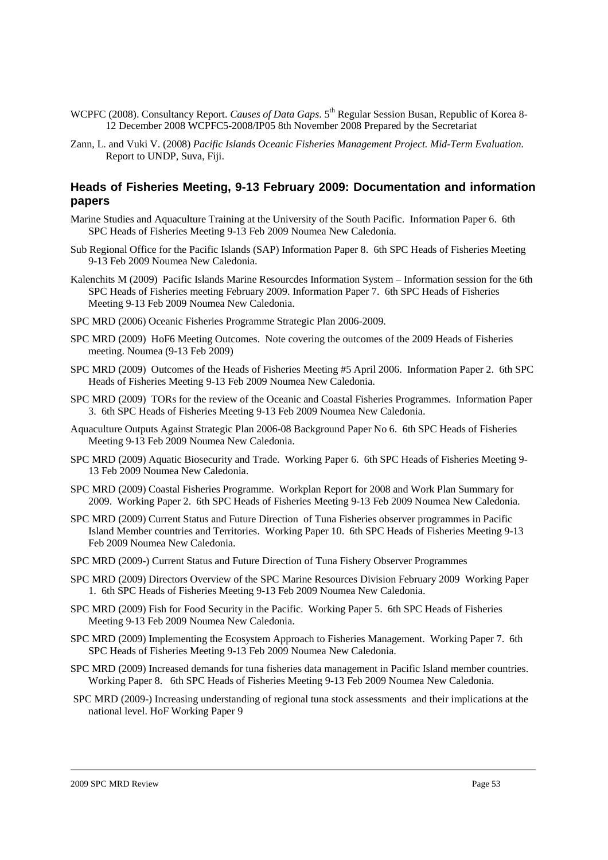- WCPFC (2008). Consultancy Report. *Causes of Data Gaps*. 5<sup>th</sup> Regular Session Busan, Republic of Korea 8-12 December 2008 WCPFC5-2008/IP05 8th November 2008 Prepared by the Secretariat
- Zann, L. and Vuki V. (2008) *Pacific Islands Oceanic Fisheries Management Project. Mid-Term Evaluation.* Report to UNDP, Suva, Fiji.

#### **Heads of Fisheries Meeting, 9-13 February 2009: Documentation and information papers**

- Marine Studies and Aquaculture Training at the University of the South Pacific. Information Paper 6. 6th SPC Heads of Fisheries Meeting 9-13 Feb 2009 Noumea New Caledonia.
- Sub Regional Office for the Pacific Islands (SAP) Information Paper 8. 6th SPC Heads of Fisheries Meeting 9-13 Feb 2009 Noumea New Caledonia.
- Kalenchits M (2009) Pacific Islands Marine Resourcdes Information System Information session for the 6th SPC Heads of Fisheries meeting February 2009. Information Paper 7. 6th SPC Heads of Fisheries Meeting 9-13 Feb 2009 Noumea New Caledonia.
- SPC MRD (2006) Oceanic Fisheries Programme Strategic Plan 2006-2009.
- SPC MRD (2009) HoF6 Meeting Outcomes. Note covering the outcomes of the 2009 Heads of Fisheries meeting. Noumea (9-13 Feb 2009)
- SPC MRD (2009) Outcomes of the Heads of Fisheries Meeting #5 April 2006. Information Paper 2. 6th SPC Heads of Fisheries Meeting 9-13 Feb 2009 Noumea New Caledonia.
- SPC MRD (2009) TORs for the review of the Oceanic and Coastal Fisheries Programmes. Information Paper 3. 6th SPC Heads of Fisheries Meeting 9-13 Feb 2009 Noumea New Caledonia.
- Aquaculture Outputs Against Strategic Plan 2006-08 Background Paper No 6. 6th SPC Heads of Fisheries Meeting 9-13 Feb 2009 Noumea New Caledonia.
- SPC MRD (2009) Aquatic Biosecurity and Trade. Working Paper 6. 6th SPC Heads of Fisheries Meeting 9- 13 Feb 2009 Noumea New Caledonia.
- SPC MRD (2009) Coastal Fisheries Programme. Workplan Report for 2008 and Work Plan Summary for 2009. Working Paper 2. 6th SPC Heads of Fisheries Meeting 9-13 Feb 2009 Noumea New Caledonia.
- SPC MRD (2009) Current Status and Future Direction of Tuna Fisheries observer programmes in Pacific Island Member countries and Territories. Working Paper 10. 6th SPC Heads of Fisheries Meeting 9-13 Feb 2009 Noumea New Caledonia.
- SPC MRD (2009-) Current Status and Future Direction of Tuna Fishery Observer Programmes
- SPC MRD (2009) Directors Overview of the SPC Marine Resources Division February 2009 Working Paper 1. 6th SPC Heads of Fisheries Meeting 9-13 Feb 2009 Noumea New Caledonia.
- SPC MRD (2009) Fish for Food Security in the Pacific. Working Paper 5. 6th SPC Heads of Fisheries Meeting 9-13 Feb 2009 Noumea New Caledonia.
- SPC MRD (2009) Implementing the Ecosystem Approach to Fisheries Management. Working Paper 7. 6th SPC Heads of Fisheries Meeting 9-13 Feb 2009 Noumea New Caledonia.
- SPC MRD (2009) Increased demands for tuna fisheries data management in Pacific Island member countries. Working Paper 8. 6th SPC Heads of Fisheries Meeting 9-13 Feb 2009 Noumea New Caledonia.
- SPC MRD (2009-) Increasing understanding of regional tuna stock assessments and their implications at the national level. HoF Working Paper 9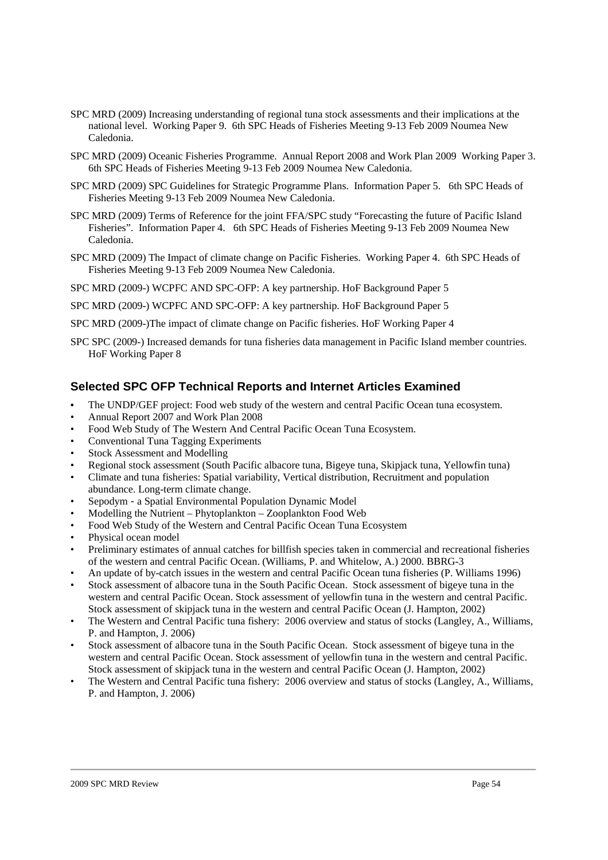- SPC MRD (2009) Increasing understanding of regional tuna stock assessments and their implications at the national level. Working Paper 9. 6th SPC Heads of Fisheries Meeting 9-13 Feb 2009 Noumea New Caledonia.
- SPC MRD (2009) Oceanic Fisheries Programme. Annual Report 2008 and Work Plan 2009 Working Paper 3. 6th SPC Heads of Fisheries Meeting 9-13 Feb 2009 Noumea New Caledonia.
- SPC MRD (2009) SPC Guidelines for Strategic Programme Plans. Information Paper 5. 6th SPC Heads of Fisheries Meeting 9-13 Feb 2009 Noumea New Caledonia.
- SPC MRD (2009) Terms of Reference for the joint FFA/SPC study "Forecasting the future of Pacific Island Fisheries". Information Paper 4. 6th SPC Heads of Fisheries Meeting 9-13 Feb 2009 Noumea New Caledonia.
- SPC MRD (2009) The Impact of climate change on Pacific Fisheries. Working Paper 4. 6th SPC Heads of Fisheries Meeting 9-13 Feb 2009 Noumea New Caledonia.

SPC MRD (2009-) WCPFC AND SPC-OFP: A key partnership. HoF Background Paper 5

SPC MRD (2009-) WCPFC AND SPC-OFP: A key partnership. HoF Background Paper 5

SPC MRD (2009-)The impact of climate change on Pacific fisheries. HoF Working Paper 4

SPC SPC (2009-) Increased demands for tuna fisheries data management in Pacific Island member countries. HoF Working Paper 8

### **Selected SPC OFP Technical Reports and Internet Articles Examined**

- The UNDP/GEF project: Food web study of the western and central Pacific Ocean tuna ecosystem.
- Annual Report 2007 and Work Plan 2008
- Food Web Study of The Western And Central Pacific Ocean Tuna Ecosystem.
- Conventional Tuna Tagging Experiments
- Stock Assessment and Modelling
- Regional stock assessment (South Pacific albacore tuna, Bigeye tuna, Skipjack tuna, Yellowfin tuna)
- Climate and tuna fisheries: Spatial variability, Vertical distribution, Recruitment and population abundance. Long-term climate change.
- Sepodym a Spatial Environmental Population Dynamic Model
- Modelling the Nutrient Phytoplankton Zooplankton Food Web
- Food Web Study of the Western and Central Pacific Ocean Tuna Ecosystem
- Physical ocean model
- Preliminary estimates of annual catches for billfish species taken in commercial and recreational fisheries of the western and central Pacific Ocean. (Williams, P. and Whitelow, A.) 2000. BBRG-3
- An update of by-catch issues in the western and central Pacific Ocean tuna fisheries (P. Williams 1996)
- Stock assessment of albacore tuna in the South Pacific Ocean. Stock assessment of bigeye tuna in the western and central Pacific Ocean. Stock assessment of yellowfin tuna in the western and central Pacific. Stock assessment of skipjack tuna in the western and central Pacific Ocean (J. Hampton, 2002)
- The Western and Central Pacific tuna fishery: 2006 overview and status of stocks (Langley, A., Williams, P. and Hampton, J. 2006)
- Stock assessment of albacore tuna in the South Pacific Ocean. Stock assessment of bigeye tuna in the western and central Pacific Ocean. Stock assessment of yellowfin tuna in the western and central Pacific. Stock assessment of skipjack tuna in the western and central Pacific Ocean (J. Hampton, 2002)
- The Western and Central Pacific tuna fishery: 2006 overview and status of stocks (Langley, A., Williams, P. and Hampton, J. 2006)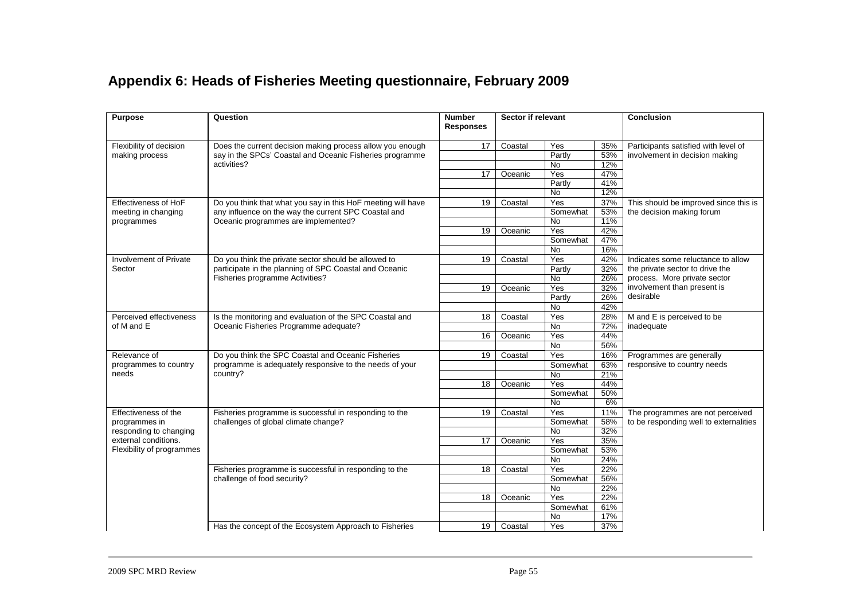## **Appendix 6: Heads of Fisheries Meeting questionnaire, February 2009**

| <b>Purpose</b>              | Question                                                                              | <b>Number</b><br><b>Responses</b> |         |           |     | Sector if relevant                     |  | <b>Conclusion</b> |
|-----------------------------|---------------------------------------------------------------------------------------|-----------------------------------|---------|-----------|-----|----------------------------------------|--|-------------------|
| Flexibility of decision     | Does the current decision making process allow you enough                             | 17                                | Coastal | Yes       | 35% | Participants satisfied with level of   |  |                   |
| making process              | say in the SPCs' Coastal and Oceanic Fisheries programme                              |                                   |         | Partly    | 53% | involvement in decision making         |  |                   |
|                             | activities?                                                                           |                                   |         | No.       | 12% |                                        |  |                   |
|                             |                                                                                       | 17                                | Oceanic | Yes       | 47% |                                        |  |                   |
|                             |                                                                                       |                                   |         | Partly    | 41% |                                        |  |                   |
|                             |                                                                                       |                                   |         | <b>No</b> | 12% |                                        |  |                   |
| <b>Effectiveness of HoF</b> | Do you think that what you say in this HoF meeting will have                          | 19                                | Coastal | Yes       | 37% | This should be improved since this is  |  |                   |
| meeting in changing         | any influence on the way the current SPC Coastal and                                  |                                   |         | Somewhat  | 53% | the decision making forum              |  |                   |
| programmes                  | Oceanic programmes are implemented?                                                   |                                   |         | <b>No</b> | 11% |                                        |  |                   |
|                             |                                                                                       | 19                                | Oceanic | Yes       | 42% |                                        |  |                   |
|                             |                                                                                       |                                   |         | Somewhat  | 47% |                                        |  |                   |
|                             |                                                                                       |                                   |         | <b>No</b> | 16% |                                        |  |                   |
| Involvement of Private      | Do you think the private sector should be allowed to                                  | 19                                | Coastal | Yes       | 42% | Indicates some reluctance to allow     |  |                   |
| Sector                      | participate in the planning of SPC Coastal and Oceanic                                |                                   |         | Partly    | 32% | the private sector to drive the        |  |                   |
|                             | Fisheries programme Activities?                                                       |                                   |         | <b>No</b> | 26% | process. More private sector           |  |                   |
|                             |                                                                                       | 19                                | Oceanic | Yes       | 32% | involvement than present is            |  |                   |
|                             |                                                                                       |                                   |         | Partly    | 26% | desirable                              |  |                   |
|                             |                                                                                       |                                   |         | <b>No</b> | 42% |                                        |  |                   |
| Perceived effectiveness     | Is the monitoring and evaluation of the SPC Coastal and                               | 18                                | Coastal | Yes       | 28% | M and E is perceived to be             |  |                   |
| of M and E                  | Oceanic Fisheries Programme adequate?                                                 |                                   |         | <b>No</b> | 72% | inadequate                             |  |                   |
|                             |                                                                                       | 16                                | Oceanic | Yes       | 44% |                                        |  |                   |
|                             |                                                                                       |                                   |         | <b>No</b> | 56% |                                        |  |                   |
| Relevance of                | Do you think the SPC Coastal and Oceanic Fisheries                                    | 19                                | Coastal | Yes       | 16% | Programmes are generally               |  |                   |
| programmes to country       | programme is adequately responsive to the needs of your                               |                                   |         | Somewhat  | 63% | responsive to country needs            |  |                   |
| needs                       | country?                                                                              |                                   |         | <b>No</b> | 21% |                                        |  |                   |
|                             |                                                                                       | 18                                | Oceanic | Yes       | 44% |                                        |  |                   |
|                             |                                                                                       |                                   |         | Somewhat  | 50% |                                        |  |                   |
|                             |                                                                                       |                                   |         | No.       | 6%  |                                        |  |                   |
| Effectiveness of the        | Fisheries programme is successful in responding to the                                | 19                                | Coastal | Yes       | 11% | The programmes are not perceived       |  |                   |
| programmes in               | challenges of global climate change?                                                  |                                   |         | Somewhat  | 58% | to be responding well to externalities |  |                   |
| responding to changing      |                                                                                       |                                   |         | <b>No</b> | 32% |                                        |  |                   |
| external conditions.        |                                                                                       | 17                                | Oceanic | Yes       | 35% |                                        |  |                   |
| Flexibility of programmes   |                                                                                       |                                   |         | Somewhat  | 53% |                                        |  |                   |
|                             |                                                                                       |                                   |         | <b>No</b> | 24% |                                        |  |                   |
|                             | Fisheries programme is successful in responding to the<br>challenge of food security? | 18                                | Coastal | Yes       | 22% |                                        |  |                   |
|                             |                                                                                       |                                   |         | Somewhat  | 56% |                                        |  |                   |
|                             |                                                                                       |                                   |         | No.       | 22% |                                        |  |                   |
|                             |                                                                                       | 18                                | Oceanic | Yes       | 22% |                                        |  |                   |
|                             |                                                                                       |                                   |         | Somewhat  | 61% |                                        |  |                   |
|                             |                                                                                       |                                   |         | <b>No</b> | 17% |                                        |  |                   |
|                             | Has the concept of the Ecosystem Approach to Fisheries                                | 19                                | Coastal | Yes       | 37% |                                        |  |                   |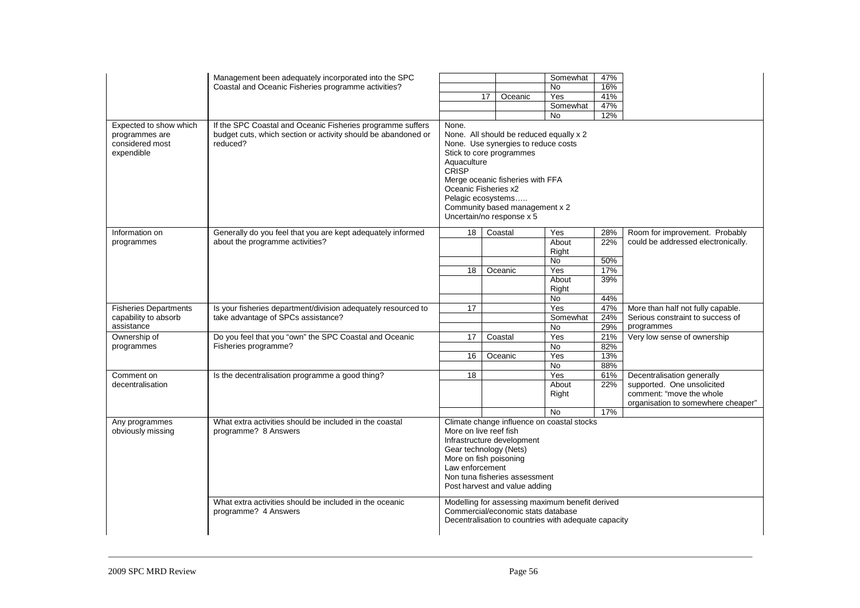| Expected to show which<br>programmes are<br>considered most<br>expendible | Management been adequately incorporated into the SPC<br>Coastal and Oceanic Fisheries programme activities?<br>If the SPC Coastal and Oceanic Fisheries programme suffers<br>budget cuts, which section or activity should be abandoned or<br>reduced? | None.<br>Aquaculture<br>CRISP<br>Oceanic Fisheries x2<br>Pelagic ecosystems                                                                   | 17 | Oceanic<br>None. Use synergies to reduce costs<br>Stick to core programmes<br>Merge oceanic fisheries with FFA<br>Community based management x 2<br>Uncertain/no response x 5 | Somewhat<br>No<br>Yes<br>Somewhat<br>No<br>None. All should be reduced equally x 2 | 47%<br>16%<br>41%<br>47%<br>12%        |                                                                                                                            |
|---------------------------------------------------------------------------|--------------------------------------------------------------------------------------------------------------------------------------------------------------------------------------------------------------------------------------------------------|-----------------------------------------------------------------------------------------------------------------------------------------------|----|-------------------------------------------------------------------------------------------------------------------------------------------------------------------------------|------------------------------------------------------------------------------------|----------------------------------------|----------------------------------------------------------------------------------------------------------------------------|
| Information on<br>programmes                                              | Generally do you feel that you are kept adequately informed<br>about the programme activities?                                                                                                                                                         | 18<br>18                                                                                                                                      |    | Coastal<br>Oceanic                                                                                                                                                            | Yes<br>About<br>Right<br>No<br>Yes<br>About<br>Right<br>No                         | 28%<br>22%<br>50%<br>17%<br>39%<br>44% | Room for improvement. Probably<br>could be addressed electronically.                                                       |
| <b>Fisheries Departments</b><br>capability to absorb<br>assistance        | Is your fisheries department/division adequately resourced to<br>take advantage of SPCs assistance?                                                                                                                                                    | 17                                                                                                                                            |    |                                                                                                                                                                               | Yes<br>Somewhat<br><b>No</b>                                                       | 47%<br>24%<br>29%                      | More than half not fully capable.<br>Serious constraint to success of<br>programmes                                        |
| Ownership of<br>programmes                                                | Do you feel that you "own" the SPC Coastal and Oceanic<br>Fisheries programme?                                                                                                                                                                         | 17<br>16                                                                                                                                      |    | Coastal<br>Oceanic                                                                                                                                                            | Yes<br><b>No</b><br>Yes<br>No                                                      | 21%<br>82%<br>13%<br>88%               | Very low sense of ownership                                                                                                |
| Comment on<br>decentralisation                                            | Is the decentralisation programme a good thing?                                                                                                                                                                                                        | 18                                                                                                                                            |    |                                                                                                                                                                               | Yes<br>About<br>Right<br>No                                                        | 61%<br>22%<br>17%                      | Decentralisation generally<br>supported. One unsolicited<br>comment: "move the whole<br>organisation to somewhere cheaper" |
| Any programmes<br>obviously missing                                       | What extra activities should be included in the coastal<br>programme? 8 Answers                                                                                                                                                                        | More on live reef fish<br>Gear technology (Nets)<br>More on fish poisoning<br>Law enforcement                                                 |    | Infrastructure development<br>Non tuna fisheries assessment<br>Post harvest and value adding                                                                                  | Climate change influence on coastal stocks                                         |                                        |                                                                                                                            |
|                                                                           | What extra activities should be included in the oceanic<br>programme? 4 Answers                                                                                                                                                                        | Modelling for assessing maximum benefit derived<br>Commercial/economic stats database<br>Decentralisation to countries with adequate capacity |    |                                                                                                                                                                               |                                                                                    |                                        |                                                                                                                            |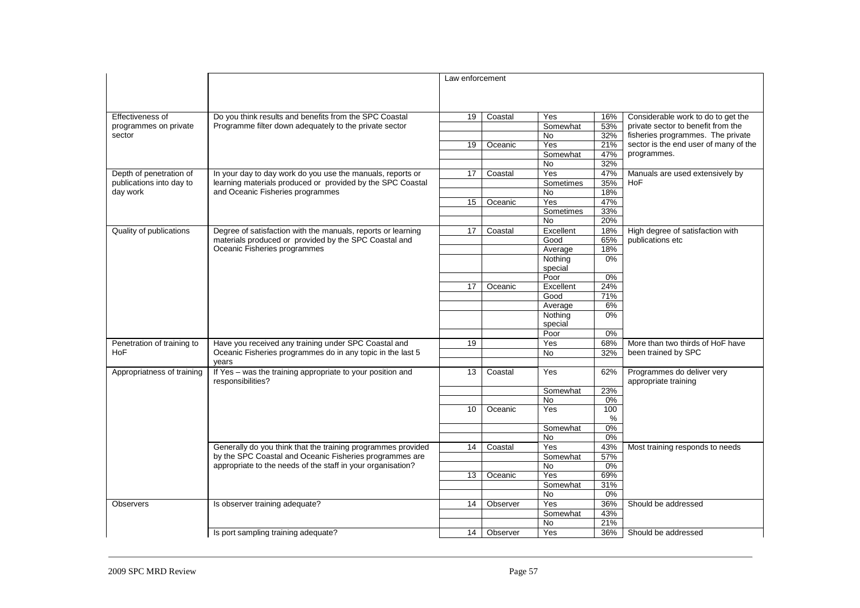|                            |                                                                                 | Law enforcement |          |                    |              |                                                    |
|----------------------------|---------------------------------------------------------------------------------|-----------------|----------|--------------------|--------------|----------------------------------------------------|
| Effectiveness of           | Do you think results and benefits from the SPC Coastal                          | 19              | Coastal  | Yes                | 16%          | Considerable work to do to get the                 |
| programmes on private      | Programme filter down adequately to the private sector                          |                 |          | Somewhat           | 53%          | private sector to benefit from the                 |
| sector                     |                                                                                 |                 |          | No                 | 32%          | fisheries programmes. The private                  |
|                            |                                                                                 | 19              | Oceanic  | Yes                | 21%          | sector is the end user of many of the              |
|                            |                                                                                 |                 |          | Somewhat           | 47%          | programmes.                                        |
|                            |                                                                                 |                 |          | No.                | 32%          |                                                    |
| Depth of penetration of    | In your day to day work do you use the manuals, reports or                      | 17              | Coastal  | Yes                | 47%          | Manuals are used extensively by                    |
| publications into day to   | learning materials produced or provided by the SPC Coastal                      |                 |          | Sometimes          | 35%          | <b>HoF</b>                                         |
| day work                   | and Oceanic Fisheries programmes                                                |                 |          | <b>No</b>          | 18%          |                                                    |
|                            |                                                                                 | 15              | Oceanic  | Yes                | 47%          |                                                    |
|                            |                                                                                 |                 |          | Sometimes          | 33%          |                                                    |
|                            |                                                                                 |                 |          | No.                | 20%          |                                                    |
| Quality of publications    | Degree of satisfaction with the manuals, reports or learning                    | 17              | Coastal  | Excellent          | 18%          | High degree of satisfaction with                   |
|                            | materials produced or provided by the SPC Coastal and                           |                 |          | Good               | 65%          | publications etc                                   |
|                            | Oceanic Fisheries programmes                                                    |                 |          | Average            | 18%          |                                                    |
|                            |                                                                                 |                 |          | Nothing            | 0%           |                                                    |
|                            |                                                                                 |                 |          | special            |              |                                                    |
|                            |                                                                                 |                 |          | Poor               | $0\%$<br>24% |                                                    |
|                            |                                                                                 | 17              | Oceanic  | Excellent          | 71%          |                                                    |
|                            |                                                                                 |                 |          | Good               | 6%           |                                                    |
|                            |                                                                                 |                 |          | Average            | 0%           |                                                    |
|                            |                                                                                 |                 |          | Nothing<br>special |              |                                                    |
|                            |                                                                                 |                 |          | Poor               | $0\%$        |                                                    |
| Penetration of training to | Have you received any training under SPC Coastal and                            | 19              |          | Yes                | 68%          | More than two thirds of HoF have                   |
| <b>HoF</b>                 | Oceanic Fisheries programmes do in any topic in the last 5                      |                 |          | No                 | 32%          | been trained by SPC                                |
|                            | years                                                                           |                 |          |                    |              |                                                    |
| Appropriatness of training | If Yes - was the training appropriate to your position and<br>responsibilities? | 13              | Coastal  | Yes                | 62%          | Programmes do deliver very<br>appropriate training |
|                            |                                                                                 |                 |          | Somewhat           | 23%          |                                                    |
|                            |                                                                                 |                 |          | No                 | 0%           |                                                    |
|                            |                                                                                 | 10              | Oceanic  | Yes                | 100<br>%     |                                                    |
|                            |                                                                                 |                 |          | Somewhat           | 0%           |                                                    |
|                            |                                                                                 |                 |          | No                 | 0%           |                                                    |
|                            | Generally do you think that the training programmes provided                    | 14              | Coastal  | Yes                | 43%          | Most training responds to needs                    |
|                            | by the SPC Coastal and Oceanic Fisheries programmes are                         |                 |          | Somewhat           | 57%          |                                                    |
|                            | appropriate to the needs of the staff in your organisation?                     |                 |          | No                 | $0\%$        |                                                    |
|                            |                                                                                 | 13              | Oceanic  | Yes                | 69%          |                                                    |
|                            |                                                                                 |                 |          | Somewhat           | 31%          |                                                    |
|                            |                                                                                 |                 |          | No                 | 0%           |                                                    |
| Observers                  | Is observer training adequate?                                                  | 14              | Observer | Yes                | 36%          | Should be addressed                                |
|                            |                                                                                 |                 |          | Somewhat           | 43%          |                                                    |
|                            |                                                                                 |                 |          | <b>No</b>          | 21%          |                                                    |
|                            | Is port sampling training adequate?                                             | 14 <sup>1</sup> | Observer | Yes                | 36%          | Should be addressed                                |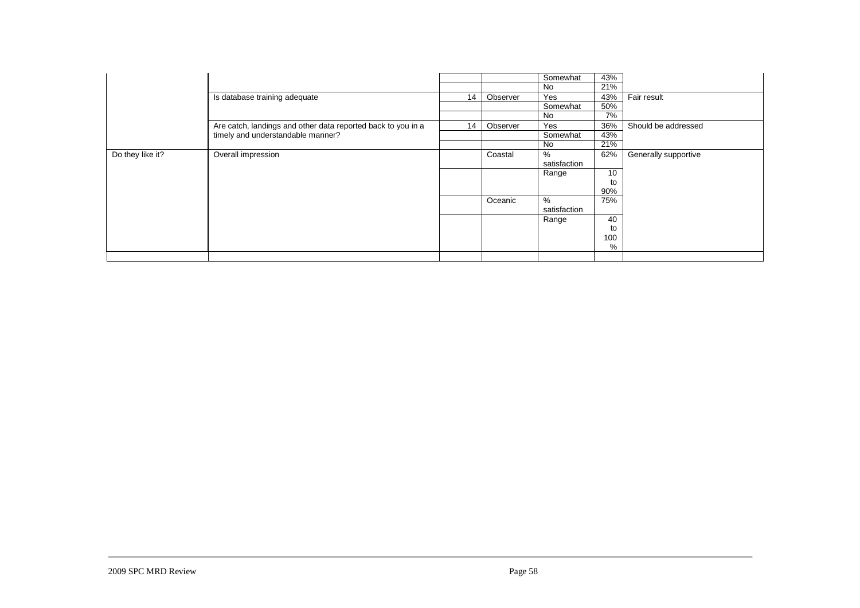|                  |                                                                                                   |    |          | Somewhat     | 43% |                      |
|------------------|---------------------------------------------------------------------------------------------------|----|----------|--------------|-----|----------------------|
|                  |                                                                                                   |    |          | No           | 21% |                      |
|                  | Is database training adequate                                                                     | 14 | Observer | Yes          | 43% | Fair result          |
|                  |                                                                                                   |    |          | Somewhat     | 50% |                      |
|                  |                                                                                                   |    |          | No           | 7%  |                      |
|                  | Are catch, landings and other data reported back to you in a<br>timely and understandable manner? | 14 | Observer | Yes          | 36% | Should be addressed  |
|                  |                                                                                                   |    |          | Somewhat     | 43% |                      |
|                  |                                                                                                   |    |          | No           | 21% |                      |
| Do they like it? | Overall impression                                                                                |    | Coastal  | %            | 62% | Generally supportive |
|                  |                                                                                                   |    |          | satisfaction |     |                      |
|                  |                                                                                                   |    |          | Range        | 10  |                      |
|                  |                                                                                                   |    |          |              | to  |                      |
|                  |                                                                                                   |    |          |              | 90% |                      |
|                  |                                                                                                   |    | Oceanic  | %            | 75% |                      |
|                  |                                                                                                   |    |          | satisfaction |     |                      |
|                  |                                                                                                   |    |          | Range        | 40  |                      |
|                  |                                                                                                   |    |          |              | to  |                      |
|                  |                                                                                                   |    |          |              | 100 |                      |
|                  |                                                                                                   |    |          |              | %   |                      |
|                  |                                                                                                   |    |          |              |     |                      |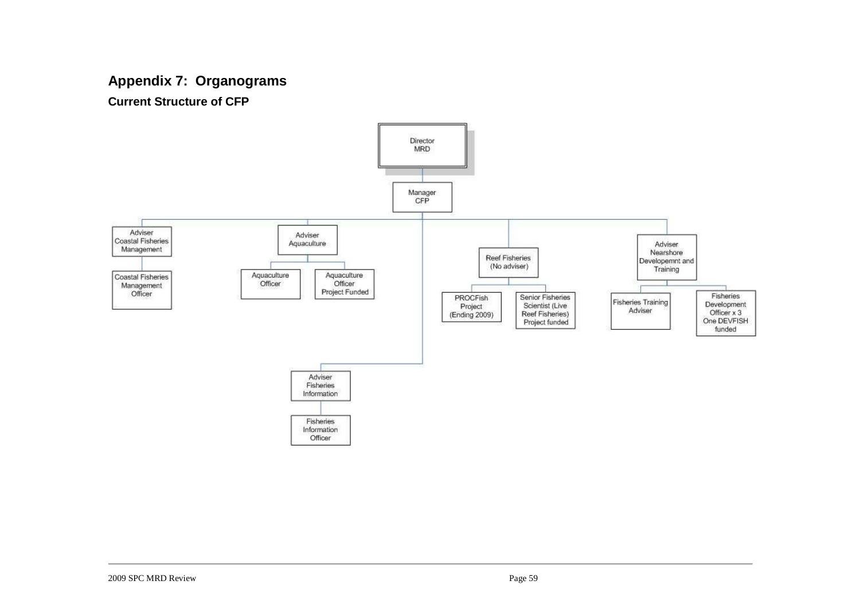## **Appendix 7: Organograms**

**Current Structure of CFP** 

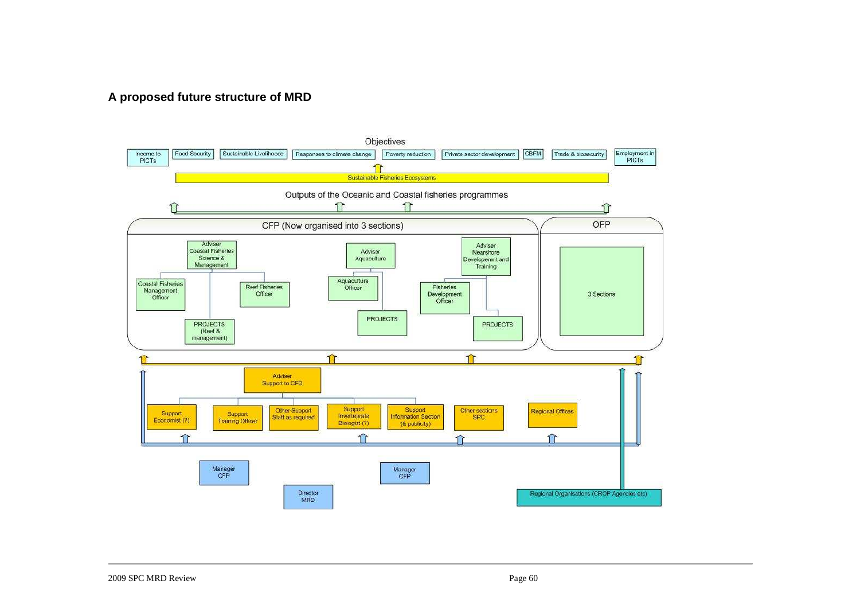## **A proposed future structure of MRD**

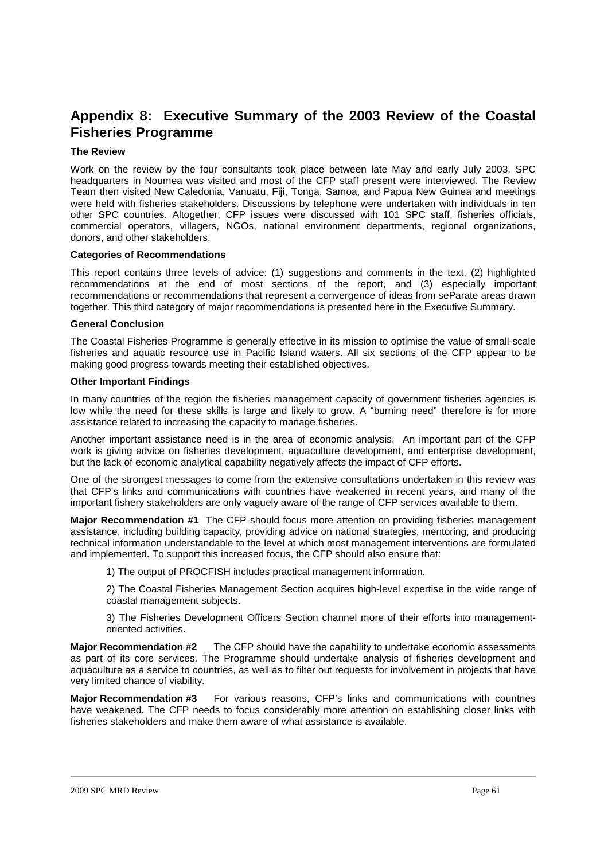## **Appendix 8: Executive Summary of the 2003 Review of the Coastal Fisheries Programme**

#### **The Review**

Work on the review by the four consultants took place between late May and early July 2003. SPC headquarters in Noumea was visited and most of the CFP staff present were interviewed. The Review Team then visited New Caledonia, Vanuatu, Fiji, Tonga, Samoa, and Papua New Guinea and meetings were held with fisheries stakeholders. Discussions by telephone were undertaken with individuals in ten other SPC countries. Altogether, CFP issues were discussed with 101 SPC staff, fisheries officials, commercial operators, villagers, NGOs, national environment departments, regional organizations, donors, and other stakeholders.

#### **Categories of Recommendations**

This report contains three levels of advice: (1) suggestions and comments in the text, (2) highlighted recommendations at the end of most sections of the report, and (3) especially important recommendations or recommendations that represent a convergence of ideas from seParate areas drawn together. This third category of major recommendations is presented here in the Executive Summary.

#### **General Conclusion**

The Coastal Fisheries Programme is generally effective in its mission to optimise the value of small-scale fisheries and aquatic resource use in Pacific Island waters. All six sections of the CFP appear to be making good progress towards meeting their established objectives.

#### **Other Important Findings**

In many countries of the region the fisheries management capacity of government fisheries agencies is low while the need for these skills is large and likely to grow. A "burning need" therefore is for more assistance related to increasing the capacity to manage fisheries.

Another important assistance need is in the area of economic analysis. An important part of the CFP work is giving advice on fisheries development, aquaculture development, and enterprise development, but the lack of economic analytical capability negatively affects the impact of CFP efforts.

One of the strongest messages to come from the extensive consultations undertaken in this review was that CFP's links and communications with countries have weakened in recent years, and many of the important fishery stakeholders are only vaguely aware of the range of CFP services available to them.

**Major Recommendation #1** The CFP should focus more attention on providing fisheries management assistance, including building capacity, providing advice on national strategies, mentoring, and producing technical information understandable to the level at which most management interventions are formulated and implemented. To support this increased focus, the CFP should also ensure that:

1) The output of PROCFISH includes practical management information.

2) The Coastal Fisheries Management Section acquires high-level expertise in the wide range of coastal management subjects.

3) The Fisheries Development Officers Section channel more of their efforts into managementoriented activities.

**Major Recommendation #2** The CFP should have the capability to undertake economic assessments as part of its core services. The Programme should undertake analysis of fisheries development and aquaculture as a service to countries, as well as to filter out requests for involvement in projects that have very limited chance of viability.

**Major Recommendation #3** For various reasons, CFP's links and communications with countries have weakened. The CFP needs to focus considerably more attention on establishing closer links with fisheries stakeholders and make them aware of what assistance is available.